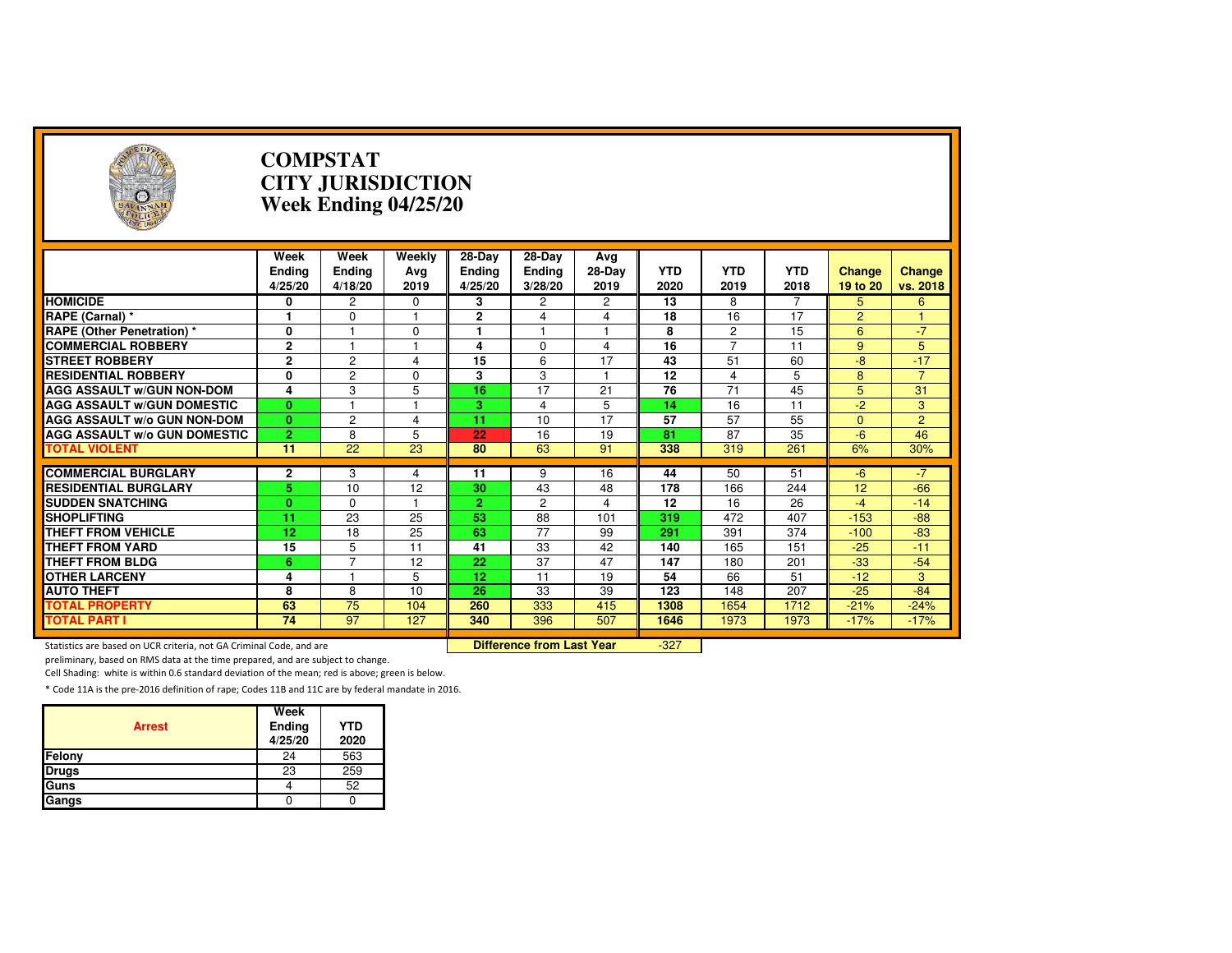| Э                                                                   |                                  | <b>COMPSTAT</b><br><b>CITY JURISDICTION</b><br>Week Ending 04/25/20 |                       |                               |                                    |                       |                    |                    |                    |                           |                    |  |
|---------------------------------------------------------------------|----------------------------------|---------------------------------------------------------------------|-----------------------|-------------------------------|------------------------------------|-----------------------|--------------------|--------------------|--------------------|---------------------------|--------------------|--|
|                                                                     | Week<br><b>Ending</b><br>4/25/20 | Week<br><b>Ending</b><br>4/18/20                                    | Weekly<br>Avg<br>2019 | $28-Dav$<br>Ending<br>4/25/20 | 28-Day<br><b>Ending</b><br>3/28/20 | Avg<br>28-Day<br>2019 | <b>YTD</b><br>2020 | <b>YTD</b><br>2019 | <b>YTD</b><br>2018 | <b>Change</b><br>19 to 20 | Change<br>vs. 2018 |  |
| <b>HOMICIDE</b>                                                     | 0                                | 2                                                                   | $\Omega$              | 3                             | 2                                  | 2                     | 13                 | 8                  | 7                  | 5                         | 6                  |  |
| RAPE (Carnal) *                                                     | 1                                | 0                                                                   | 1                     | $\mathbf{2}$                  | 4                                  | 4                     | 18                 | 16                 | 17                 | $\overline{2}$            | -1                 |  |
| <b>RAPE (Other Penetration) *</b>                                   | 0                                |                                                                     | $\Omega$              | 1                             | 1                                  | $\mathbf{1}$          | 8                  | $\overline{2}$     | $\overline{15}$    | 6                         | $-7$               |  |
| <b>COMMERCIAL ROBBERY</b>                                           | $\overline{2}$                   | $\blacktriangleleft$                                                | $\overline{1}$        | 4                             | $\Omega$                           | 4                     | $\overline{16}$    | $\overline{7}$     | $\overline{11}$    | 9                         | 5                  |  |
| <b>STREET ROBBERY</b>                                               | $\overline{2}$                   | $\overline{2}$                                                      | 4                     | 15                            | 6                                  | 17                    | 43                 | 51                 | 60                 | $-8$                      | $-17$              |  |
| <b>RESIDENTIAL ROBBERY</b>                                          | 0                                | $\overline{2}$                                                      | $\Omega$              | 3                             | 3                                  | $\mathbf{1}$          | 12                 | 4                  | 5                  | 8                         | $\overline{7}$     |  |
| <b>AGG ASSAULT W/GUN NON-DOM</b>                                    | 4                                | 3                                                                   | 5                     | $\overline{16}$               | $\overline{17}$                    | $\overline{21}$       | 76                 | 71                 | 45                 | 5                         | 31                 |  |
| <b>AGG ASSAULT W/GUN DOMESTIC</b>                                   | $\mathbf{0}$                     |                                                                     | 1                     | 3                             | 4                                  | 5                     | 14                 | 16                 | 11                 | $-2$                      | 3                  |  |
| <b>AGG ASSAULT w/o GUN NON-DOM</b>                                  | $\mathbf{0}$                     | $\overline{c}$                                                      | 4                     | 11                            | 10                                 | 17                    | 57                 | 57                 | 55                 | $\Omega$                  | $\overline{2}$     |  |
| <b>AGG ASSAULT W/o GUN DOMESTIC</b>                                 | $\overline{2}$                   | 8                                                                   | 5                     | 22                            | 16                                 | 19                    | 81                 | 87                 | 35                 | $-6$                      | 46                 |  |
| <b>TOTAL VIOLENT</b>                                                | 11                               | $\overline{22}$                                                     | 23                    | 80                            | 63                                 | 91                    | 338                | 319                | 261                | 6%                        | 30%                |  |
|                                                                     |                                  |                                                                     |                       |                               |                                    |                       |                    |                    |                    |                           |                    |  |
| <b>COMMERCIAL BURGLARY</b>                                          | 2                                | 3                                                                   | 4                     | 11                            | 9                                  | 16                    | 44                 | 50                 | 51                 | $-6$                      | $-7$               |  |
| <b>RESIDENTIAL BURGLARY</b>                                         | 5                                | 10                                                                  | 12                    | 30                            | 43                                 | 48                    | 178                | 166                | 244                | 12                        | $-66$              |  |
| <b>SUDDEN SNATCHING</b>                                             | $\mathbf{0}$                     | $\Omega$                                                            | 1                     | $\overline{2}$                | $\overline{2}$                     | 4                     | $\overline{12}$    | 16                 | 26                 | $-4$                      | $-14$              |  |
| <b>SHOPLIFTING</b>                                                  | $\overline{11}$                  | 23                                                                  | 25                    | 53                            | 88                                 | 101                   | 319                | 472                | 407                | $-153$                    | $-88$              |  |
| <b>THEFT FROM VEHICLE</b>                                           | 12                               | 18                                                                  | 25                    | 63                            | $\overline{77}$                    | 99                    | 291                | 391                | 374                | $-100$                    | $-83$              |  |
| <b>THEFT FROM YARD</b>                                              | 15                               | 5                                                                   | 11                    | 41                            | 33                                 | 42                    | 140                | 165                | 151                | $-25$                     | $-11$              |  |
| <b>THEFT FROM BLDG</b>                                              | 6                                | $\overline{7}$                                                      | 12                    | $\overline{22}$               | $\overline{37}$                    | 47                    | 147                | 180                | 201                | $-33$                     | $-54$              |  |
| <b>OTHER LARCENY</b>                                                | 4                                | 1                                                                   | 5                     | 12                            | 11                                 | 19                    | 54                 | 66                 | 51                 | $-12$                     | 3                  |  |
| <b>AUTO THEFT</b>                                                   | 8                                | 8                                                                   | 10                    | 26                            | 33                                 | 39                    | 123                | 148                | 207                | $-25$                     | $-84$              |  |
| <b>TOTAL PROPERTY</b>                                               | 63                               | 75                                                                  | 104                   | 260                           | 333                                | 415                   | 1308               | 1654               | 1712               | $-21%$                    | $-24%$             |  |
| <b>TOTAL PART I</b>                                                 | 74                               | $\overline{97}$                                                     | 127                   | 340                           | 396                                | 507                   | 1646               | 1973               | 1973               | $-17%$                    | $-17%$             |  |
| Statistics are based on UCR criteria, not GA Criminal Code, and are |                                  |                                                                     |                       |                               | <b>Difference from Last Year</b>   |                       | $-327$             |                    |                    |                           |                    |  |

Statistics are based on UCR criteria, not GA Criminal Code, and are **Difference from Last Year** 

preliminary, based on RMS data at the time prepared, and are subject to change.

Cell Shading: white is within 0.6 standard deviation of the mean; red is above; green is below.

| <b>Arrest</b> | Week<br>Ending<br>4/25/20 | <b>YTD</b><br>2020 |
|---------------|---------------------------|--------------------|
| Felony        | 24                        | 563                |
| <b>Drugs</b>  | 23                        | 259                |
| Guns          |                           | 52                 |
| Gangs         |                           |                    |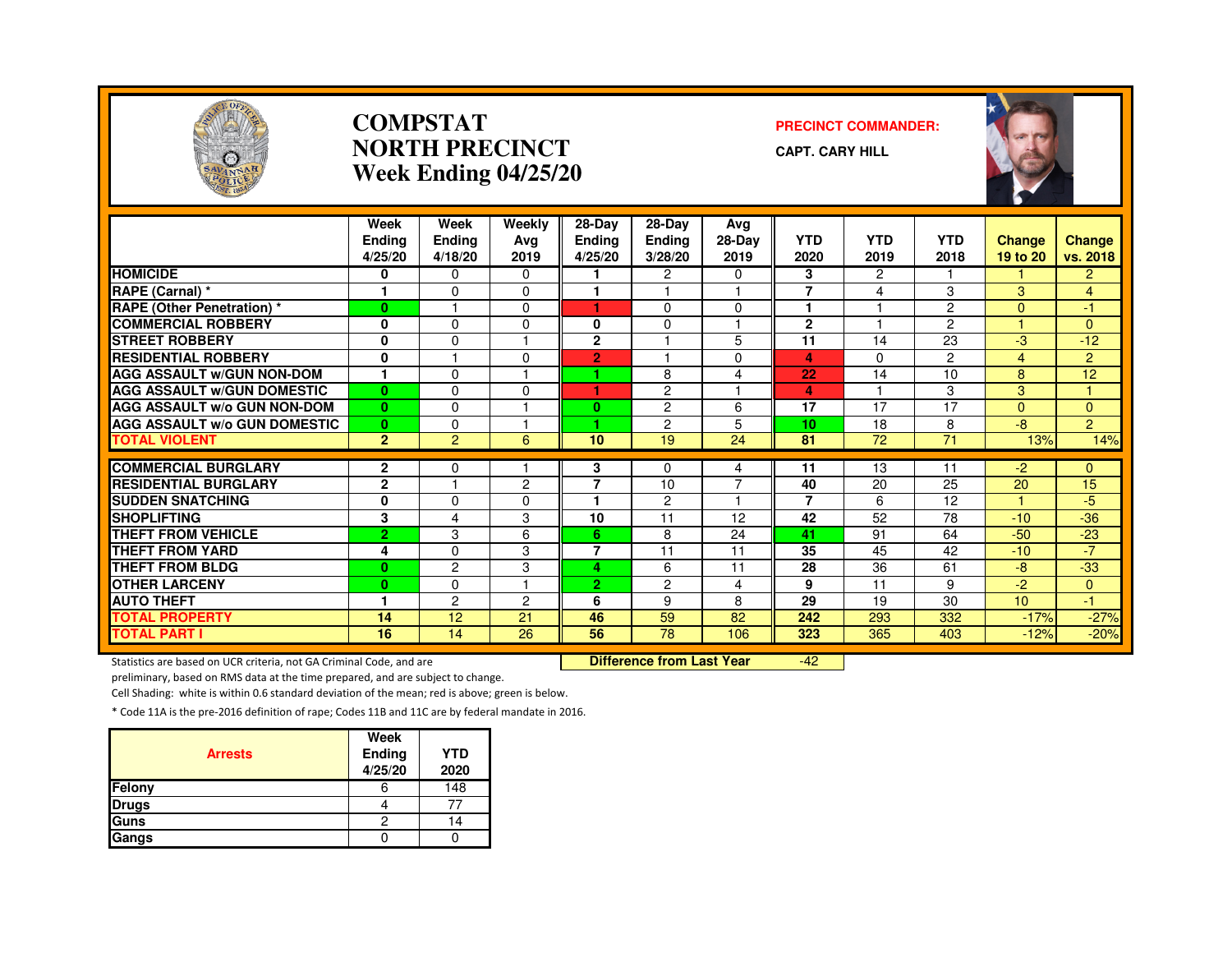

#### **COMPSTATNORTH PRECINCTWeek Ending 04/25/20**

#### **PRECINCT COMMANDER:**

**CAPT. CARY HILL**



|                                     | Week<br><b>Ending</b><br>4/25/20 | Week<br><b>Ending</b><br>4/18/20 | Weekly<br>Avg<br>2019 | 28-Day<br><b>Ending</b><br>4/25/20 | 28-Day<br>Ending<br>3/28/20 | Avg<br>28-Day<br>2019   | <b>YTD</b><br>2020 | <b>YTD</b><br>2019 | <b>YTD</b><br>2018 | <b>Change</b><br>19 to 20 | <b>Change</b><br>vs. 2018 |
|-------------------------------------|----------------------------------|----------------------------------|-----------------------|------------------------------------|-----------------------------|-------------------------|--------------------|--------------------|--------------------|---------------------------|---------------------------|
| <b>HOMICIDE</b>                     | 0                                | $\Omega$                         | 0                     |                                    | $\overline{c}$              | 0                       | 3                  | $\overline{2}$     |                    |                           | $\overline{2}$            |
| <b>RAPE (Carnal)</b> *              | $\mathbf{1}$                     | $\Omega$                         | $\Omega$              |                                    |                             | $\overline{\mathbf{1}}$ | $\overline{7}$     | 4                  | 3                  | 3                         | 4                         |
| <b>RAPE (Other Penetration) *</b>   | $\bf{0}$                         |                                  | 0                     | ٠                                  | $\Omega$                    | $\Omega$                | 1                  |                    | $\overline{2}$     | $\Omega$                  | $-1$                      |
| <b>COMMERCIAL ROBBERY</b>           | 0                                | $\Omega$                         | 0                     | 0                                  | $\Omega$                    | 1                       | $\mathbf{2}$       |                    | $\overline{2}$     | и                         | $\Omega$                  |
| <b>STREET ROBBERY</b>               | $\mathbf 0$                      | $\Omega$                         |                       | $\overline{2}$                     |                             | 5                       | 11                 | 14                 | 23                 | $-3$                      | $-12$                     |
| <b>RESIDENTIAL ROBBERY</b>          | $\mathbf 0$                      |                                  | $\Omega$              | $\overline{2}$                     |                             | 0                       | 4                  | $\Omega$           | $\overline{2}$     | 4                         | $\overline{2}$            |
| <b>AGG ASSAULT w/GUN NON-DOM</b>    | ٠                                | $\Omega$                         |                       | 4                                  | 8                           | 4                       | 22                 | 14                 | 10                 | 8                         | 12                        |
| <b>AGG ASSAULT W/GUN DOMESTIC</b>   | $\bf{0}$                         | $\Omega$                         | $\Omega$              | ٠                                  | 2                           |                         | 4                  |                    | 3                  | 3                         | H                         |
| <b>AGG ASSAULT w/o GUN NON-DOM</b>  | $\bf{0}$                         | $\Omega$                         |                       | 0                                  | $\overline{c}$              | 6                       | 17                 | 17                 | 17                 | $\Omega$                  | $\Omega$                  |
| <b>AGG ASSAULT W/o GUN DOMESTIC</b> | $\bf{0}$                         | 0                                |                       | 4                                  | $\overline{c}$              | 5                       | 10                 | 18                 | 8                  | -8                        | $\overline{2}$            |
| <b>TOTAL VIOLENT</b>                | $\overline{2}$                   | $\overline{2}$                   | 6                     | 10                                 | 19                          | 24                      | 81                 | 72                 | 71                 | 13%                       | 14%                       |
|                                     |                                  |                                  |                       |                                    |                             |                         |                    |                    |                    |                           |                           |
| <b>COMMERCIAL BURGLARY</b>          | $\mathbf{2}$                     | 0                                |                       | 3                                  | 0                           | 4                       | 11                 | 13                 | 11                 | -2                        | $\overline{0}$            |
| <b>RESIDENTIAL BURGLARY</b>         | $\mathbf{2}$                     |                                  | $\mathcal{P}$         | $\overline{ }$                     | 10                          | $\overline{7}$          | 40                 | 20                 | 25                 | 20                        | 15                        |
| <b>SUDDEN SNATCHING</b>             | 0                                | $\Omega$                         | $\Omega$              |                                    | 2                           | -1                      | $\overline{7}$     | 6                  | 12                 | 4.                        | $-5$                      |
| <b>SHOPLIFTING</b>                  | 3                                | 4                                | 3                     | 10                                 | 11                          | 12                      | 42                 | 52                 | 78                 | $-10$                     | $-36$                     |
| <b>THEFT FROM VEHICLE</b>           | $\overline{2}$                   | 3                                | 6                     | 6.                                 | 8                           | 24                      | 41                 | 91                 | 64                 | $-50$                     | $-23$                     |
| <b>THEFT FROM YARD</b>              | 4                                | $\Omega$                         | 3                     | 7                                  | 11                          | 11                      | 35                 | 45                 | 42                 | $-10$                     | $-7$                      |
| <b>THEFT FROM BLDG</b>              | $\mathbf{0}$                     | $\overline{c}$                   | 3                     | 4                                  | 6                           | 11                      | 28                 | 36                 | 61                 | $-8$                      | $-33$                     |
| <b>OTHER LARCENY</b>                | $\mathbf{0}$                     | $\Omega$                         |                       | $\mathbf{2}$                       | 2                           | 4                       | 9                  | 11                 | 9                  | $-2$                      | $\overline{0}$            |
| <b>AUTO THEFT</b>                   | ٠                                | $\overline{c}$                   | 2                     | 6                                  | 9                           | 8                       | 29                 | 19                 | 30                 | 10 <sup>10</sup>          | -1                        |
| <b>TOTAL PROPERTY</b>               | 14                               | 12                               | 21                    | 46                                 | 59                          | 82                      | 242                | 293                | 332                | $-17%$                    | $-27%$                    |
| <b>TOTAL PART I</b>                 | 16                               | 14                               | $\overline{26}$       | 56                                 | 78                          | 106                     | 323                | 365                | 403                | $-12%$                    | $-20%$                    |

Statistics are based on UCR criteria, not GA Criminal Code, and are **Difference from Last Year** 

-42

preliminary, based on RMS data at the time prepared, and are subject to change.

Cell Shading: white is within 0.6 standard deviation of the mean; red is above; green is below.

| <b>Arrests</b> | Week<br><b>Ending</b><br>4/25/20 | <b>YTD</b><br>2020 |
|----------------|----------------------------------|--------------------|
| Felony         | o                                | 148                |
| <b>Drugs</b>   |                                  |                    |
| Guns           | 2                                | 14                 |
| Gangs          |                                  |                    |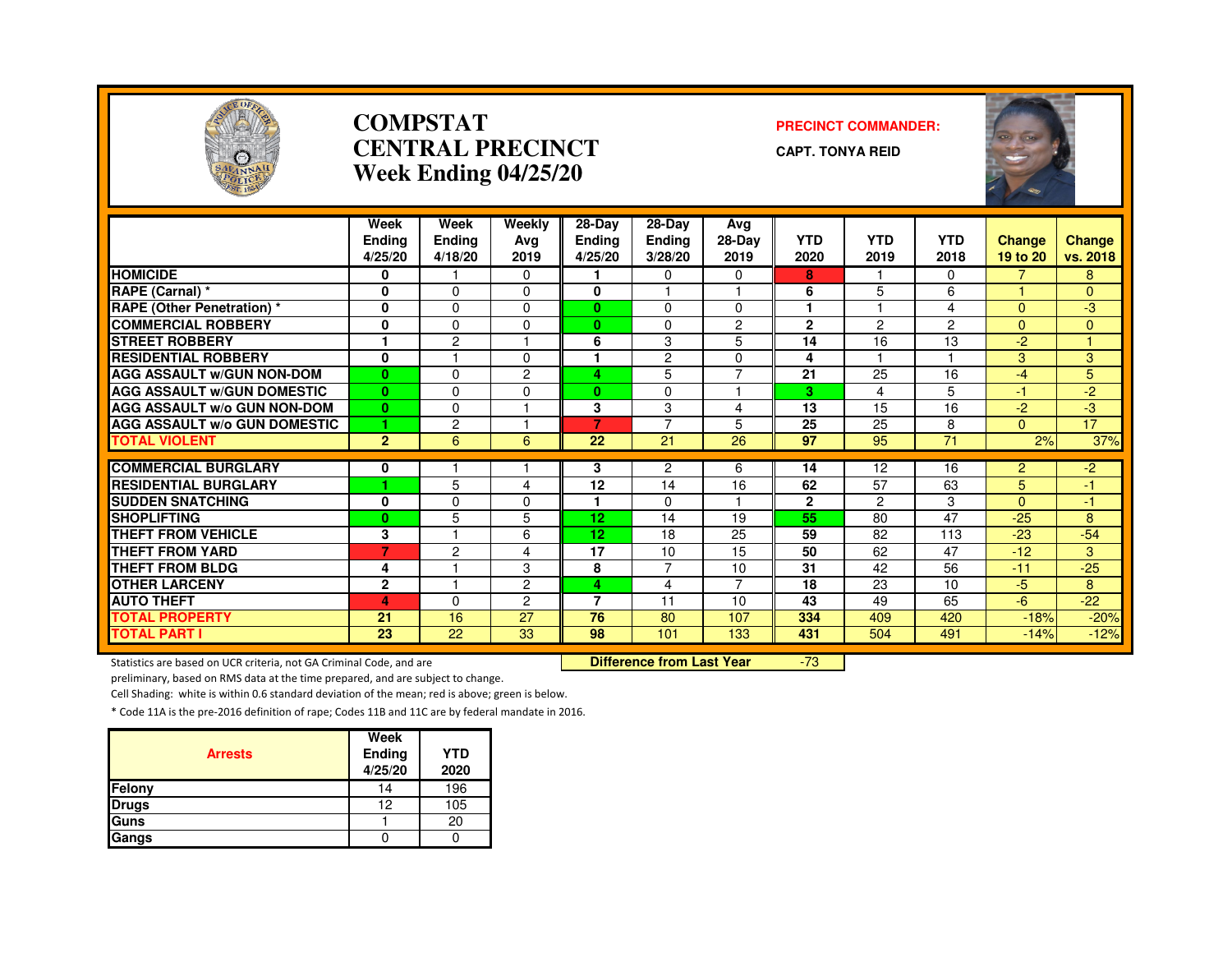

#### **COMPSTATCENTRAL PRECINCTWeek Ending 04/25/20**

#### **PRECINCT COMMANDER:**

**CAPT. TONYA REID**



|                                     | Week           | Week           | Weekly         | 28-Day          | $28-Dav$       | Avg            |                 |                |                 |                          |               |
|-------------------------------------|----------------|----------------|----------------|-----------------|----------------|----------------|-----------------|----------------|-----------------|--------------------------|---------------|
|                                     | <b>Ending</b>  | <b>Ending</b>  | Avg            | <b>Ending</b>   | Ending         | 28-Day         | <b>YTD</b>      | <b>YTD</b>     | <b>YTD</b>      | <b>Change</b>            | <b>Change</b> |
|                                     | 4/25/20        | 4/18/20        | 2019           | 4/25/20         | 3/28/20        | 2019           | 2020            | 2019           | 2018            | 19 to 20                 | vs. 2018      |
| <b>HOMICIDE</b>                     | 0              |                | $\Omega$       |                 | $\Omega$       | $\Omega$       | 8               | -1             | 0               | $\overline{\phantom{a}}$ | 8             |
| RAPE (Carnal) *                     | 0              | $\Omega$       | $\Omega$       | 0               |                |                | 6               | 5              | 6               |                          | $\Omega$      |
| <b>RAPE (Other Penetration) *</b>   | 0              | $\Omega$       | $\Omega$       | $\bf{0}$        | $\Omega$       | $\Omega$       |                 |                | 4               | $\Omega$                 | $-3$          |
| <b>COMMERCIAL ROBBERY</b>           | 0              | $\Omega$       | $\Omega$       | $\mathbf{0}$    | $\Omega$       | $\overline{2}$ | $\mathbf{2}$    | $\overline{c}$ | 2               | $\Omega$                 | $\Omega$      |
| <b>STREET ROBBERY</b>               | ٠              | $\overline{c}$ |                | 6               | 3              | 5              | 14              | 16             | 13              | $-2$                     |               |
| <b>RESIDENTIAL ROBBERY</b>          | $\bf{0}$       |                | $\Omega$       |                 | 2              | $\Omega$       | 4               |                |                 | 3                        | 3             |
| <b>AGG ASSAULT w/GUN NON-DOM</b>    | $\mathbf{0}$   | $\Omega$       | $\overline{2}$ | 4               | 5              | $\overline{7}$ | 21              | 25             | 16              | $-4$                     | 5             |
| <b>AGG ASSAULT W/GUN DOMESTIC</b>   | $\mathbf{0}$   | $\Omega$       | $\Omega$       | $\mathbf{0}$    | $\Omega$       |                | 3               | 4              | 5               | $-1$                     | $-2$          |
| <b>AGG ASSAULT W/o GUN NON-DOM</b>  | $\bf{0}$       | $\Omega$       |                | 3               | 3              | 4              | $\overline{13}$ | 15             | 16              | $-2$                     | -3            |
| <b>AGG ASSAULT W/o GUN DOMESTIC</b> | 1              | $\overline{c}$ |                | 7               | $\overline{7}$ | 5              | 25              | 25             | 8               | $\Omega$                 | 17            |
| <b>TOTAL VIOLENT</b>                | $\overline{2}$ | 6              | 6              | 22              | 21             | 26             | 97              | 95             | 71              | 2%                       | 37%           |
|                                     |                |                |                |                 |                |                |                 |                |                 |                          |               |
| <b>COMMERCIAL BURGLARY</b>          | 0              |                |                | 3               | $\overline{c}$ | 6              | 14              | 12             | 16              | $\overline{2}$           | $-2$          |
| <b>RESIDENTIAL BURGLARY</b>         | 1              | 5              | 4              | 12              | 14             | 16             | 62              | 57             | 63              | 5                        | 47            |
| <b>SUDDEN SNATCHING</b>             | 0              | $\Omega$       | $\Omega$       |                 | $\mathbf 0$    |                | $\mathbf{2}$    | $\mathcal{P}$  | 3               | $\Omega$                 | $-1$          |
| <b>SHOPLIFTING</b>                  | $\bf{0}$       | 5              | 5              | 12 <sub>2</sub> | 14             | 19             | 55              | 80             | $\overline{47}$ | $-25$                    | 8             |
| <b>THEFT FROM VEHICLE</b>           | 3              |                | 6              | 12              | 18             | 25             | 59              | 82             | 113             | $-23$                    | $-54$         |
| <b>THEFT FROM YARD</b>              | $\overline{7}$ | $\overline{2}$ | 4              | 17              | 10             | 15             | 50              | 62             | 47              | $-12$                    | 3             |
| <b>THEFT FROM BLDG</b>              | 4              | м              | 3              | 8               | $\overline{7}$ | 10             | 31              | 42             | 56              | $-11$                    | $-25$         |
| <b>OTHER LARCENY</b>                | $\mathbf{2}$   |                | 2              | 4               | 4              | 7              | 18              | 23             | 10              | $-5$                     | 8             |
| <b>AUTO THEFT</b>                   | 4              | $\Omega$       | $\overline{2}$ | $\overline{7}$  | 11             | 10             | 43              | 49             | 65              | $-6$                     | $-22$         |
| <b>TOTAL PROPERTY</b>               | 21             | 16             | 27             | 76              | 80             | 107            | 334             | 409            | 420             | $-18%$                   | $-20%$        |
| <b>TOTAL PART I</b>                 | 23             | 22             | 33             | 98              | 101            | 133            | 431             | 504            | 491             | $-14%$                   | $-12%$        |

Statistics are based on UCR criteria, not GA Criminal Code, and are **Difference from Last Year** 

-73

preliminary, based on RMS data at the time prepared, and are subject to change.

Cell Shading: white is within 0.6 standard deviation of the mean; red is above; green is below.

| <b>Arrests</b> | Week<br>Ending | <b>YTD</b> |
|----------------|----------------|------------|
|                | 4/25/20        | 2020       |
| Felony         | 14             | 196        |
| <b>Drugs</b>   | 12             | 105        |
| Guns           |                | 20         |
| Gangs          |                |            |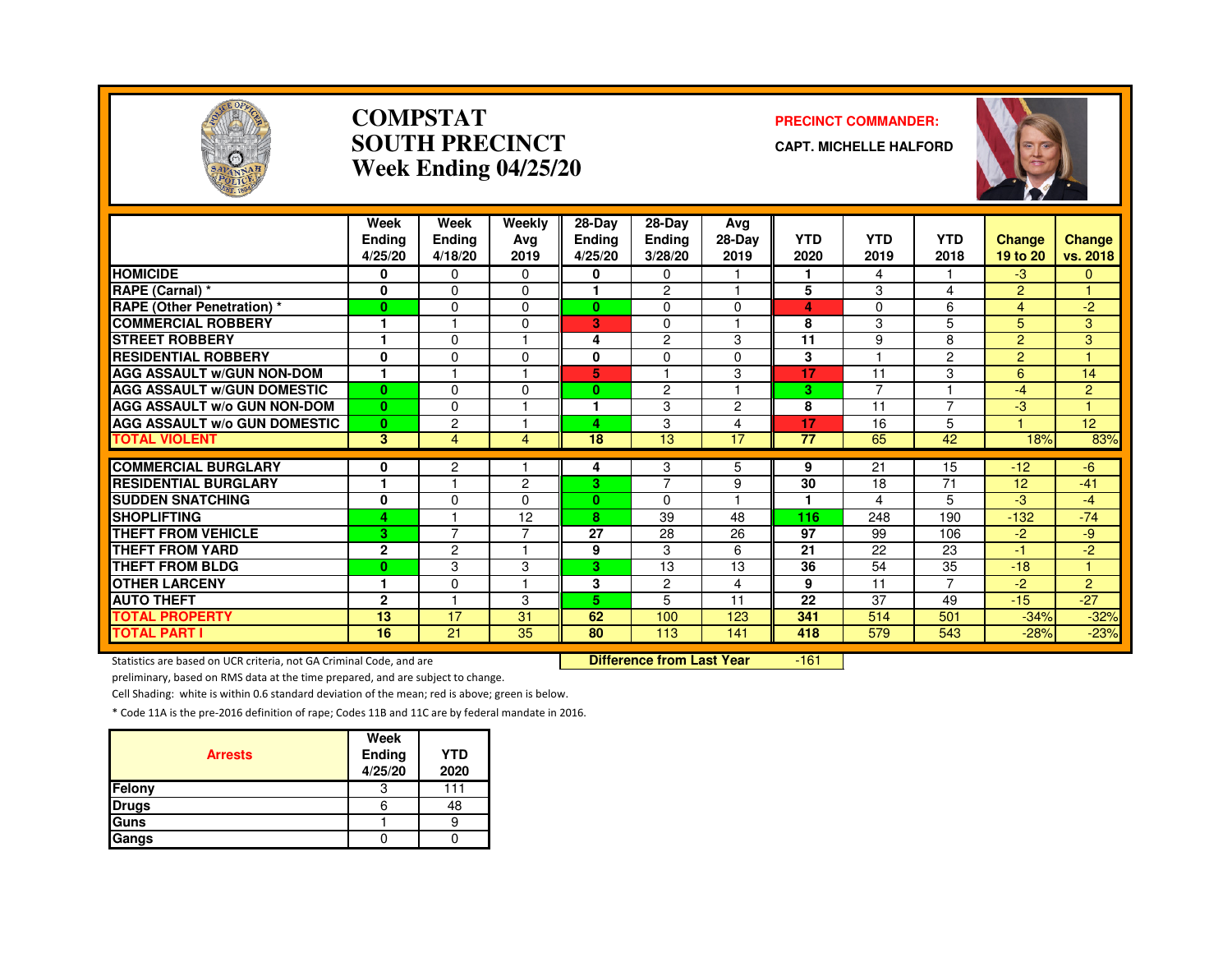

#### **COMPSTATSOUTH PRECINCTWeek Ending 04/25/20**

#### **PRECINCT COMMANDER:**

**CAPT. MICHELLE HALFORD**



|                                     | Week<br>Endina<br>4/25/20 | Week<br><b>Ending</b><br>4/18/20 | Weekly<br>Avg<br>2019 | 28-Day<br><b>Ending</b><br>4/25/20 | $28-Dav$<br><b>Ending</b><br>3/28/20 | Avg<br>28-Day<br>2019 | <b>YTD</b><br>2020 | <b>YTD</b><br>2019 | <b>YTD</b><br>2018 | <b>Change</b><br>19 to 20 | <b>Change</b><br>vs. 2018 |
|-------------------------------------|---------------------------|----------------------------------|-----------------------|------------------------------------|--------------------------------------|-----------------------|--------------------|--------------------|--------------------|---------------------------|---------------------------|
| <b>HOMICIDE</b>                     | 0                         | $\mathbf{0}$                     | $\Omega$              | 0                                  | 0                                    |                       | 1                  | 4                  |                    | $-3$                      | $\mathbf{0}$              |
| RAPE (Carnal) *                     | 0                         | $\Omega$                         | $\Omega$              | 1                                  | $\overline{2}$                       |                       | 5                  | 3                  | 4                  | 2                         |                           |
| <b>RAPE</b> (Other Penetration) *   | $\bf{0}$                  | $\Omega$                         | 0                     | 0                                  | $\Omega$                             | $\Omega$              | 4                  | 0                  | 6                  | 4                         | -2                        |
| <b>COMMERCIAL ROBBERY</b>           |                           |                                  | $\Omega$              | 3                                  | $\Omega$                             |                       | 8                  | 3                  | 5                  | 5                         | 3                         |
| <b>STREET ROBBERY</b>               |                           | $\Omega$                         |                       | 4                                  | $\overline{c}$                       | 3                     | 11                 | 9                  | 8                  | $\overline{2}$            | 3                         |
| <b>RESIDENTIAL ROBBERY</b>          | $\mathbf{0}$              | $\Omega$                         | O                     | 0                                  | $\Omega$                             | $\Omega$              | 3                  |                    | 2                  | 2                         |                           |
| <b>AGG ASSAULT W/GUN NON-DOM</b>    | $\mathbf{1}$              |                                  |                       | 5                                  |                                      | 3                     | 17                 | 11                 | 3                  | 6                         | 14                        |
| <b>AGG ASSAULT W/GUN DOMESTIC</b>   | $\mathbf{0}$              | $\Omega$                         | $\Omega$              | 0                                  | $\overline{2}$                       | м                     | 3                  | 7                  |                    | $-4$                      | 2                         |
| <b>AGG ASSAULT W/o GUN NON-DOM</b>  | $\mathbf{0}$              | $\Omega$                         |                       | ٠                                  | 3                                    | $\overline{2}$        | 8                  | 11                 | $\overline{7}$     | -3                        |                           |
| <b>AGG ASSAULT W/o GUN DOMESTIC</b> | $\mathbf{0}$              | $\overline{c}$                   |                       | 4                                  | 3                                    | $\overline{4}$        | 17                 | 16                 | 5                  |                           | 12 <sub>2</sub>           |
| <b>TOTAL VIOLENT</b>                | 3                         | 4                                | 4                     | 18                                 | 13                                   | 17                    | 77                 | 65                 | 42                 | 18%                       | 83%                       |
| <b>COMMERCIAL BURGLARY</b>          | 0                         | $\overline{c}$                   |                       | 4                                  | 3                                    | 5                     | 9                  | 21                 | 15                 | $-12$                     | $-6$                      |
| <b>RESIDENTIAL BURGLARY</b>         | и                         | м                                | $\overline{c}$        | 3.                                 | $\overline{7}$                       | 9                     | 30                 | 18                 | 71                 | 12                        | $-41$                     |
| <b>SUDDEN SNATCHING</b>             | 0                         | $\Omega$                         | <sup>0</sup>          | $\mathbf{0}$                       | $\Omega$                             |                       |                    | 4                  | 5                  | -3                        | $-4$                      |
| <b>SHOPLIFTING</b>                  | 4                         |                                  | 12                    | 8                                  | 39                                   | 48                    | 116                | 248                | 190                | $-132$                    | $-74$                     |
| <b>THEFT FROM VEHICLE</b>           | 3                         | $\overline{7}$                   | ⇁                     | 27                                 | 28                                   | 26                    | 97                 | 99                 | 106                | $-2$                      | -9                        |
| <b>THEFT FROM YARD</b>              | $\mathbf{2}$              | $\overline{c}$                   |                       | 9                                  | 3                                    | 6                     | 21                 | 22                 | 23                 | -1                        | $-2$                      |
| <b>THEFT FROM BLDG</b>              | $\bf{0}$                  | 3                                | 3                     | 3                                  | 13                                   | 13                    | 36                 | 54                 | 35                 | $-18$                     | $\overline{1}$            |
| <b>OTHER LARCENY</b>                | 1                         | $\Omega$                         |                       | 3                                  | 2                                    | 4                     | 9                  | 11                 | $\overline{7}$     | $-2$                      | 2                         |
| <b>AUTO THEFT</b>                   | $\overline{2}$            |                                  | 3                     | 5.                                 | 5                                    | 11                    | 22                 | 37                 | 49                 | $-15$                     | $-27$                     |
| <b>TOTAL PROPERTY</b>               | 13                        | 17                               | 31                    | 62                                 | 100                                  | 123                   | 341                | 514                | 501                | $-34%$                    | $-32%$                    |
| <b>TOTAL PART I</b>                 | 16                        | 21                               | 35                    | 80                                 | 113                                  | 141                   | 418                | 579                | 543                | $-28%$                    | $-23%$                    |

Statistics are based on UCR criteria, not GA Criminal Code, and are **Difference from Last Year** 

 $-161$ 

preliminary, based on RMS data at the time prepared, and are subject to change.

Cell Shading: white is within 0.6 standard deviation of the mean; red is above; green is below.

| <b>Arrests</b> | Week<br>Ending<br>4/25/20 | <b>YTD</b><br>2020 |
|----------------|---------------------------|--------------------|
| Felony         |                           | 111                |
| <b>Drugs</b>   | 6                         | 48                 |
| Guns           |                           |                    |
| Gangs          |                           |                    |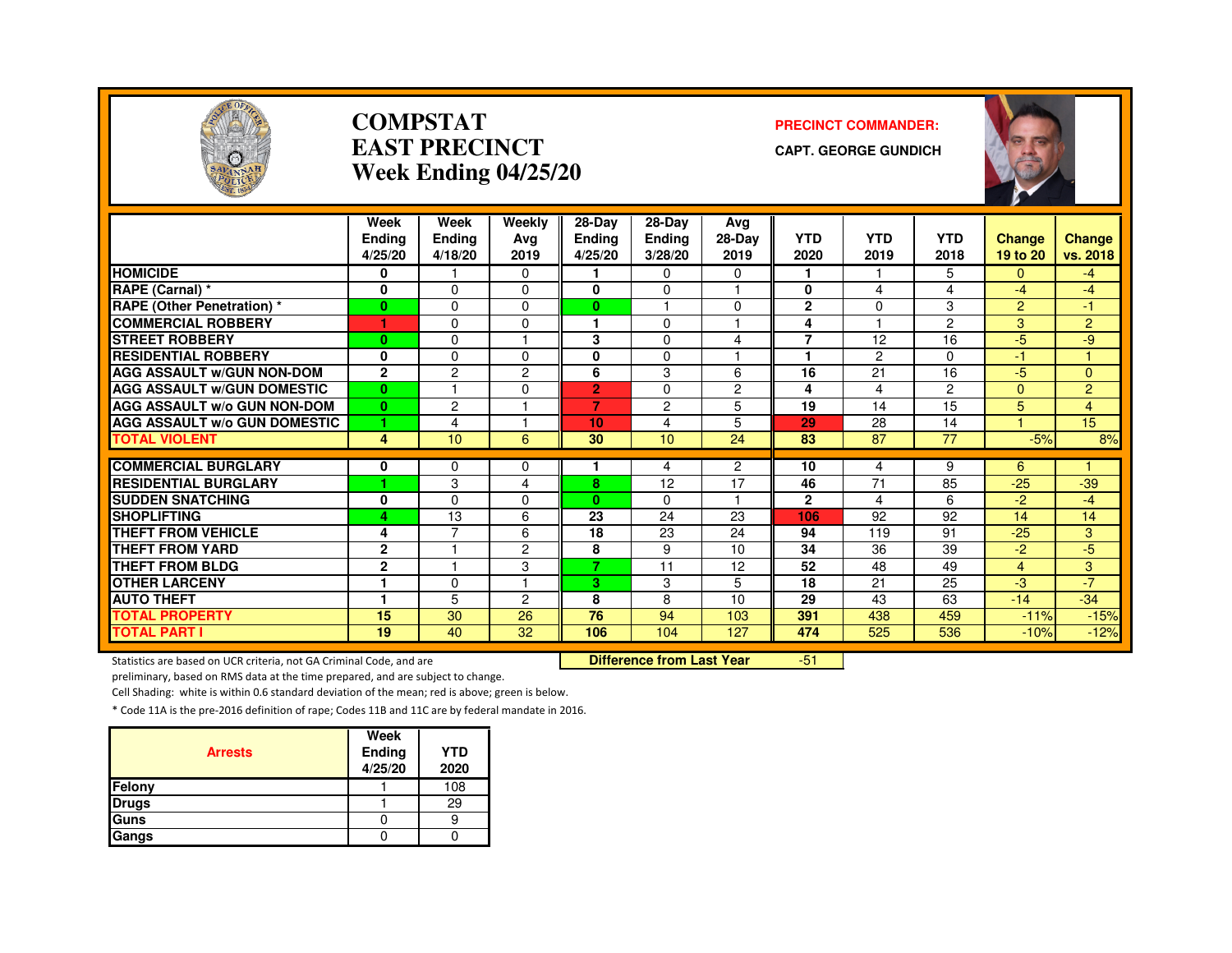

#### **COMPSTATEAST PRECINCTWeek Ending 04/25/20**

#### **PRECINCT COMMANDER:**

**CAPT. GEORGE GUNDICH**



|                                     | Week           | Week           | Weekly         | $28$ -Day       | $28-Dav$             | Ava            |                |            |                |                |                |
|-------------------------------------|----------------|----------------|----------------|-----------------|----------------------|----------------|----------------|------------|----------------|----------------|----------------|
|                                     | Endina         | Ending         | Avg            | <b>Ending</b>   | <b>Ending</b>        | 28-Day         | <b>YTD</b>     | <b>YTD</b> | <b>YTD</b>     | Change         | Change         |
|                                     | 4/25/20        | 4/18/20        | 2019           | 4/25/20         | 3/28/20              | 2019           | 2020           | 2019       | 2018           | 19 to 20       | vs. 2018       |
| <b>HOMICIDE</b>                     | 0              |                | $\Omega$       |                 | 0                    | 0              | 1              |            | 5.             | 0              | $-4$           |
| RAPE (Carnal) *                     | 0              | $\Omega$       | $\Omega$       | $\bf{0}$        | 0                    | 1              | $\mathbf{0}$   | 4          | 4              | $-4$           | $-4$           |
| <b>RAPE (Other Penetration) *</b>   | $\bf{0}$       | $\Omega$       | $\Omega$       | $\mathbf{0}$    | $\blacktriangleleft$ | $\Omega$       | $\mathbf{2}$   | $\Omega$   | 3              | $\overline{2}$ | 47             |
| <b>COMMERCIAL ROBBERY</b>           | 1              | $\Omega$       | 0              | 1.              | 0                    |                | 4              |            | $\overline{2}$ | 3              | $\overline{2}$ |
| <b>STREET ROBBERY</b>               | $\bf{0}$       | $\Omega$       |                | 3               | 0                    | 4              | $\overline{7}$ | 12         | 16             | $-5$           | -9             |
| <b>RESIDENTIAL ROBBERY</b>          | 0              | $\Omega$       | $\Omega$       | 0               | 0                    |                |                | 2          | $\Omega$       | $-1$           |                |
| <b>AGG ASSAULT w/GUN NON-DOM</b>    | $\overline{2}$ | $\overline{c}$ | 2              | 6               | 3                    | 6              | 16             | 21         | 16             | $-5$           | $\overline{0}$ |
| <b>AGG ASSAULT W/GUN DOMESTIC</b>   | $\mathbf{0}$   |                | $\Omega$       | $\overline{2}$  | 0                    | $\overline{c}$ | 4              | 4          | $\overline{2}$ | $\Omega$       | $\overline{2}$ |
| <b>AGG ASSAULT W/o GUN NON-DOM</b>  | $\bf{0}$       | 2              |                | 7               | 2                    | 5              | 19             | 14         | 15             | 5              | $\overline{4}$ |
| <b>AGG ASSAULT W/o GUN DOMESTIC</b> | 1              | 4              |                | 10 <sub>1</sub> | 4                    | 5              | 29             | 28         | 14             |                | 15             |
| <b>TOTAL VIOLENT</b>                | 4              | 10             | 6              | 30              | 10                   | 24             | 83             | 87         | 77             | $-5%$          | 8%             |
|                                     |                |                |                |                 |                      |                |                |            |                |                |                |
| <b>COMMERCIAL BURGLARY</b>          | 0              | $\Omega$       | 0              |                 | 4                    | $\overline{c}$ | 10             | 4          | 9              | 6              |                |
| <b>RESIDENTIAL BURGLARY</b>         | ٠              | 3              | 4              | 8               | 12                   | 17             | 46             | 71         | 85             | $-25$          | $-39$          |
| <b>SUDDEN SNATCHING</b>             | 0              | $\Omega$       | $\Omega$       | $\mathbf{0}$    | 0                    | ۰              | $\mathbf{2}$   | 4          | 6              | $-2$           | $-4$           |
| <b>SHOPLIFTING</b>                  | 4              | 13             | 6              | $\overline{23}$ | 24                   | 23             | 106            | 92         | 92             | 14             | 14             |
| <b>THEFT FROM VEHICLE</b>           | 4              | 7              | 6              | 18              | 23                   | 24             | 94             | 119        | 91             | $-25$          | 3              |
| <b>THEFT FROM YARD</b>              | $\mathbf 2$    |                | 2              | 8               | 9                    | 10             | 34             | 36         | 39             | $-2$           | $-5$           |
| <b>THEFT FROM BLDG</b>              | $\overline{2}$ |                | 3              | $\overline{z}$  | 11                   | 12             | 52             | 48         | 49             | 4              | 3              |
| <b>OTHER LARCENY</b>                |                | $\Omega$       |                | 3.              | 3                    | 5              | 18             | 21         | 25             | -3             | $-7$           |
| <b>AUTO THEFT</b>                   |                | 5              | $\overline{c}$ | 8               | 8                    | 10             | 29             | 43         | 63             | $-14$          | $-34$          |
| <b>TOTAL PROPERTY</b>               | 15             | 30             | 26             | 76              | 94                   | 103            | 391            | 438        | 459            | $-11%$         | $-15%$         |
| <b>TOTAL PART I</b>                 | 19             | 40             | 32             | 106             | 104                  | 127            | 474            | 525        | 536            | $-10%$         | $-12%$         |

Statistics are based on UCR criteria, not GA Criminal Code, and are **Difference from Last Year** 

-51

preliminary, based on RMS data at the time prepared, and are subject to change.

Cell Shading: white is within 0.6 standard deviation of the mean; red is above; green is below.

| <b>Arrests</b> | Week<br>Ending<br>4/25/20 | <b>YTD</b><br>2020 |
|----------------|---------------------------|--------------------|
| Felony         |                           | 108                |
| <b>Drugs</b>   |                           | 29                 |
| Guns           |                           |                    |
| Gangs          |                           |                    |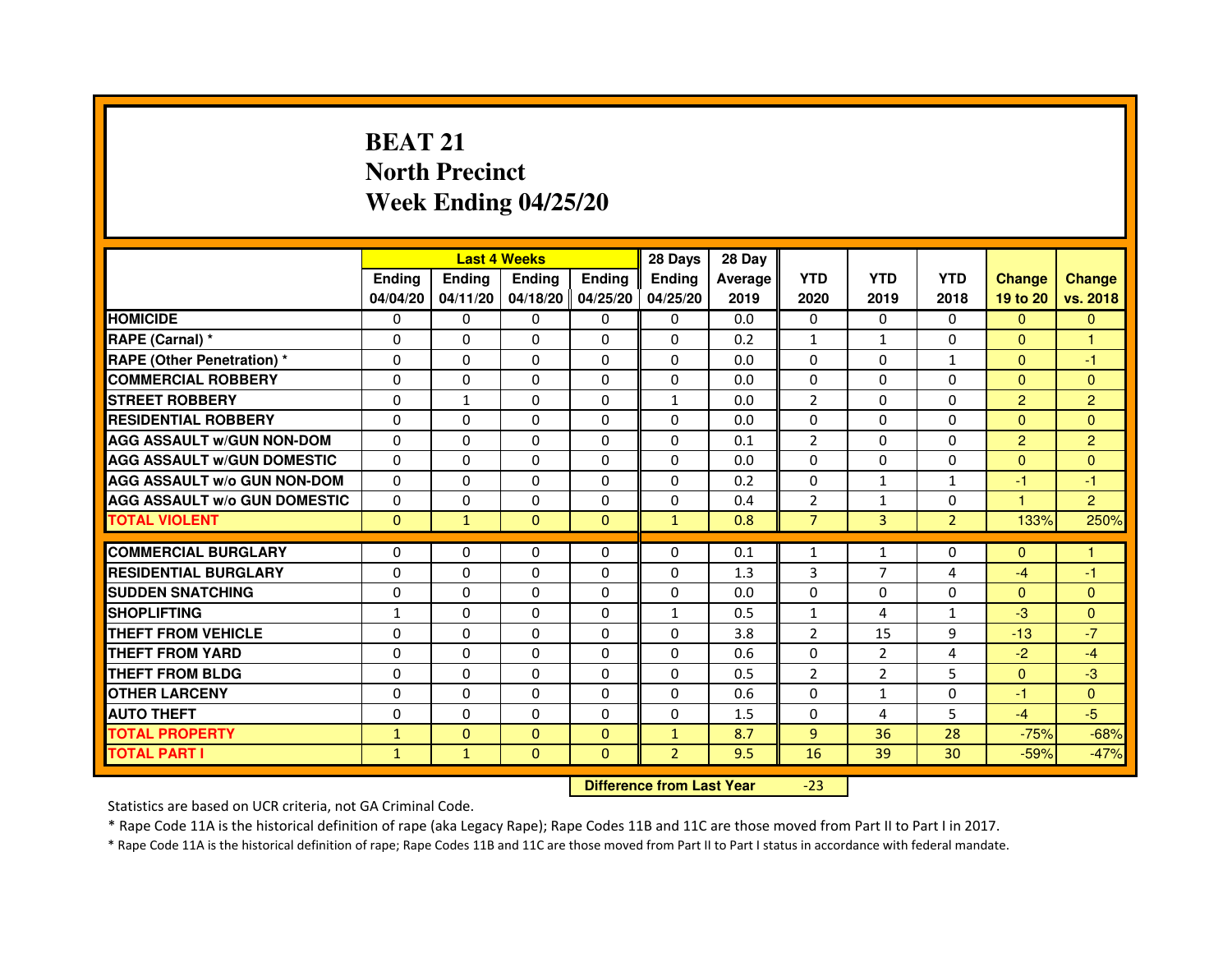# **BEAT 21 North PrecinctWeek Ending 04/25/20**

|                                     |               | <b>Last 4 Weeks</b> |                |                   | 28 Days        | 28 Day  |                |                |                |                |                |
|-------------------------------------|---------------|---------------------|----------------|-------------------|----------------|---------|----------------|----------------|----------------|----------------|----------------|
|                                     | <b>Endina</b> | Ending              | <b>Endina</b>  | <b>Endina</b>     | <b>Endina</b>  | Average | <b>YTD</b>     | <b>YTD</b>     | <b>YTD</b>     | <b>Change</b>  | <b>Change</b>  |
|                                     | 04/04/20      | 04/11/20            |                | 04/18/20 04/25/20 | 04/25/20       | 2019    | 2020           | 2019           | 2018           | 19 to 20       | vs. 2018       |
| <b>HOMICIDE</b>                     | 0             | 0                   | 0              | 0                 | 0              | 0.0     | $\mathbf{0}$   | 0              | 0              | $\mathbf{0}$   | $\mathbf{0}$   |
| RAPE (Carnal) *                     | $\Omega$      | $\Omega$            | $\Omega$       | $\Omega$          | $\Omega$       | 0.2     | $\mathbf{1}$   | $\mathbf{1}$   | $\Omega$       | $\Omega$       | $\mathbf{1}$   |
| <b>RAPE (Other Penetration) *</b>   | 0             | $\Omega$            | $\Omega$       | $\Omega$          | $\Omega$       | 0.0     | $\Omega$       | $\Omega$       | $\mathbf{1}$   | $\Omega$       | $-1$           |
| <b>COMMERCIAL ROBBERY</b>           | 0             | 0                   | $\Omega$       | $\Omega$          | $\Omega$       | 0.0     | $\Omega$       | $\Omega$       | $\Omega$       | $\Omega$       | $\Omega$       |
| <b>STREET ROBBERY</b>               | 0             | $\mathbf{1}$        | 0              | $\Omega$          | $\mathbf{1}$   | 0.0     | $\overline{2}$ | $\Omega$       | $\Omega$       | $\overline{2}$ | $\overline{2}$ |
| <b>RESIDENTIAL ROBBERY</b>          | 0             | $\Omega$            | 0              | $\Omega$          | 0              | 0.0     | 0              | 0              | $\Omega$       | $\Omega$       | $\Omega$       |
| <b>AGG ASSAULT W/GUN NON-DOM</b>    | $\Omega$      | $\mathbf 0$         | $\Omega$       | $\Omega$          | $\Omega$       | 0.1     | $\overline{2}$ | $\Omega$       | $\Omega$       | $\overline{2}$ | $\overline{2}$ |
| <b>AGG ASSAULT W/GUN DOMESTIC</b>   | $\Omega$      | $\Omega$            | 0              | 0                 | $\Omega$       | 0.0     | $\Omega$       | 0              | $\Omega$       | $\Omega$       | $\Omega$       |
| <b>AGG ASSAULT W/o GUN NON-DOM</b>  | $\Omega$      | 0                   | $\Omega$       | 0                 | $\Omega$       | 0.2     | $\Omega$       | $\mathbf{1}$   | 1              | $-1$           | $-1$           |
| <b>AGG ASSAULT W/o GUN DOMESTIC</b> | $\Omega$      | $\Omega$            | 0              | $\Omega$          | $\Omega$       | 0.4     | $\overline{2}$ | $\mathbf{1}$   | $\Omega$       | 1.             | $\overline{2}$ |
| <b>TOTAL VIOLENT</b>                | $\Omega$      | $\mathbf{1}$        | $\Omega$       | $\mathbf{0}$      | $\mathbf{1}$   | 0.8     | $\overline{7}$ | $\overline{3}$ | $\overline{2}$ | 133%           | 250%           |
|                                     |               |                     |                |                   |                |         |                |                |                |                |                |
| <b>COMMERCIAL BURGLARY</b>          | 0             | 0                   | $\Omega$       | 0                 | $\Omega$       | 0.1     | $\mathbf{1}$   | $\mathbf{1}$   | $\Omega$       | $\Omega$       | $\mathbf{1}$   |
| <b>RESIDENTIAL BURGLARY</b>         | 0             | 0                   | 0              | $\Omega$          | $\Omega$       | 1.3     | 3              | $\overline{7}$ | 4              | $-4$           | $-1$           |
| <b>SUDDEN SNATCHING</b>             | 0             | 0                   | $\Omega$       | $\Omega$          | $\Omega$       | 0.0     | $\Omega$       | $\Omega$       | $\Omega$       | $\Omega$       | $\Omega$       |
| <b>SHOPLIFTING</b>                  | $\mathbf{1}$  | 0                   | $\Omega$       | $\Omega$          | $\mathbf{1}$   | 0.5     | $\mathbf{1}$   | 4              | $\mathbf{1}$   | $-3$           | $\mathbf{0}$   |
| <b>THEFT FROM VEHICLE</b>           | 0             | $\Omega$            | $\Omega$       | $\Omega$          | $\Omega$       | 3.8     | $\overline{2}$ | 15             | 9              | $-13$          | $-7$           |
| <b>THEFT FROM YARD</b>              | 0             | 0                   | $\Omega$       | $\Omega$          | $\Omega$       | 0.6     | $\Omega$       | $\overline{2}$ | $\overline{a}$ | $-2$           | $-4$           |
| <b>THEFT FROM BLDG</b>              | 0             | 0                   | 0              | 0                 | 0              | 0.5     | $\overline{2}$ | 2              | 5              | $\mathbf{0}$   | -3             |
| <b>OTHER LARCENY</b>                | 0             | $\Omega$            | 0              | 0                 | $\Omega$       | 0.6     | $\Omega$       | $\mathbf{1}$   | $\Omega$       | $-1$           | $\Omega$       |
| <b>AUTO THEFT</b>                   | $\mathbf 0$   | 0                   | $\mathbf 0$    | $\Omega$          | $\Omega$       | 1.5     | $\Omega$       | 4              | 5              | $-4$           | $-5$           |
| <b>TOTAL PROPERTY</b>               | $\mathbf{1}$  | $\mathbf{0}$        | $\Omega$       | $\mathbf{0}$      | $\mathbf{1}$   | 8.7     | 9              | 36             | 28             | $-75%$         | $-68%$         |
| <b>TOTAL PART I</b>                 | $\mathbf{1}$  | $\mathbf{1}$        | $\overline{0}$ | $\Omega$          | $\overline{2}$ | 9.5     | 16             | 39             | 30             | $-59%$         | $-47%$         |

 **Difference from Last Year**

-23

Statistics are based on UCR criteria, not GA Criminal Code.

\* Rape Code 11A is the historical definition of rape (aka Legacy Rape); Rape Codes 11B and 11C are those moved from Part II to Part I in 2017.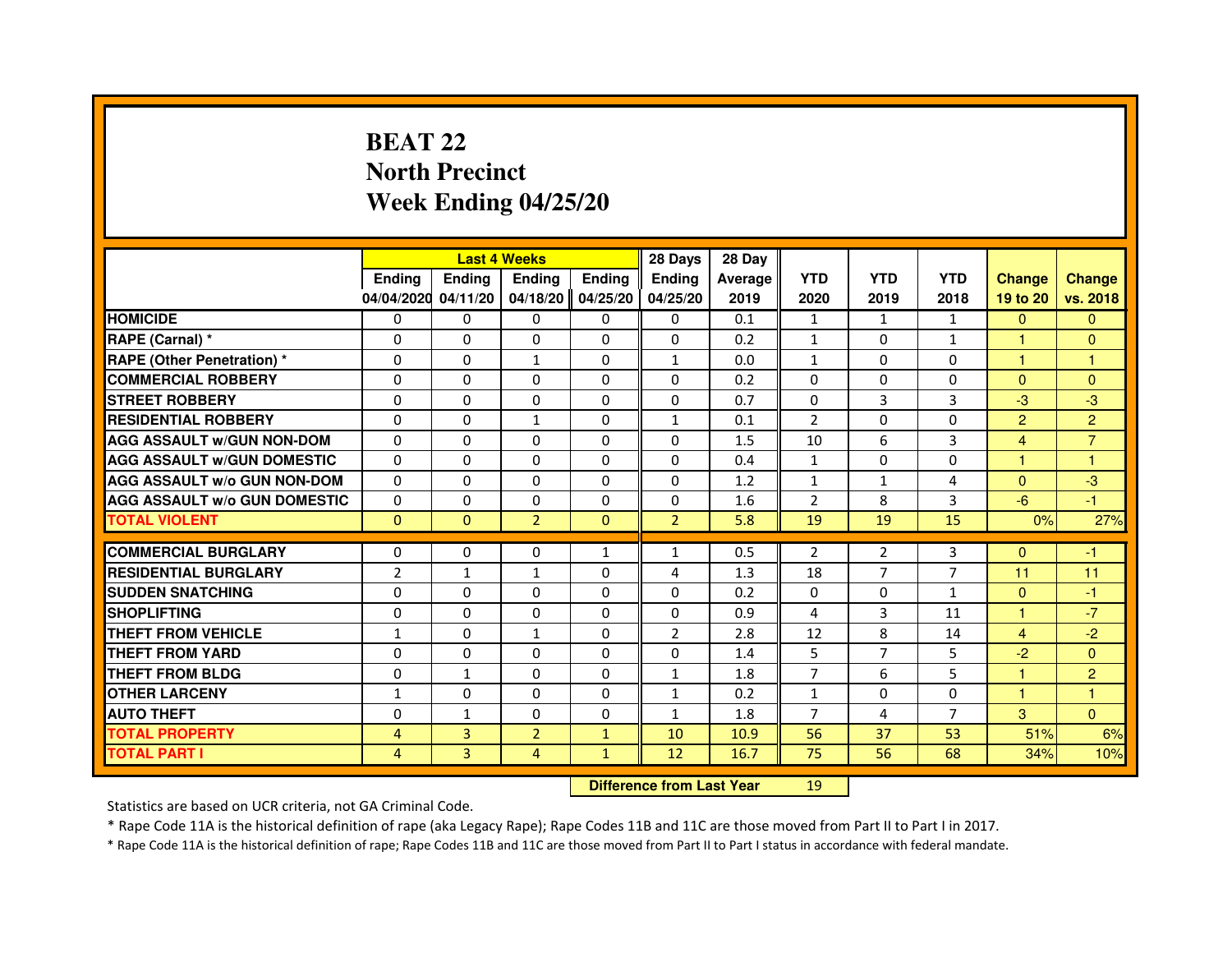# **BEAT 22 North PrecinctWeek Ending 04/25/20**

|                                     |               | <b>Last 4 Weeks</b> |                                  |               | 28 Days        | 28 Day  |                |                |                |                |                |
|-------------------------------------|---------------|---------------------|----------------------------------|---------------|----------------|---------|----------------|----------------|----------------|----------------|----------------|
|                                     | <b>Ending</b> | Ending              | <b>Ending</b>                    | <b>Ending</b> | <b>Ending</b>  | Average | <b>YTD</b>     | <b>YTD</b>     | <b>YTD</b>     | <b>Change</b>  | <b>Change</b>  |
|                                     | 04/04/2020    | 04/11/20            | 04/18/20                         | 04/25/20      | 04/25/20       | 2019    | 2020           | 2019           | 2018           | 19 to 20       | vs. 2018       |
| <b>HOMICIDE</b>                     | 0             | $\Omega$            | $\Omega$                         | $\Omega$      | 0              | 0.1     | $\mathbf{1}$   | $\mathbf{1}$   | $\mathbf{1}$   | $\mathbf{0}$   | $\mathbf{0}$   |
| RAPE (Carnal) *                     | 0             | 0                   | 0                                | 0             | 0              | 0.2     | $\mathbf{1}$   | 0              | 1              | 1              | $\overline{0}$ |
| RAPE (Other Penetration) *          | $\Omega$      | 0                   | 1                                | $\Omega$      | $\mathbf{1}$   | 0.0     | $\mathbf{1}$   | $\Omega$       | $\Omega$       | 1              | 1              |
| <b>COMMERCIAL ROBBERY</b>           | $\Omega$      | $\Omega$            | $\Omega$                         | $\Omega$      | $\Omega$       | 0.2     | $\Omega$       | $\Omega$       | $\Omega$       | $\Omega$       | $\mathbf{0}$   |
| <b>STREET ROBBERY</b>               | $\Omega$      | $\Omega$            | $\Omega$                         | $\Omega$      | $\Omega$       | 0.7     | $\Omega$       | $\overline{3}$ | 3              | $-3$           | $-3$           |
| <b>RESIDENTIAL ROBBERY</b>          | 0             | 0                   | 1                                | 0             | $\mathbf{1}$   | 0.1     | $\overline{2}$ | $\Omega$       | $\Omega$       | $\overline{2}$ | $\overline{2}$ |
| <b>AGG ASSAULT W/GUN NON-DOM</b>    | $\Omega$      | $\Omega$            | $\Omega$                         | $\Omega$      | $\Omega$       | 1.5     | 10             | 6              | 3              | $\overline{4}$ | $\overline{7}$ |
| <b>AGG ASSAULT W/GUN DOMESTIC</b>   | $\Omega$      | $\Omega$            | $\Omega$                         | $\Omega$      | $\Omega$       | 0.4     | $\mathbf{1}$   | $\Omega$       | $\Omega$       | $\mathbf{1}$   | $\mathbf{1}$   |
| <b>AGG ASSAULT W/o GUN NON-DOM</b>  | $\Omega$      | $\Omega$            | $\Omega$                         | $\Omega$      | $\Omega$       | 1.2     | $\mathbf{1}$   | $\mathbf{1}$   | 4              | $\Omega$       | $-3$           |
| <b>AGG ASSAULT W/o GUN DOMESTIC</b> | $\Omega$      | $\Omega$            | 0                                | $\Omega$      | $\Omega$       | 1.6     | 2              | 8              | 3              | $-6$           | $-1$           |
| <b>TOTAL VIOLENT</b>                | $\mathbf{0}$  | $\mathbf{0}$        | $\overline{2}$                   | $\mathbf{0}$  | $\overline{2}$ | 5.8     | 19             | 19             | 15             | 0%             | 27%            |
| <b>COMMERCIAL BURGLARY</b>          | 0             | 0                   | 0                                | 1             | $\mathbf{1}$   | 0.5     | 2              | 2              | 3              | $\Omega$       | $-1$           |
| <b>RESIDENTIAL BURGLARY</b>         | 2             | 1                   | 1                                | $\Omega$      | 4              | 1.3     | 18             | $\overline{7}$ | $\overline{7}$ | 11             | 11             |
| <b>SUDDEN SNATCHING</b>             | $\Omega$      | $\Omega$            | $\Omega$                         | $\Omega$      | $\Omega$       | 0.2     | $\Omega$       | $\Omega$       | $\mathbf{1}$   | $\Omega$       | $-1$           |
| <b>SHOPLIFTING</b>                  | 0             | $\Omega$            | $\Omega$                         | 0             | 0              | 0.9     | 4              | 3              | 11             | 1              | $-7$           |
| THEFT FROM VEHICLE                  | 1             | $\Omega$            | $\mathbf{1}$                     | $\Omega$      | $\overline{2}$ | 2.8     | 12             | 8              | 14             | $\overline{4}$ | $-2$           |
| <b>THEFT FROM YARD</b>              | $\Omega$      | $\Omega$            | $\Omega$                         | $\Omega$      | $\Omega$       | 1.4     | 5              | $\overline{7}$ | 5              | $-2$           | $\overline{0}$ |
| <b>THEFT FROM BLDG</b>              | $\Omega$      | $\mathbf{1}$        | $\Omega$                         | $\Omega$      | $\mathbf{1}$   | 1.8     | $\overline{7}$ | 6              | 5              | $\mathbf{1}$   | $\overline{2}$ |
| <b>OTHER LARCENY</b>                | 1             | $\Omega$            | 0                                | 0             | $\mathbf{1}$   | 0.2     | $\mathbf{1}$   | 0              | 0              | 1              | 1              |
| <b>AUTO THEFT</b>                   | $\Omega$      | $\mathbf{1}$        | $\Omega$                         | $\Omega$      | $\mathbf{1}$   | 1.8     | $\overline{7}$ | 4              | $\overline{7}$ | 3              | $\Omega$       |
| <b>TOTAL PROPERTY</b>               | 4             | 3                   | $\overline{2}$                   | $\mathbf{1}$  | 10             | 10.9    | 56             | 37             | 53             | 51%            | 6%             |
| <b>TOTAL PART I</b>                 | 4             | 3                   | 4                                | $\mathbf{1}$  | 12             | 16.7    | 75             | 56             | 68             | 34%            | 10%            |
|                                     |               |                     | <b>Difference from Last Year</b> |               | 19             |         |                |                |                |                |                |

 **Difference from Last Year**

Statistics are based on UCR criteria, not GA Criminal Code.

\* Rape Code 11A is the historical definition of rape (aka Legacy Rape); Rape Codes 11B and 11C are those moved from Part II to Part I in 2017.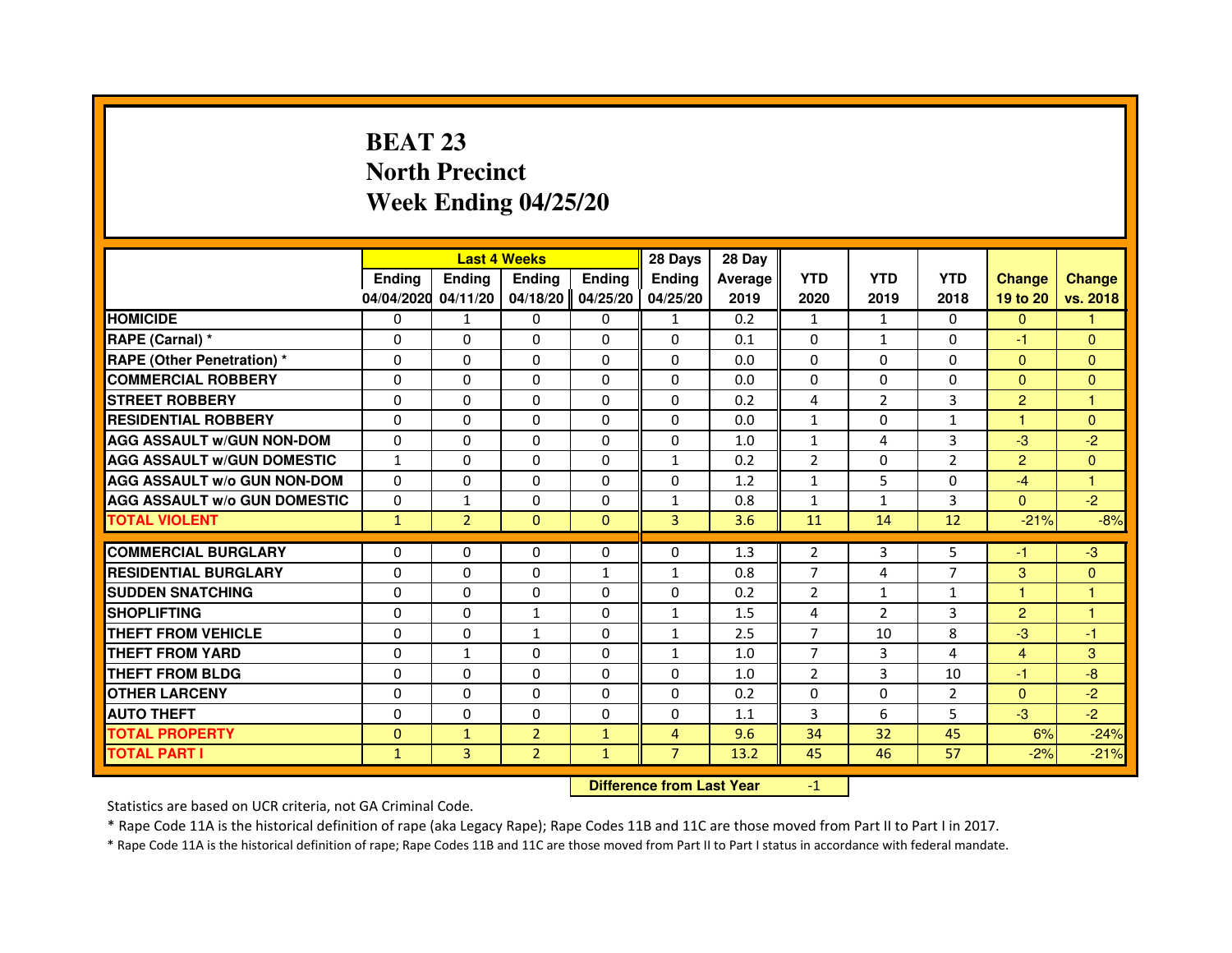# **BEAT 23 North PrecinctWeek Ending 04/25/20**

|                                     |               |                | <b>Last 4 Weeks</b> |               | 28 Days        | 28 Day  |                |                |                |                |                |
|-------------------------------------|---------------|----------------|---------------------|---------------|----------------|---------|----------------|----------------|----------------|----------------|----------------|
|                                     | <b>Endina</b> | Ending         | <b>Endina</b>       | <b>Endina</b> | <b>Endina</b>  | Average | <b>YTD</b>     | <b>YTD</b>     | <b>YTD</b>     | <b>Change</b>  | <b>Change</b>  |
|                                     | 04/04/2020    | 04/11/20       | 04/18/20            | 04/25/20      | 04/25/20       | 2019    | 2020           | 2019           | 2018           | 19 to 20       | vs. 2018       |
| <b>HOMICIDE</b>                     | 0             | $\mathbf{1}$   | $\Omega$            | 0             | $\mathbf{1}$   | 0.2     | $\mathbf{1}$   | $\mathbf{1}$   | $\mathbf{0}$   | $\Omega$       | 1              |
| RAPE (Carnal) *                     | $\Omega$      | $\Omega$       | $\Omega$            | $\Omega$      | $\Omega$       | 0.1     | $\Omega$       | $\mathbf{1}$   | $\Omega$       | $-1$           | $\mathbf{0}$   |
| <b>RAPE (Other Penetration)*</b>    | $\mathbf{0}$  | $\mathbf{0}$   | $\Omega$            | $\mathbf{0}$  | $\Omega$       | 0.0     | $\Omega$       | $\mathbf{0}$   | 0              | $\mathbf{0}$   | $\mathbf{0}$   |
| <b>COMMERCIAL ROBBERY</b>           | 0             | $\Omega$       | 0                   | 0             | $\Omega$       | 0.0     | 0              | $\Omega$       | $\Omega$       | $\mathbf{0}$   | $\overline{0}$ |
| <b>STREET ROBBERY</b>               | $\Omega$      | $\Omega$       | 0                   | $\Omega$      | $\Omega$       | 0.2     | 4              | $\overline{2}$ | 3              | $\overline{2}$ | 1              |
| <b>RESIDENTIAL ROBBERY</b>          | 0             | $\mathbf{0}$   | 0                   | $\Omega$      | $\Omega$       | 0.0     | $\mathbf{1}$   | 0              | $\mathbf{1}$   | 1              | $\mathbf{0}$   |
| <b>AGG ASSAULT w/GUN NON-DOM</b>    | $\Omega$      | $\Omega$       | $\Omega$            | $\Omega$      | $\Omega$       | 1.0     | $\mathbf{1}$   | 4              | 3              | $-3$           | $-2$           |
| <b>AGG ASSAULT W/GUN DOMESTIC</b>   | $\mathbf{1}$  | $\Omega$       | $\Omega$            | $\Omega$      | $\mathbf{1}$   | 0.2     | $\overline{2}$ | $\Omega$       | $\overline{2}$ | $\overline{2}$ | $\mathbf{0}$   |
| <b>AGG ASSAULT w/o GUN NON-DOM</b>  | 0             | 0              | 0                   | 0             | $\Omega$       | 1.2     | $\mathbf{1}$   | 5              | $\Omega$       | -4             | 1              |
| <b>AGG ASSAULT W/o GUN DOMESTIC</b> | $\Omega$      | $\mathbf{1}$   | 0                   | $\Omega$      | $\mathbf{1}$   | 0.8     | $\mathbf{1}$   | $\mathbf{1}$   | 3              | $\Omega$       | $-2$           |
| <b>TOTAL VIOLENT</b>                | $\mathbf{1}$  | $\overline{2}$ | $\mathbf{0}$        | $\Omega$      | 3              | 3.6     | 11             | 14             | 12             | $-21%$         | $-8%$          |
|                                     |               |                |                     |               |                |         |                |                |                |                |                |
| <b>COMMERCIAL BURGLARY</b>          | 0             | 0              | 0                   | $\mathbf{0}$  | 0              | 1.3     | $\overline{2}$ | 3              | 5              | -1             | $-3$           |
| <b>RESIDENTIAL BURGLARY</b>         | $\Omega$      | $\mathbf{0}$   | 0                   | $\mathbf{1}$  | $\mathbf{1}$   | 0.8     | $\overline{7}$ | 4              | $\overline{7}$ | 3              | $\Omega$       |
| <b>SUDDEN SNATCHING</b>             | $\Omega$      | $\Omega$       | $\Omega$            | $\Omega$      | 0              | 0.2     | $\overline{2}$ | $\mathbf{1}$   | $\mathbf{1}$   | 1              | 1              |
| <b>SHOPLIFTING</b>                  | $\Omega$      | $\Omega$       | $\mathbf{1}$        | $\Omega$      | $\mathbf{1}$   | 1.5     | 4              | $\overline{2}$ | 3              | $\overline{2}$ | $\mathbf{1}$   |
| THEFT FROM VEHICLE                  | $\Omega$      | $\Omega$       | $\mathbf{1}$        | $\Omega$      | $\mathbf{1}$   | 2.5     | $\overline{7}$ | 10             | 8              | $-3$           | $-1$           |
| <b>THEFT FROM YARD</b>              | 0             | $\mathbf{1}$   | 0                   | 0             | $\mathbf{1}$   | 1.0     | $\overline{7}$ | 3              | 4              | 4              | 3              |
| <b>THEFT FROM BLDG</b>              | $\Omega$      | $\mathbf{0}$   | 0                   | $\mathbf{0}$  | $\Omega$       | 1.0     | $\overline{2}$ | 3              | 10             | $-1$           | -8             |
| <b>OTHER LARCENY</b>                | $\Omega$      | $\Omega$       | $\Omega$            | $\Omega$      | $\Omega$       | 0.2     | $\Omega$       | $\Omega$       | $\overline{2}$ | $\Omega$       | $-2$           |
| <b>AUTO THEFT</b>                   | $\Omega$      | $\Omega$       | $\Omega$            | $\Omega$      | $\Omega$       | 1.1     | 3              | 6              | 5              | $-3$           | $-2$           |
| <b>TOTAL PROPERTY</b>               | $\mathbf{0}$  | $\mathbf{1}$   | $\overline{2}$      | $\mathbf{1}$  | $\overline{4}$ | 9.6     | 34             | 32             | 45             | 6%             | $-24%$         |
| <b>TOTAL PART I</b>                 | $\mathbf{1}$  | 3              | $\overline{2}$      | $\mathbf{1}$  | $\overline{7}$ | 13.2    | 45             | 46             | 57             | $-2%$          | $-21%$         |

 **Difference from Last Year**

-1

Statistics are based on UCR criteria, not GA Criminal Code.

\* Rape Code 11A is the historical definition of rape (aka Legacy Rape); Rape Codes 11B and 11C are those moved from Part II to Part I in 2017.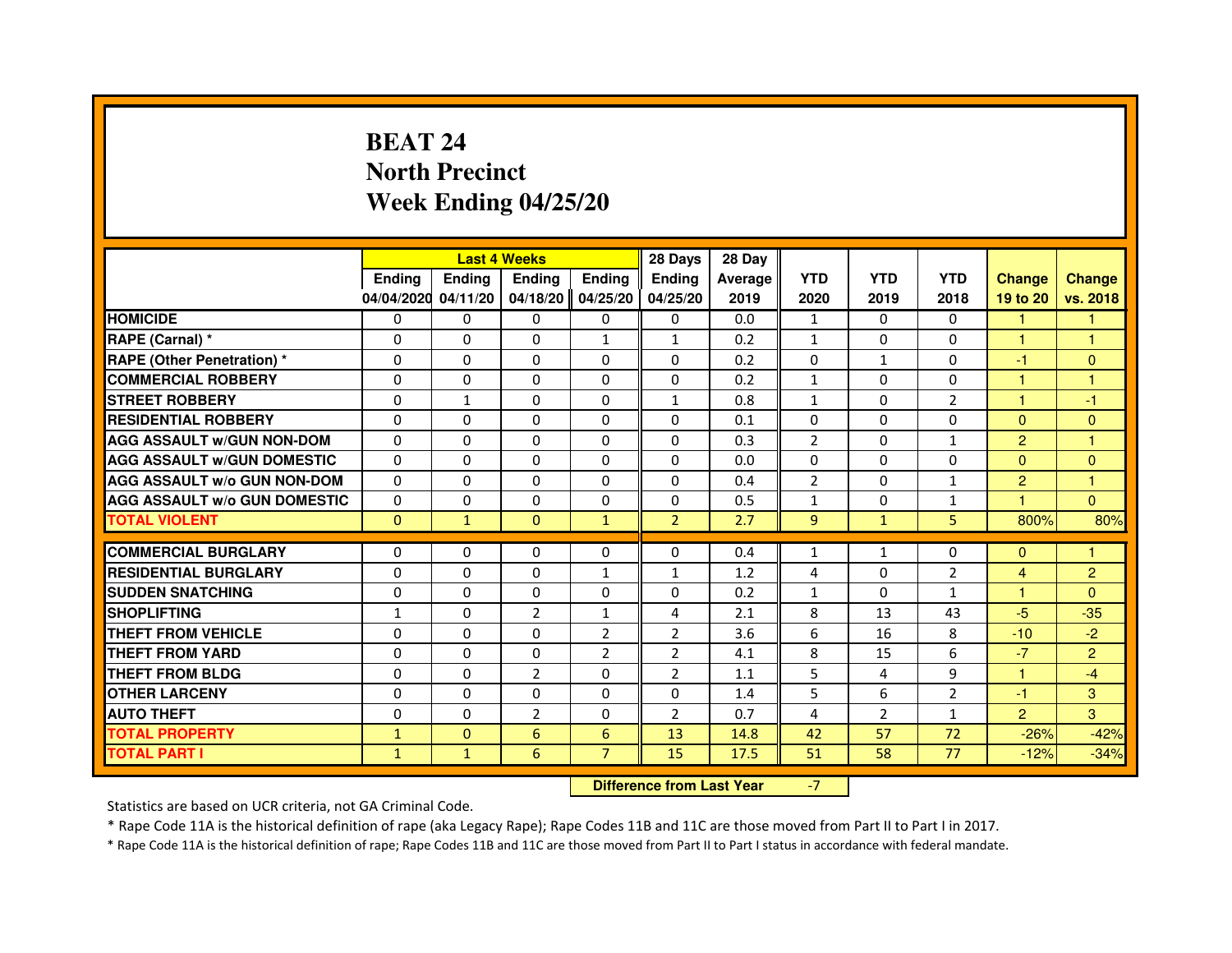# **BEAT 24 North PrecinctWeek Ending 04/25/20**

|                                     |               | <b>Last 4 Weeks</b>              |                |                 | 28 Days        | 28 Day  |                |                |                |                |                |
|-------------------------------------|---------------|----------------------------------|----------------|-----------------|----------------|---------|----------------|----------------|----------------|----------------|----------------|
|                                     | <b>Ending</b> | <b>Ending</b>                    | <b>Ending</b>  | <b>Ending</b>   | <b>Ending</b>  | Average | <b>YTD</b>     | <b>YTD</b>     | <b>YTD</b>     | <b>Change</b>  | <b>Change</b>  |
|                                     | 04/04/2020    | 04/11/20                         | 04/18/20       | 04/25/20        | 04/25/20       | 2019    | 2020           | 2019           | 2018           | 19 to 20       | vs. 2018       |
| <b>HOMICIDE</b>                     | 0             | $\Omega$                         | $\mathbf{0}$   | 0               | 0              | 0.0     | $\mathbf{1}$   | $\Omega$       | $\Omega$       | 1.             | $\mathbf{1}$   |
| RAPE (Carnal) *                     | 0             | 0                                | 0              | 1               | 1              | 0.2     | $\mathbf{1}$   | 0              | 0              | $\mathbf{1}$   | 1              |
| <b>RAPE (Other Penetration) *</b>   | $\Omega$      | $\Omega$                         | $\Omega$       | $\Omega$        | $\Omega$       | 0.2     | $\Omega$       | 1              | $\Omega$       | $-1$           | $\mathbf{0}$   |
| <b>COMMERCIAL ROBBERY</b>           | 0             | 0                                | $\Omega$       | $\Omega$        | 0              | 0.2     | $\mathbf{1}$   | 0              | 0              | $\mathbf{1}$   | $\mathbf{1}$   |
| <b>STREET ROBBERY</b>               | $\Omega$      | $\mathbf{1}$                     | $\Omega$       | $\Omega$        | $\mathbf{1}$   | 0.8     | $\mathbf{1}$   | $\Omega$       | $\overline{2}$ | $\mathbf{1}$   | -1             |
| <b>RESIDENTIAL ROBBERY</b>          | 0             | 0                                | 0              | 0               | $\mathbf{0}$   | 0.1     | 0              | 0              | $\Omega$       | $\Omega$       | $\mathbf{0}$   |
| <b>AGG ASSAULT W/GUN NON-DOM</b>    | $\Omega$      | $\Omega$                         | 0              | $\Omega$        | $\mathbf{0}$   | 0.3     | $\overline{2}$ | $\mathbf{0}$   | $\mathbf{1}$   | $\overline{2}$ | $\mathbf{1}$   |
| <b>AGG ASSAULT W/GUN DOMESTIC</b>   | $\Omega$      | $\Omega$                         | $\Omega$       | $\Omega$        | $\Omega$       | 0.0     | $\Omega$       | $\Omega$       | 0              | $\Omega$       | $\Omega$       |
| <b>AGG ASSAULT W/o GUN NON-DOM</b>  | $\Omega$      | $\Omega$                         | $\Omega$       | $\Omega$        | $\mathbf{0}$   | 0.4     | $\overline{2}$ | $\mathbf{0}$   | $\mathbf{1}$   | $\overline{2}$ | $\mathbf{1}$   |
| <b>AGG ASSAULT W/o GUN DOMESTIC</b> | 0             | 0                                | 0              | $\Omega$        | $\Omega$       | 0.5     | $\mathbf{1}$   | 0              | $\mathbf{1}$   | H              | $\Omega$       |
| <b>TOTAL VIOLENT</b>                | $\mathbf{0}$  | $\mathbf{1}$                     | $\mathbf{0}$   | $\mathbf{1}$    | $\overline{2}$ | 2.7     | $\overline{9}$ | $\mathbf{1}$   | 5              | 800%           | 80%            |
| <b>COMMERCIAL BURGLARY</b>          | 0             | 0                                | 0              | 0               | 0              | 0.4     | $\mathbf{1}$   | 1              | 0              | $\mathbf{0}$   | 1              |
| <b>RESIDENTIAL BURGLARY</b>         | $\Omega$      | $\Omega$                         | $\Omega$       | 1               | $\mathbf{1}$   | 1.2     | 4              | $\mathbf{0}$   | $\overline{2}$ | 4              | $\overline{2}$ |
| <b>SUDDEN SNATCHING</b>             | $\Omega$      | $\Omega$                         | $\Omega$       | $\Omega$        | $\Omega$       | 0.2     | $\mathbf{1}$   | $\Omega$       | $\mathbf{1}$   | $\mathbf{1}$   | $\Omega$       |
| <b>SHOPLIFTING</b>                  | $\mathbf{1}$  | $\mathbf{0}$                     | $\overline{2}$ | $\mathbf{1}$    | 4              | 2.1     | 8              | 13             | 43             | $-5$           | $-35$          |
| THEFT FROM VEHICLE                  | 0             | $\Omega$                         | 0              | $\overline{2}$  | $\overline{2}$ | 3.6     | 6              | 16             | 8              | $-10$          | $-2$           |
| <b>THEFT FROM YARD</b>              | $\Omega$      | $\Omega$                         | $\Omega$       | $\overline{2}$  | $\overline{2}$ | 4.1     | 8              | 15             | 6              | $-7$           | $\overline{2}$ |
| <b>THEFT FROM BLDG</b>              | $\Omega$      | $\Omega$                         | $\overline{2}$ | $\Omega$        | $\overline{2}$ | 1.1     | 5              | 4              | 9              | $\mathbf{1}$   | $-4$           |
| <b>OTHER LARCENY</b>                | $\Omega$      | $\Omega$                         | $\Omega$       | $\Omega$        | $\Omega$       | 1.4     | 5              | 6              | $\overline{2}$ | $-1$           | 3              |
| <b>AUTO THEFT</b>                   | $\Omega$      | $\Omega$                         | $\overline{2}$ | $\Omega$        | $\overline{2}$ | 0.7     | 4              | $\overline{2}$ | $\mathbf{1}$   | $\overline{2}$ | 3              |
| <b>TOTAL PROPERTY</b>               | $\mathbf{1}$  | $\mathbf{0}$                     | 6              | $6\phantom{1}6$ | 13             | 14.8    | 42             | 57             | 72             | $-26%$         | $-42%$         |
| <b>TOTAL PART I</b>                 | $\mathbf{1}$  | $\mathbf{1}$                     | 6              | $\overline{7}$  | 15             | 17.5    | 51             | 58             | 77             | $-12%$         | $-34%$         |
|                                     |               | <b>Difference from Last Year</b> |                | $-7$            |                |         |                |                |                |                |                |

 **Difference from Last Year**

Statistics are based on UCR criteria, not GA Criminal Code.

\* Rape Code 11A is the historical definition of rape (aka Legacy Rape); Rape Codes 11B and 11C are those moved from Part II to Part I in 2017.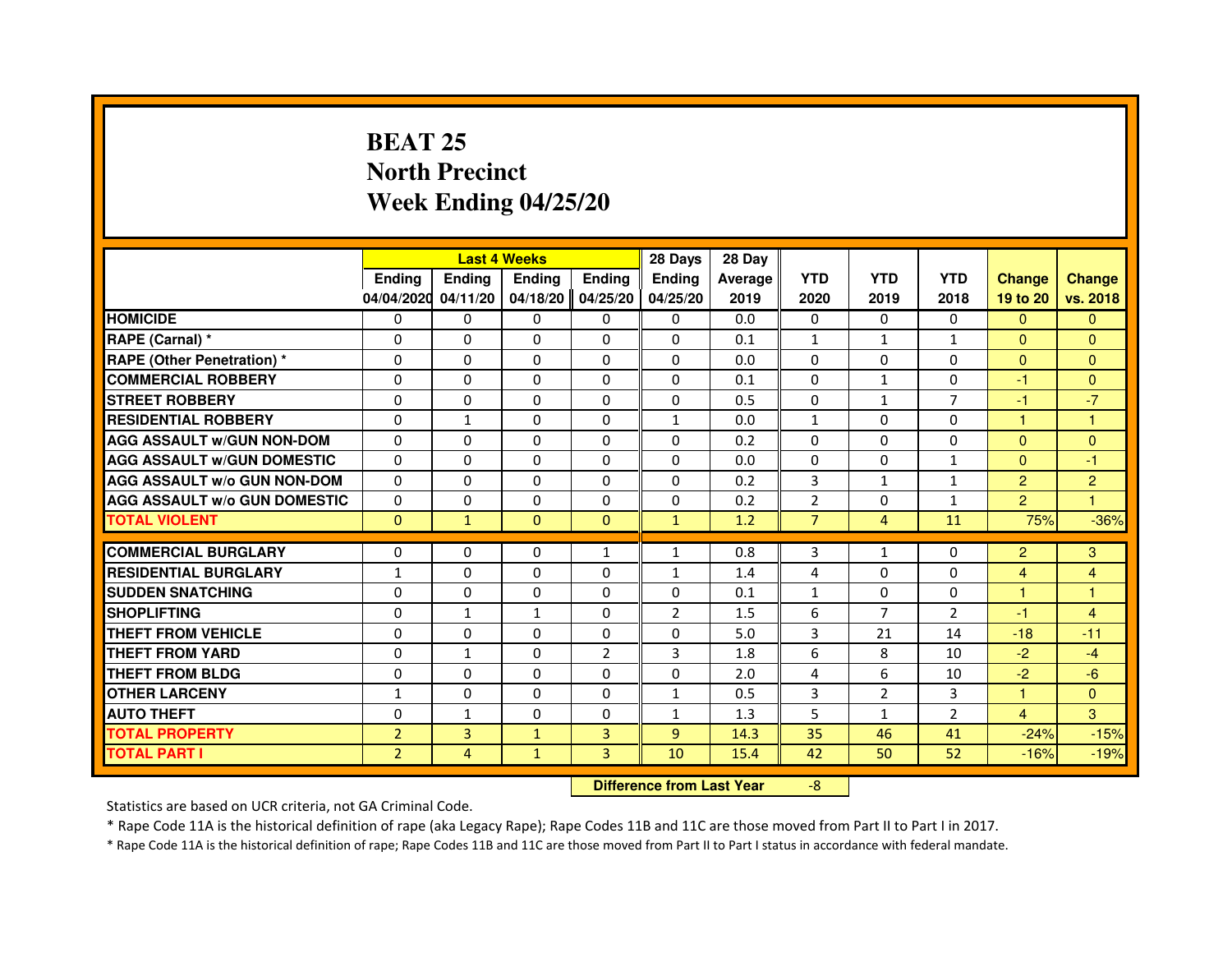# **BEAT 25 North PrecinctWeek Ending 04/25/20**

|                                     |                |                                  | <b>Last 4 Weeks</b> |                | 28 Days        | 28 Day  |                |                |                |                |                |
|-------------------------------------|----------------|----------------------------------|---------------------|----------------|----------------|---------|----------------|----------------|----------------|----------------|----------------|
|                                     | Ending         | Ending                           | <b>Ending</b>       | <b>Ending</b>  | Ending         | Average | <b>YTD</b>     | <b>YTD</b>     | <b>YTD</b>     | <b>Change</b>  | <b>Change</b>  |
|                                     | 04/04/2020     | 04/11/20                         | 04/18/20            | 04/25/20       | 04/25/20       | 2019    | 2020           | 2019           | 2018           | 19 to 20       | vs. 2018       |
| <b>HOMICIDE</b>                     | 0              | $\Omega$                         | 0                   | 0              | $\mathbf{0}$   | 0.0     | 0              | 0              | $\Omega$       | $\mathbf{0}$   | $\mathbf{0}$   |
| RAPE (Carnal) *                     | 0              | 0                                | 0                   | 0              | 0              | 0.1     | 1              | $\mathbf{1}$   | $\mathbf{1}$   | $\Omega$       | $\mathbf{0}$   |
| RAPE (Other Penetration) *          | $\Omega$       | 0                                | $\Omega$            | $\Omega$       | $\Omega$       | 0.0     | $\Omega$       | $\Omega$       | $\Omega$       | $\Omega$       | $\Omega$       |
| <b>COMMERCIAL ROBBERY</b>           | 0              | $\Omega$                         | $\Omega$            | $\Omega$       | $\Omega$       | 0.1     | $\Omega$       | $\mathbf{1}$   | $\Omega$       | $-1$           | $\overline{0}$ |
| <b>STREET ROBBERY</b>               | $\Omega$       | $\Omega$                         | $\Omega$            | $\Omega$       | $\Omega$       | 0.5     | $\Omega$       | $\mathbf{1}$   | $\overline{7}$ | $-1$           | $-7$           |
| <b>RESIDENTIAL ROBBERY</b>          | 0              | $\mathbf{1}$                     | 0                   | 0              | 1              | 0.0     | $\mathbf{1}$   | 0              | $\Omega$       | $\mathbf{1}$   | 1              |
| <b>AGG ASSAULT w/GUN NON-DOM</b>    | $\Omega$       | $\Omega$                         | $\Omega$            | $\Omega$       | $\Omega$       | 0.2     | $\Omega$       | $\Omega$       | $\Omega$       | $\Omega$       | $\Omega$       |
| <b>AGG ASSAULT W/GUN DOMESTIC</b>   | $\Omega$       | $\Omega$                         | $\Omega$            | $\Omega$       | $\Omega$       | 0.0     | $\Omega$       | $\Omega$       | $\mathbf{1}$   | $\Omega$       | $-1$           |
| <b>AGG ASSAULT W/o GUN NON-DOM</b>  | $\Omega$       | $\Omega$                         | $\Omega$            | $\Omega$       | $\Omega$       | 0.2     | 3              | $\mathbf{1}$   | $\mathbf{1}$   | 2              | $\overline{c}$ |
| <b>AGG ASSAULT w/o GUN DOMESTIC</b> | $\Omega$       | $\Omega$                         | 0                   | $\Omega$       | $\Omega$       | 0.2     | $\overline{2}$ | $\Omega$       | $\mathbf{1}$   | $\overline{2}$ | 1              |
| <b>TOTAL VIOLENT</b>                | $\mathbf{0}$   | $\mathbf{1}$                     | $\mathbf{0}$        | $\mathbf{0}$   | $\mathbf{1}$   | 1.2     | $\overline{7}$ | $\overline{4}$ | 11             | 75%            | $-36%$         |
| <b>COMMERCIAL BURGLARY</b>          | 0              | 0                                | 0                   | 1              | 1              | 0.8     | 3              | $\mathbf{1}$   | 0              | $\overline{2}$ | 3              |
| <b>RESIDENTIAL BURGLARY</b>         | $\mathbf{1}$   | $\Omega$                         | $\Omega$            | $\Omega$       | 1              | 1.4     | 4              | $\Omega$       | $\Omega$       | $\overline{4}$ | 4              |
| <b>SUDDEN SNATCHING</b>             | $\Omega$       | $\Omega$                         | $\Omega$            | $\Omega$       | $\Omega$       | 0.1     | $\mathbf{1}$   | $\Omega$       | $\Omega$       | $\mathbf{1}$   | $\mathbf{1}$   |
| <b>SHOPLIFTING</b>                  | 0              | $\mathbf{1}$                     | $\mathbf{1}$        | $\mathbf{0}$   | $\overline{2}$ | 1.5     | 6              | $\overline{7}$ | $\overline{2}$ | $-1$           | $\overline{4}$ |
| THEFT FROM VEHICLE                  | 0              | 0                                | 0                   | $\Omega$       | 0              | 5.0     | 3              | 21             | 14             | $-18$          | $-11$          |
| <b>THEFT FROM YARD</b>              | $\Omega$       | $\mathbf{1}$                     | $\Omega$            | $\overline{2}$ | 3              | 1.8     | 6              | 8              | 10             | $-2$           | $-4$           |
| <b>THEFT FROM BLDG</b>              | $\Omega$       | $\Omega$                         | $\Omega$            | $\Omega$       | $\Omega$       | 2.0     | 4              | 6              | 10             | $-2$           | $-6$           |
| <b>OTHER LARCENY</b>                | 1              | $\Omega$                         | 0                   | $\Omega$       | 1              | 0.5     | 3              | $\overline{2}$ | 3              | $\mathbf{1}$   | $\Omega$       |
| <b>AUTO THEFT</b>                   | $\Omega$       | $\mathbf{1}$                     | $\Omega$            | $\Omega$       | $\mathbf{1}$   | 1.3     | 5              | $\mathbf{1}$   | $\overline{2}$ | $\overline{4}$ | 3              |
| <b>TOTAL PROPERTY</b>               | $\overline{2}$ | 3                                | $\mathbf{1}$        | 3              | $\overline{9}$ | 14.3    | 35             | 46             | 41             | $-24%$         | $-15%$         |
| <b>TOTAL PART I</b>                 | $\overline{2}$ | $\overline{4}$                   | $\mathbf{1}$        | 3              | 10             | 15.4    | 42             | 50             | 52             | $-16%$         | $-19%$         |
|                                     |                | <b>Difference from Last Year</b> |                     | $-8$           |                |         |                |                |                |                |                |

 **Difference from Last Year**

Statistics are based on UCR criteria, not GA Criminal Code.

\* Rape Code 11A is the historical definition of rape (aka Legacy Rape); Rape Codes 11B and 11C are those moved from Part II to Part I in 2017.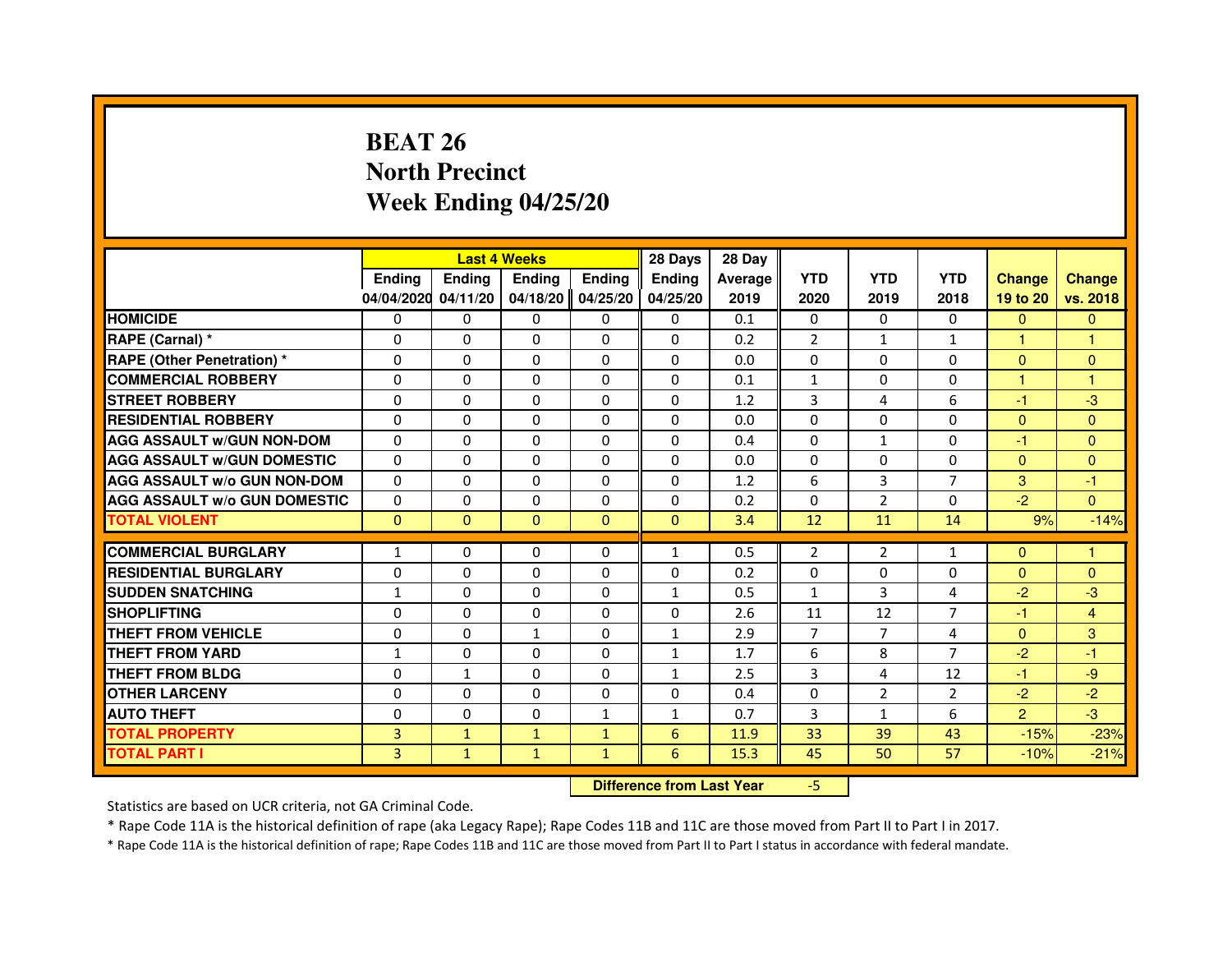# **BEAT 26 North PrecinctWeek Ending 04/25/20**

|                                     |               | <b>Last 4 Weeks</b>              |               |               | 28 Days       | 28 Day  |                |                |                |                |               |
|-------------------------------------|---------------|----------------------------------|---------------|---------------|---------------|---------|----------------|----------------|----------------|----------------|---------------|
|                                     | <b>Ending</b> | <b>Ending</b>                    | <b>Ending</b> | <b>Ending</b> | <b>Ending</b> | Average | <b>YTD</b>     | <b>YTD</b>     | <b>YTD</b>     | <b>Change</b>  | <b>Change</b> |
|                                     | 04/04/2020    | 04/11/20                         | 04/18/20      | 04/25/20      | 04/25/20      | 2019    | 2020           | 2019           | 2018           | 19 to 20       | vs. 2018      |
| <b>HOMICIDE</b>                     | 0             | $\Omega$                         | $\mathbf{0}$  | 0             | 0             | 0.1     | $\mathbf{0}$   | 0              | $\Omega$       | $\Omega$       | $\mathbf{0}$  |
| RAPE (Carnal) *                     | 0             | 0                                | 0             | 0             | 0             | 0.2     | $\overline{2}$ | 1              | $\mathbf{1}$   | 1              | 1             |
| <b>RAPE (Other Penetration) *</b>   | $\Omega$      | $\Omega$                         | $\Omega$      | $\Omega$      | $\mathbf{0}$  | 0.0     | $\mathbf{0}$   | $\mathbf{0}$   | $\Omega$       | $\mathbf{0}$   | $\mathbf{0}$  |
| <b>COMMERCIAL ROBBERY</b>           | 0             | $\Omega$                         | $\Omega$      | $\Omega$      | 0             | 0.1     | $\mathbf{1}$   | 0              | 0              | $\mathbf{1}$   | $\mathbf{1}$  |
| <b>STREET ROBBERY</b>               | $\Omega$      | $\Omega$                         | $\Omega$      | $\Omega$      | $\Omega$      | 1.2     | 3              | 4              | 6              | $-1$           | -3            |
| <b>RESIDENTIAL ROBBERY</b>          | 0             | 0                                | $\Omega$      | 0             | 0             | 0.0     | $\mathbf{0}$   | 0              | $\Omega$       | $\Omega$       | $\mathbf{0}$  |
| <b>AGG ASSAULT W/GUN NON-DOM</b>    | $\Omega$      | $\Omega$                         | 0             | $\Omega$      | $\mathbf{0}$  | 0.4     | $\Omega$       | $\mathbf{1}$   | 0              | -1             | $\mathbf{0}$  |
| <b>AGG ASSAULT W/GUN DOMESTIC</b>   | $\Omega$      | $\Omega$                         | $\Omega$      | $\Omega$      | $\Omega$      | 0.0     | $\Omega$       | $\Omega$       | $\Omega$       | $\Omega$       | $\Omega$      |
| <b>AGG ASSAULT W/o GUN NON-DOM</b>  | $\Omega$      | $\Omega$                         | $\Omega$      | $\Omega$      | $\mathbf{0}$  | 1.2     | 6              | 3              | $\overline{7}$ | 3              | -1            |
| <b>AGG ASSAULT W/o GUN DOMESTIC</b> | 0             | $\Omega$                         | 0             | $\Omega$      | $\mathbf{0}$  | 0.2     | 0              | $\overline{2}$ | 0              | $-2$           | $\Omega$      |
| <b>TOTAL VIOLENT</b>                | $\mathbf{0}$  | $\mathbf{0}$                     | $\mathbf{0}$  | $\mathbf{0}$  | $\mathbf{0}$  | 3.4     | 12             | 11             | 14             | 9%             | $-14%$        |
| <b>COMMERCIAL BURGLARY</b>          | 1             | 0                                | 0             | 0             | $\mathbf{1}$  | 0.5     | $\overline{2}$ | $\overline{2}$ | $\mathbf{1}$   | $\mathbf{0}$   | 1             |
| <b>RESIDENTIAL BURGLARY</b>         | 0             | $\Omega$                         | $\Omega$      | $\Omega$      | 0             | 0.2     | 0              | 0              | 0              | $\mathbf{0}$   | $\mathbf{0}$  |
| <b>SUDDEN SNATCHING</b>             | $\mathbf{1}$  | $\Omega$                         | $\Omega$      | $\Omega$      | $\mathbf{1}$  | 0.5     | $\mathbf{1}$   | 3              | 4              | $-2$           | $-3$          |
| <b>SHOPLIFTING</b>                  | 0             | $\mathbf{0}$                     | 0             | $\mathbf{0}$  | 0             | 2.6     | 11             | 12             | $\overline{7}$ | -1             | 4             |
| THEFT FROM VEHICLE                  | 0             | $\Omega$                         | $\mathbf{1}$  | $\Omega$      | $\mathbf{1}$  | 2.9     | $\overline{7}$ | $\overline{7}$ | 4              | $\mathbf{0}$   | 3             |
| <b>THEFT FROM YARD</b>              | 1             | $\Omega$                         | $\Omega$      | $\Omega$      | $\mathbf{1}$  | 1.7     | 6              | 8              | $\overline{7}$ | $-2$           | $-1$          |
| <b>THEFT FROM BLDG</b>              | $\Omega$      | $\mathbf{1}$                     | $\Omega$      | $\Omega$      | $\mathbf{1}$  | 2.5     | 3              | 4              | 12             | $-1$           | $-9$          |
| <b>OTHER LARCENY</b>                | $\Omega$      | $\Omega$                         | 0             | $\Omega$      | $\Omega$      | 0.4     | $\Omega$       | $\overline{2}$ | $\overline{2}$ | $-2$           | $-2$          |
| <b>AUTO THEFT</b>                   | $\Omega$      | $\Omega$                         | $\Omega$      | $\mathbf{1}$  | $\mathbf{1}$  | 0.7     | 3              | $\mathbf{1}$   | 6              | $\overline{2}$ | $-3$          |
| <b>TOTAL PROPERTY</b>               | 3             | $\mathbf{1}$                     | $\mathbf{1}$  | $\mathbf{1}$  | 6             | 11.9    | 33             | 39             | 43             | $-15%$         | $-23%$        |
| <b>TOTAL PART I</b>                 | 3             | $\mathbf{1}$                     | $\mathbf{1}$  | $\mathbf{1}$  | 6             | 15.3    | 45             | 50             | 57             | $-10%$         | $-21%$        |
|                                     |               | <b>Difference from Last Year</b> |               | $-5$          |               |         |                |                |                |                |               |

 **Difference from Last Year**

Statistics are based on UCR criteria, not GA Criminal Code.

\* Rape Code 11A is the historical definition of rape (aka Legacy Rape); Rape Codes 11B and 11C are those moved from Part II to Part I in 2017.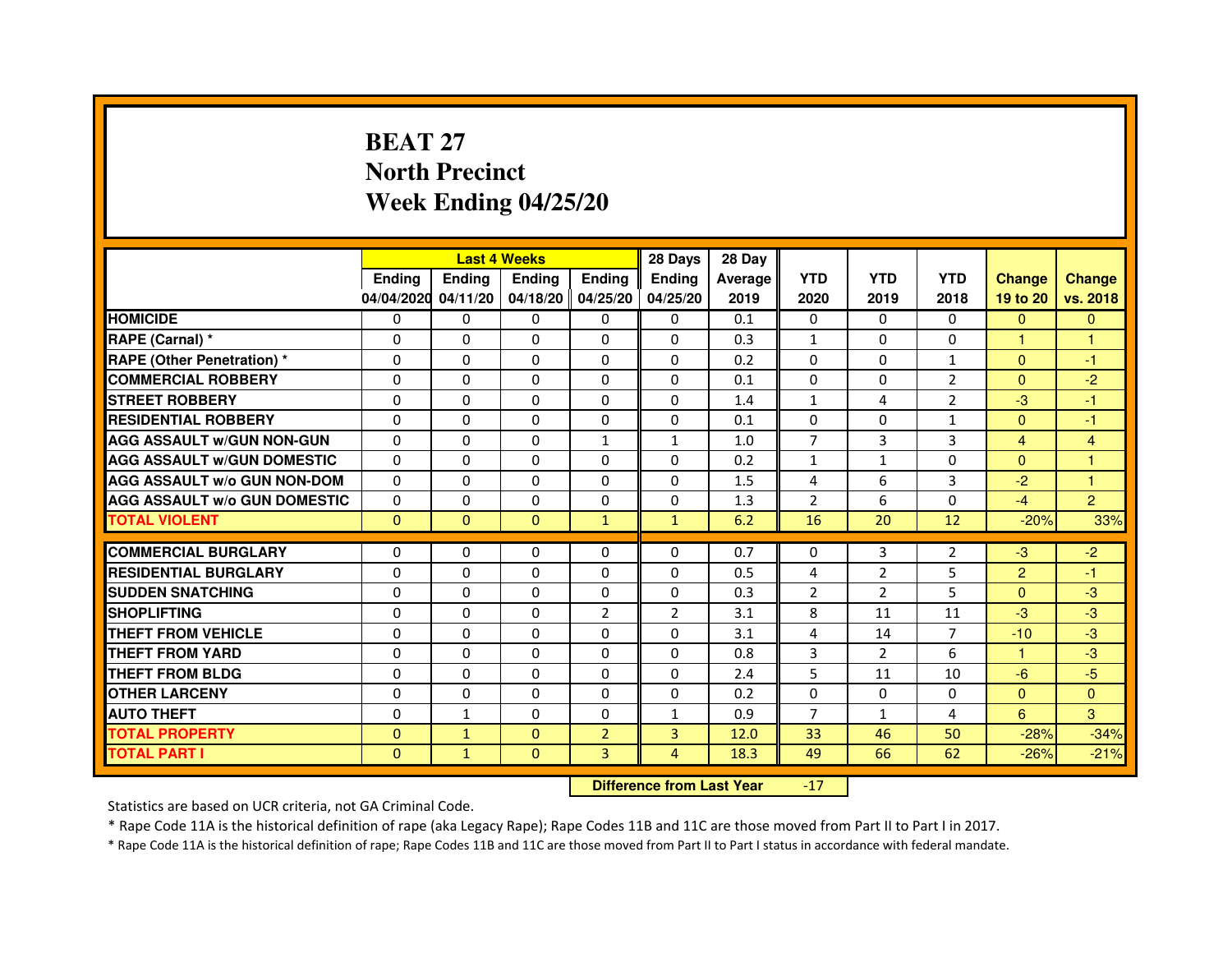# **BEAT 27 North PrecinctWeek Ending 04/25/20**

|                                     |               | <b>Last 4 Weeks</b> |                |                   | 28 Days        | 28 Day  |                |                |                |                |                |
|-------------------------------------|---------------|---------------------|----------------|-------------------|----------------|---------|----------------|----------------|----------------|----------------|----------------|
|                                     | <b>Ending</b> | <b>Endina</b>       | <b>Endina</b>  | <b>Endina</b>     | <b>Endina</b>  | Average | <b>YTD</b>     | <b>YTD</b>     | <b>YTD</b>     | <b>Change</b>  | <b>Change</b>  |
|                                     | 04/04/2020    | 04/11/20            |                | 04/18/20 04/25/20 | 04/25/20       | 2019    | 2020           | 2019           | 2018           | 19 to 20       | vs. 2018       |
| <b>HOMICIDE</b>                     | 0             | 0                   | 0              | 0                 | 0              | 0.1     | $\mathbf{0}$   | 0              | $\Omega$       | $\mathbf{0}$   | $\mathbf{0}$   |
| RAPE (Carnal) *                     | $\Omega$      | $\Omega$            | $\Omega$       | $\Omega$          | $\Omega$       | 0.3     | $\mathbf{1}$   | $\Omega$       | $\Omega$       | $\mathbf{1}$   | $\mathbf{1}$   |
| <b>RAPE (Other Penetration) *</b>   | 0             | 0                   | $\Omega$       | $\Omega$          | $\Omega$       | 0.2     | $\Omega$       | $\Omega$       | $\mathbf{1}$   | $\Omega$       | $-1$           |
| <b>COMMERCIAL ROBBERY</b>           | 0             | 0                   | 0              | $\Omega$          | $\Omega$       | 0.1     | $\Omega$       | $\Omega$       | $\overline{2}$ | $\Omega$       | $-2$           |
| <b>STREET ROBBERY</b>               | 0             | $\Omega$            | 0              | $\Omega$          | 0              | 1.4     | $\mathbf{1}$   | 4              | $\overline{2}$ | $-3$           | $-1$           |
| <b>RESIDENTIAL ROBBERY</b>          | 0             | $\Omega$            | 0              | 0                 | 0              | 0.1     | 0              | 0              | $\mathbf{1}$   | $\Omega$       | $-1$           |
| <b>AGG ASSAULT W/GUN NON-GUN</b>    | $\Omega$      | $\mathbf 0$         | $\Omega$       | $\mathbf{1}$      | $\mathbf{1}$   | 1.0     | $\overline{7}$ | 3              | 3              | $\overline{4}$ | $\overline{4}$ |
| <b>AGG ASSAULT W/GUN DOMESTIC</b>   | $\Omega$      | $\Omega$            | 0              | 0                 | $\Omega$       | 0.2     | $\mathbf{1}$   | $\mathbf{1}$   | $\Omega$       | $\Omega$       | 1              |
| <b>AGG ASSAULT W/o GUN NON-DOM</b>  | $\Omega$      | 0                   | $\Omega$       | 0                 | $\Omega$       | 1.5     | $\overline{4}$ | 6              | 3              | $-2$           | 1              |
| <b>AGG ASSAULT W/o GUN DOMESTIC</b> | $\Omega$      | 0                   | 0              | $\Omega$          | $\Omega$       | 1.3     | $\overline{2}$ | 6              | $\Omega$       | $-4$           | $\overline{2}$ |
| <b>TOTAL VIOLENT</b>                | $\Omega$      | $\mathbf{0}$        | $\Omega$       | $\mathbf{1}$      | $\mathbf{1}$   | 6.2     | 16             | 20             | 12             | $-20%$         | 33%            |
|                                     |               |                     |                |                   |                |         |                |                |                |                |                |
| <b>COMMERCIAL BURGLARY</b>          | 0             | 0                   | $\Omega$       | 0                 | $\Omega$       | 0.7     | $\Omega$       | 3              | $\overline{2}$ | $-3$           | $-2$           |
| <b>RESIDENTIAL BURGLARY</b>         | 0             | $\Omega$            | 0              | $\Omega$          | $\Omega$       | 0.5     | 4              | $\overline{2}$ | 5              | $\overline{2}$ | $-1$           |
| <b>SUDDEN SNATCHING</b>             | 0             | 0                   | $\Omega$       | $\Omega$          | $\Omega$       | 0.3     | $\overline{2}$ | $\overline{2}$ | 5              | $\Omega$       | -3             |
| <b>SHOPLIFTING</b>                  | $\mathbf 0$   | 0                   | $\Omega$       | $\overline{2}$    | $\overline{2}$ | 3.1     | 8              | 11             | 11             | $-3$           | -3             |
| <b>THEFT FROM VEHICLE</b>           | 0             | $\Omega$            | $\Omega$       | $\Omega$          | $\Omega$       | 3.1     | 4              | 14             | $\overline{7}$ | $-10$          | $-3$           |
| <b>THEFT FROM YARD</b>              | 0             | 0                   | $\Omega$       | $\Omega$          | $\Omega$       | 0.8     | 3              | 2              | 6              | 1              | $-3$           |
| <b>THEFT FROM BLDG</b>              | 0             | 0                   | 0              | 0                 | 0              | 2.4     | 5              | 11             | 10             | -6             | $-5$           |
| <b>OTHER LARCENY</b>                | 0             | 0                   | 0              | 0                 | $\Omega$       | 0.2     | $\Omega$       | 0              | $\Omega$       | $\mathbf{0}$   | $\Omega$       |
| <b>AUTO THEFT</b>                   | $\mathbf 0$   | 1                   | $\Omega$       | $\Omega$          | $\mathbf{1}$   | 0.9     | $\overline{7}$ | $\mathbf{1}$   | $\overline{4}$ | 6              | 3              |
| <b>TOTAL PROPERTY</b>               | 0             | $\mathbf{1}$        | $\Omega$       | $\overline{2}$    | 3              | 12.0    | 33             | 46             | 50             | $-28%$         | $-34%$         |
| <b>TOTAL PART I</b>                 | $\mathbf{0}$  | $\mathbf{1}$        | $\overline{0}$ | 3                 | 4              | 18.3    | 49             | 66             | 62             | $-26%$         | $-21%$         |

 **Difference from Last Year**-17

Statistics are based on UCR criteria, not GA Criminal Code.

\* Rape Code 11A is the historical definition of rape (aka Legacy Rape); Rape Codes 11B and 11C are those moved from Part II to Part I in 2017.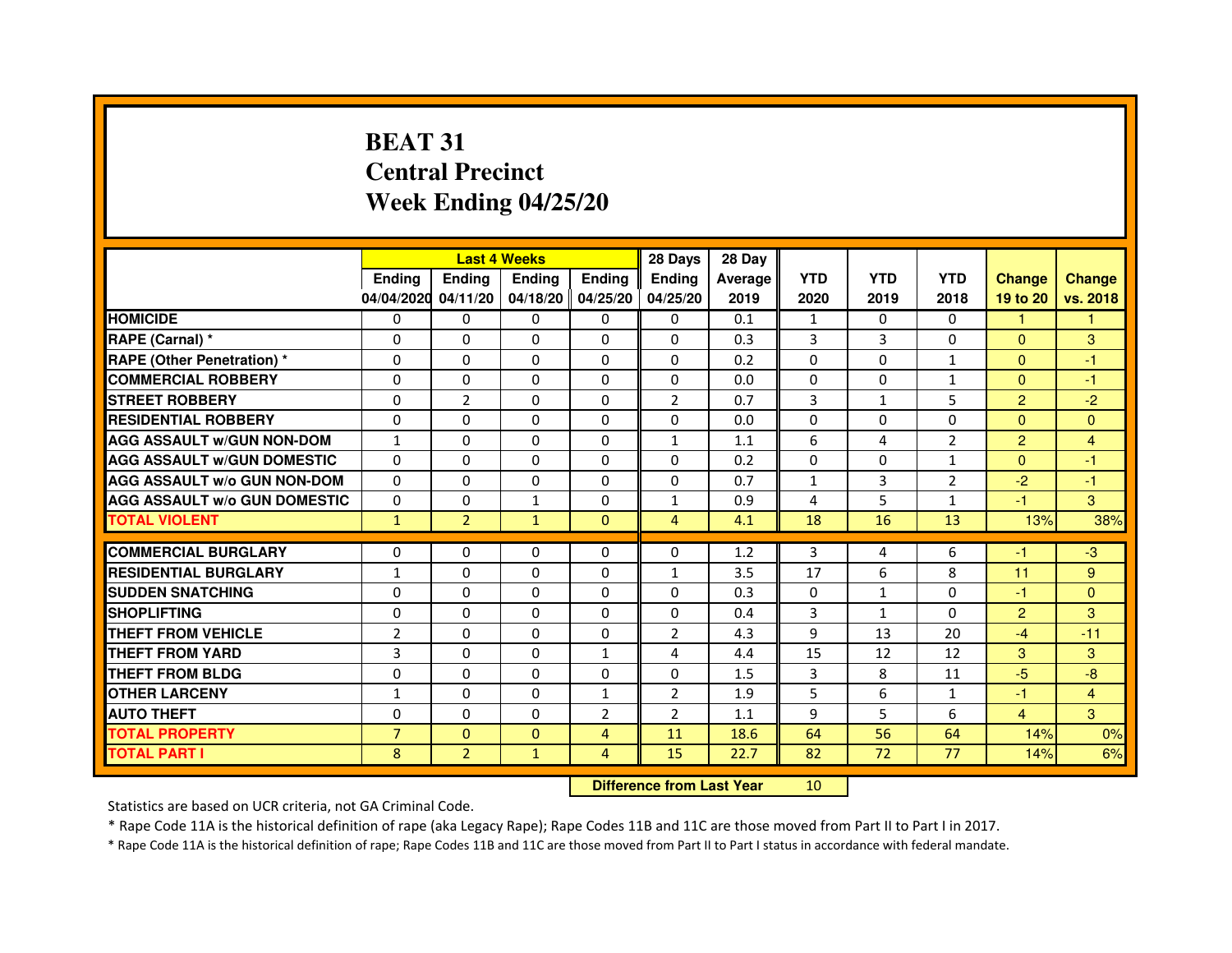# **BEAT 31 Central PrecinctWeek Ending 04/25/20**

|                                     |                |                | <b>Last 4 Weeks</b> |                | 28 Days                          | 28 Day  |              |              |                |                |                |
|-------------------------------------|----------------|----------------|---------------------|----------------|----------------------------------|---------|--------------|--------------|----------------|----------------|----------------|
|                                     | Ending         | Ending         | Ending              | <b>Ending</b>  | Ending                           | Average | <b>YTD</b>   | <b>YTD</b>   | <b>YTD</b>     | <b>Change</b>  | <b>Change</b>  |
|                                     | 04/04/2020     | 04/11/20       | 04/18/20 04/25/20   |                | 04/25/20                         | 2019    | 2020         | 2019         | 2018           | 19 to 20       | vs. 2018       |
| <b>HOMICIDE</b>                     | 0              | $\Omega$       | $\mathbf{0}$        | 0              | 0                                | 0.1     | $\mathbf{1}$ | $\Omega$     | $\Omega$       | $\mathbf{1}$   | $\mathbf{1}$   |
| RAPE (Carnal) *                     | 0              | 0              | 0                   | 0              | 0                                | 0.3     | 3            | 3            | $\Omega$       | $\Omega$       | 3              |
| <b>RAPE (Other Penetration) *</b>   | $\Omega$       | $\mathbf 0$    | $\Omega$            | 0              | 0                                | 0.2     | $\Omega$     | $\mathbf{0}$ | $\mathbf{1}$   | $\Omega$       | $-1$           |
| <b>COMMERCIAL ROBBERY</b>           | $\mathbf 0$    | 0              | $\Omega$            | $\mathbf 0$    | 0                                | 0.0     | $\mathbf{0}$ | $\mathbf{0}$ | $\mathbf{1}$   | $\Omega$       | $-1$           |
| <b>STREET ROBBERY</b>               | $\Omega$       | $\overline{2}$ | $\Omega$            | $\Omega$       | $\overline{2}$                   | 0.7     | 3            | $\mathbf{1}$ | 5              | $\overline{2}$ | $-2$           |
| <b>RESIDENTIAL ROBBERY</b>          | $\Omega$       | $\mathbf 0$    | $\Omega$            | 0              | 0                                | 0.0     | $\Omega$     | $\mathbf{0}$ | 0              | $\Omega$       | $\mathbf{0}$   |
| <b>AGG ASSAULT w/GUN NON-DOM</b>    | $\mathbf{1}$   | $\Omega$       | $\Omega$            | $\Omega$       | $\mathbf{1}$                     | 1.1     | 6            | 4            | $\overline{2}$ | $\overline{2}$ | $\overline{4}$ |
| <b>AGG ASSAULT W/GUN DOMESTIC</b>   | $\Omega$       | $\Omega$       | $\mathbf 0$         | $\Omega$       | 0                                | 0.2     | $\Omega$     | $\mathbf{0}$ | $\mathbf{1}$   | $\Omega$       | $-1$           |
| <b>AGG ASSAULT W/o GUN NON-DOM</b>  | $\Omega$       | $\Omega$       | $\Omega$            | $\Omega$       | 0                                | 0.7     | $\mathbf{1}$ | 3            | 2              | $-2$           | $-1$           |
| <b>AGG ASSAULT w/o GUN DOMESTIC</b> | $\Omega$       | $\mathbf 0$    | $\mathbf{1}$        | $\Omega$       | $\mathbf{1}$                     | 0.9     | 4            | 5            | $\mathbf{1}$   | $-1$           | 3              |
| <b>TOTAL VIOLENT</b>                | $\mathbf{1}$   | $\overline{2}$ | $\mathbf{1}$        | $\mathbf{0}$   | $\overline{4}$                   | 4.1     | 18           | 16           | 13             | 13%            | 38%            |
| <b>COMMERCIAL BURGLARY</b>          | 0              | 0              | 0                   | 0              | 0                                | 1.2     | 3            | 4            | 6              | $-1$           | $-3$           |
| <b>RESIDENTIAL BURGLARY</b>         | 1              | $\mathbf 0$    | 0                   | 0              | $\mathbf{1}$                     | 3.5     | 17           | 6            | 8              | 11             | 9              |
| <b>SUDDEN SNATCHING</b>             | $\Omega$       | $\mathbf 0$    | $\Omega$            | $\Omega$       | $\Omega$                         | 0.3     | $\Omega$     | $\mathbf{1}$ | $\Omega$       | $-1$           | $\Omega$       |
| <b>SHOPLIFTING</b>                  | 0              | $\Omega$       | $\Omega$            | 0              | 0                                | 0.4     | 3            | $\mathbf{1}$ | 0              | $\overline{2}$ | 3              |
| THEFT FROM VEHICLE                  | $\overline{2}$ | $\Omega$       | $\Omega$            | 0              | $\overline{2}$                   | 4.3     | 9            | 13           | 20             | $-4$           | $-11$          |
| <b>THEFT FROM YARD</b>              | 3              | 0              | $\mathbf 0$         | $\mathbf{1}$   | 4                                | 4.4     | 15           | 12           | 12             | 3              | 3              |
| <b>THEFT FROM BLDG</b>              | $\Omega$       | $\Omega$       | $\Omega$            | $\Omega$       | 0                                | 1.5     | 3            | 8            | 11             | $-5$           | $-8$           |
| <b>OTHER LARCENY</b>                | $\mathbf{1}$   | $\Omega$       | $\Omega$            | $\mathbf{1}$   | $\overline{2}$                   | 1.9     | 5            | 6            | $\mathbf{1}$   | $-1$           | $\overline{4}$ |
| <b>AUTO THEFT</b>                   | $\Omega$       | 0              | $\mathbf 0$         | $\overline{2}$ | $\overline{2}$                   | 1.1     | 9            | 5            | 6              | $\overline{4}$ | 3              |
| <b>TOTAL PROPERTY</b>               | $\overline{7}$ | $\mathbf{0}$   | $\Omega$            | 4              | 11                               | 18.6    | 64           | 56           | 64             | 14%            | 0%             |
| <b>TOTAL PART I</b>                 | 8              | $\overline{2}$ | $\mathbf{1}$        | $\overline{4}$ | 15                               | 22.7    | 82           | 72           | 77             | 14%            | 6%             |
|                                     |                |                |                     |                | <b>Difference from Last Year</b> |         | 10           |              |                |                |                |

 **Difference from Last Year**

Statistics are based on UCR criteria, not GA Criminal Code.

\* Rape Code 11A is the historical definition of rape (aka Legacy Rape); Rape Codes 11B and 11C are those moved from Part II to Part I in 2017.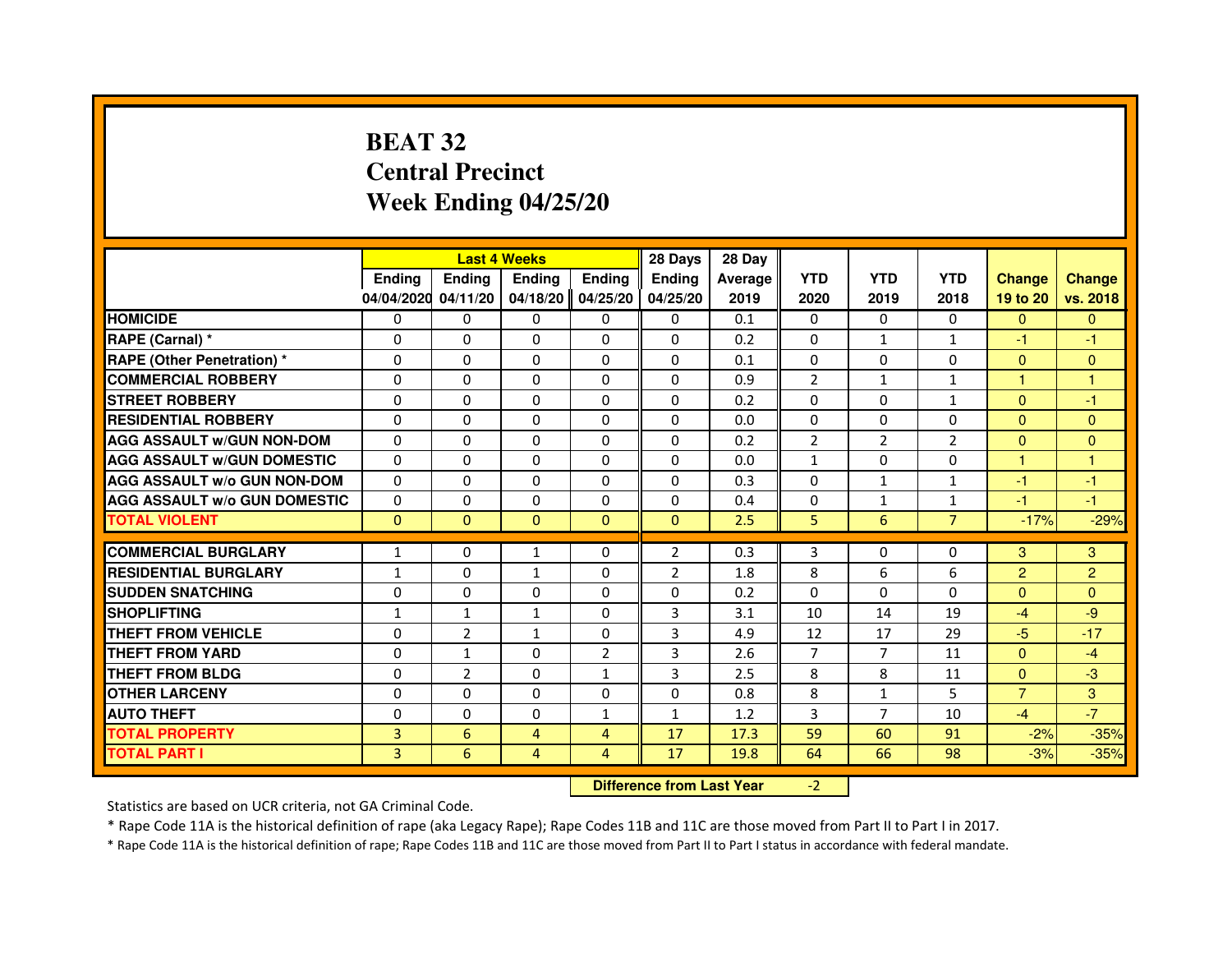# **BEAT 32 Central PrecinctWeek Ending 04/25/20**

|                                     |               | <b>Last 4 Weeks</b>              |                |                | 28 Days        | 28 Day  |                |                |                |                |                |
|-------------------------------------|---------------|----------------------------------|----------------|----------------|----------------|---------|----------------|----------------|----------------|----------------|----------------|
|                                     | <b>Ending</b> | <b>Ending</b>                    | <b>Ending</b>  | <b>Ending</b>  | <b>Ending</b>  | Average | <b>YTD</b>     | <b>YTD</b>     | <b>YTD</b>     | <b>Change</b>  | <b>Change</b>  |
|                                     | 04/04/2020    | 04/11/20                         | 04/18/20       | 04/25/20       | 04/25/20       | 2019    | 2020           | 2019           | 2018           | 19 to 20       | vs. 2018       |
| <b>HOMICIDE</b>                     | 0             | $\Omega$                         | $\mathbf{0}$   | 0              | 0              | 0.1     | $\mathbf{0}$   | 0              | $\Omega$       | $\Omega$       | $\mathbf{0}$   |
| RAPE (Carnal) *                     | 0             | 0                                | 0              | 0              | 0              | 0.2     | 0              | 1              | $\mathbf{1}$   | $-1$           | -1             |
| <b>RAPE (Other Penetration) *</b>   | $\Omega$      | $\Omega$                         | $\Omega$       | $\Omega$       | $\mathbf{0}$   | 0.1     | $\mathbf{0}$   | $\mathbf{0}$   | $\Omega$       | $\Omega$       | $\mathbf{0}$   |
| <b>COMMERCIAL ROBBERY</b>           | 0             | 0                                | $\Omega$       | $\Omega$       | 0              | 0.9     | $\overline{2}$ | $\mathbf{1}$   | $\mathbf{1}$   | $\mathbf{1}$   | $\mathbf{1}$   |
| <b>STREET ROBBERY</b>               | $\Omega$      | $\Omega$                         | $\Omega$       | $\Omega$       | $\Omega$       | 0.2     | $\Omega$       | $\Omega$       | $\mathbf{1}$   | $\mathbf{0}$   | -1             |
| <b>RESIDENTIAL ROBBERY</b>          | 0             | 0                                | 0              | 0              | $\Omega$       | 0.0     | 0              | 0              | $\Omega$       | $\Omega$       | $\mathbf{0}$   |
| <b>AGG ASSAULT W/GUN NON-DOM</b>    | $\Omega$      | $\Omega$                         | 0              | $\Omega$       | $\Omega$       | 0.2     | $\overline{2}$ | $\overline{2}$ | $\overline{2}$ | $\mathbf{0}$   | $\Omega$       |
| <b>AGG ASSAULT W/GUN DOMESTIC</b>   | $\Omega$      | $\Omega$                         | 0              | $\Omega$       | $\Omega$       | 0.0     | $\mathbf{1}$   | $\Omega$       | $\Omega$       | $\mathbf{1}$   | $\mathbf{1}$   |
| <b>AGG ASSAULT W/o GUN NON-DOM</b>  | $\Omega$      | $\Omega$                         | $\Omega$       | $\Omega$       | $\Omega$       | 0.3     | $\Omega$       | $\mathbf{1}$   | $\mathbf{1}$   | $-1$           | -1             |
| <b>AGG ASSAULT W/o GUN DOMESTIC</b> | 0             | 0                                | 0              | $\Omega$       | $\Omega$       | 0.4     | 0              | 1              | $\mathbf{1}$   | -1             | -1             |
| <b>TOTAL VIOLENT</b>                | $\mathbf{0}$  | $\mathbf{0}$                     | $\mathbf{0}$   | $\mathbf{0}$   | $\mathbf{0}$   | 2.5     | 5              | 6              | $\overline{7}$ | $-17%$         | $-29%$         |
| <b>COMMERCIAL BURGLARY</b>          | 1             | 0                                | 1              | 0              | $\overline{2}$ | 0.3     | 3              | 0              | 0              | 3              | 3              |
| <b>RESIDENTIAL BURGLARY</b>         | $\mathbf{1}$  | $\Omega$                         | $\mathbf{1}$   | $\Omega$       | $\overline{2}$ | 1.8     | 8              | 6              | 6              | $\overline{2}$ | $\overline{2}$ |
| <b>SUDDEN SNATCHING</b>             | 0             | $\Omega$                         | $\Omega$       | $\Omega$       | $\Omega$       | 0.2     | $\Omega$       | $\Omega$       | $\Omega$       | $\Omega$       | $\Omega$       |
| <b>SHOPLIFTING</b>                  | $\mathbf{1}$  | $\mathbf{1}$                     | $\mathbf{1}$   | $\mathbf{0}$   | 3              | 3.1     | 10             | 14             | 19             | $-4$           | $-9$           |
| THEFT FROM VEHICLE                  | 0             | $\overline{2}$                   | $\mathbf{1}$   | $\Omega$       | 3              | 4.9     | 12             | 17             | 29             | $-5$           | $-17$          |
| <b>THEFT FROM YARD</b>              | $\Omega$      | 1                                | 0              | $\overline{2}$ | 3              | 2.6     | $\overline{7}$ | $\overline{7}$ | 11             | $\Omega$       | $-4$           |
| <b>THEFT FROM BLDG</b>              | $\Omega$      | $\overline{2}$                   | $\Omega$       | $\mathbf{1}$   | 3              | 2.5     | 8              | 8              | 11             | $\Omega$       | $-3$           |
| <b>OTHER LARCENY</b>                | $\Omega$      | $\Omega$                         | 0              | $\Omega$       | $\mathbf{0}$   | 0.8     | 8              | $\mathbf{1}$   | 5              | $\overline{7}$ | 3              |
| <b>AUTO THEFT</b>                   | $\Omega$      | $\Omega$                         | $\Omega$       | $\mathbf{1}$   | $\mathbf{1}$   | 1.2     | 3              | $\overline{7}$ | 10             | $-4$           | $-7$           |
| <b>TOTAL PROPERTY</b>               | 3             | $6\phantom{1}6$                  | 4              | 4              | 17             | 17.3    | 59             | 60             | 91             | $-2%$          | $-35%$         |
| <b>TOTAL PART I</b>                 | 3             | 6                                | $\overline{4}$ | 4              | 17             | 19.8    | 64             | 66             | 98             | $-3%$          | $-35%$         |
|                                     |               | <b>Difference from Last Year</b> |                | $-2$           |                |         |                |                |                |                |                |

 **Difference from Last Year**

Statistics are based on UCR criteria, not GA Criminal Code.

\* Rape Code 11A is the historical definition of rape (aka Legacy Rape); Rape Codes 11B and 11C are those moved from Part II to Part I in 2017.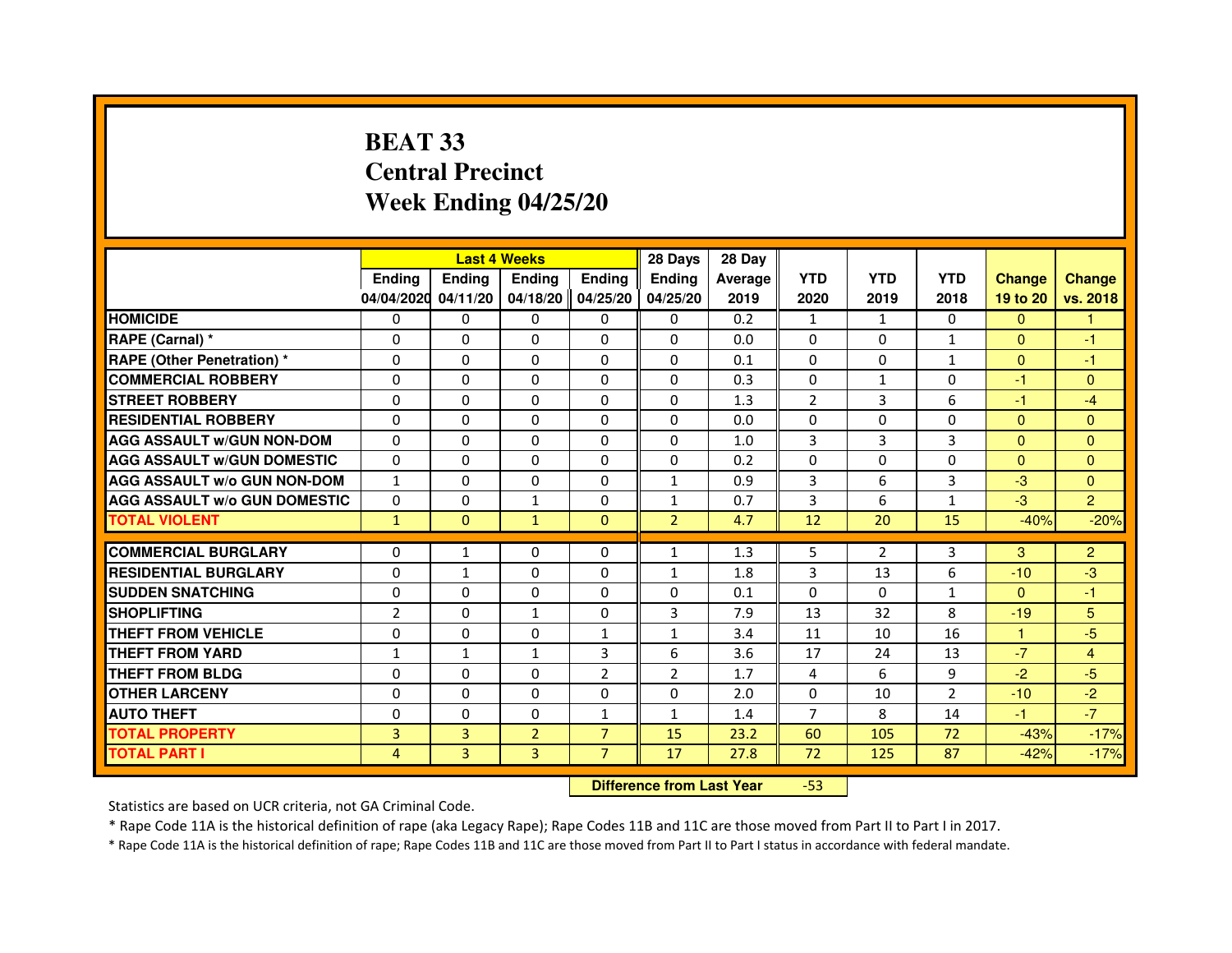# **BEAT 33 Central PrecinctWeek Ending 04/25/20**

|                                     |                | <b>Last 4 Weeks</b> |                |                     | 28 Days        | 28 Day  |                |              |                |                      |                |
|-------------------------------------|----------------|---------------------|----------------|---------------------|----------------|---------|----------------|--------------|----------------|----------------------|----------------|
|                                     | <b>Endina</b>  | <b>Ending</b>       | <b>Endina</b>  | <b>Endina</b>       | <b>Endina</b>  | Average | <b>YTD</b>     | <b>YTD</b>   | <b>YTD</b>     | <b>Change</b>        | <b>Change</b>  |
|                                     | 04/04/2020     | 04/11/20            |                | 04/18/20   04/25/20 | 04/25/20       | 2019    | 2020           | 2019         | 2018           | 19 to 20             | vs. 2018       |
| <b>HOMICIDE</b>                     | 0              | 0                   | 0              | 0                   | 0              | 0.2     | $\mathbf{1}$   | $\mathbf{1}$ | 0              | $\mathbf{0}$         | 1              |
| RAPE (Carnal) *                     | $\Omega$       | $\Omega$            | $\Omega$       | $\Omega$            | $\Omega$       | 0.0     | $\Omega$       | $\Omega$     | $\mathbf{1}$   | $\Omega$             | $-1$           |
| <b>RAPE (Other Penetration) *</b>   | $\Omega$       | $\Omega$            | $\Omega$       | $\Omega$            | $\Omega$       | 0.1     | $\Omega$       | $\Omega$     | $\mathbf{1}$   | $\Omega$             | $-1$           |
| <b>COMMERCIAL ROBBERY</b>           | 0              | 0                   | $\Omega$       | 0                   | $\Omega$       | 0.3     | $\Omega$       | $\mathbf{1}$ | $\Omega$       | $-1$                 | $\Omega$       |
| <b>STREET ROBBERY</b>               | $\Omega$       | 0                   | 0              | $\mathbf{0}$        | 0              | 1.3     | $\overline{2}$ | 3            | 6              | $-1$                 | $-4$           |
| <b>RESIDENTIAL ROBBERY</b>          | $\Omega$       | $\mathbf 0$         | 0              | $\Omega$            | 0              | 0.0     | $\Omega$       | $\Omega$     | $\Omega$       | $\Omega$             | $\Omega$       |
| <b>AGG ASSAULT W/GUN NON-DOM</b>    | $\Omega$       | $\mathbf 0$         | $\Omega$       | $\mathbf{0}$        | $\Omega$       | 1.0     | 3              | 3            | 3              | $\Omega$             | $\mathbf{0}$   |
| <b>AGG ASSAULT W/GUN DOMESTIC</b>   | $\Omega$       | $\Omega$            | 0              | $\mathbf{0}$        | 0              | 0.2     | $\Omega$       | $\Omega$     | $\Omega$       | $\Omega$             | $\Omega$       |
| <b>AGG ASSAULT W/o GUN NON-DOM</b>  | $\mathbf{1}$   | $\Omega$            | $\Omega$       | $\Omega$            | $\mathbf{1}$   | 0.9     | 3              | 6            | 3              | $-3$                 | $\Omega$       |
| <b>AGG ASSAULT W/o GUN DOMESTIC</b> | $\Omega$       | 0                   | $\mathbf{1}$   | $\mathbf{0}$        | $\mathbf{1}$   | 0.7     | 3              | 6            | $\mathbf{1}$   | $-3$                 | $\overline{2}$ |
| <b>TOTAL VIOLENT</b>                | $\mathbf{1}$   | $\Omega$            | $\mathbf{1}$   | $\mathbf{0}$        | $\overline{2}$ | 4.7     | 12             | 20           | 15             | $-40%$               | $-20%$         |
|                                     |                |                     |                |                     |                |         |                |              |                |                      |                |
| <b>COMMERCIAL BURGLARY</b>          | $\Omega$       | $\mathbf{1}$        | $\Omega$       | 0                   | $\mathbf{1}$   | 1.3     | 5              | 2            | 3              | 3                    | $\overline{2}$ |
| <b>RESIDENTIAL BURGLARY</b>         | 0              | 1                   | 0              | $\mathbf{0}$        | 1              | 1.8     | 3              | 13           | 6              | $-10$                | $-3$           |
| <b>SUDDEN SNATCHING</b>             | 0              | $\Omega$            | $\Omega$       | $\Omega$            | $\Omega$       | 0.1     | $\Omega$       | $\Omega$     | $\mathbf{1}$   | $\Omega$             | $-1$           |
| <b>SHOPLIFTING</b>                  | $\overline{2}$ | 0                   | $\mathbf{1}$   | 0                   | 3              | 7.9     | 13             | 32           | 8              | $-19$                | 5              |
| <b>THEFT FROM VEHICLE</b>           | $\Omega$       | $\Omega$            | $\Omega$       | $\mathbf{1}$        | $\mathbf{1}$   | 3.4     | 11             | 10           | 16             | $\blacktriangleleft$ | $-5$           |
| <b>THEFT FROM YARD</b>              | $\mathbf{1}$   | $\mathbf{1}$        | $\mathbf{1}$   | 3                   | 6              | 3.6     | 17             | 24           | 13             | $-7$                 | $\overline{4}$ |
| <b>THEFT FROM BLDG</b>              | 0              | $\Omega$            | 0              | $\overline{2}$      | $\overline{2}$ | 1.7     | 4              | 6            | 9              | $-2$                 | $-5$           |
| <b>OTHER LARCENY</b>                | $\Omega$       | $\Omega$            | $\Omega$       | 0                   | $\Omega$       | 2.0     | $\Omega$       | 10           | $\overline{2}$ | $-10$                | $-2$           |
| <b>AUTO THEFT</b>                   | $\mathbf 0$    | $\mathbf 0$         | $\Omega$       | 1                   | $\mathbf{1}$   | 1.4     | $\overline{7}$ | 8            | 14             | $-1$                 | $-7$           |
| <b>TOTAL PROPERTY</b>               | 3              | 3                   | $\overline{2}$ | $\overline{7}$      | 15             | 23.2    | 60             | 105          | 72             | $-43%$               | $-17%$         |
| <b>TOTAL PART I</b>                 | 4              | 3                   | 3              | $\overline{7}$      | 17             | 27.8    | 72             | 125          | 87             | $-42%$               | $-17%$         |

 **Difference from Last Year**-53

Statistics are based on UCR criteria, not GA Criminal Code.

\* Rape Code 11A is the historical definition of rape (aka Legacy Rape); Rape Codes 11B and 11C are those moved from Part II to Part I in 2017.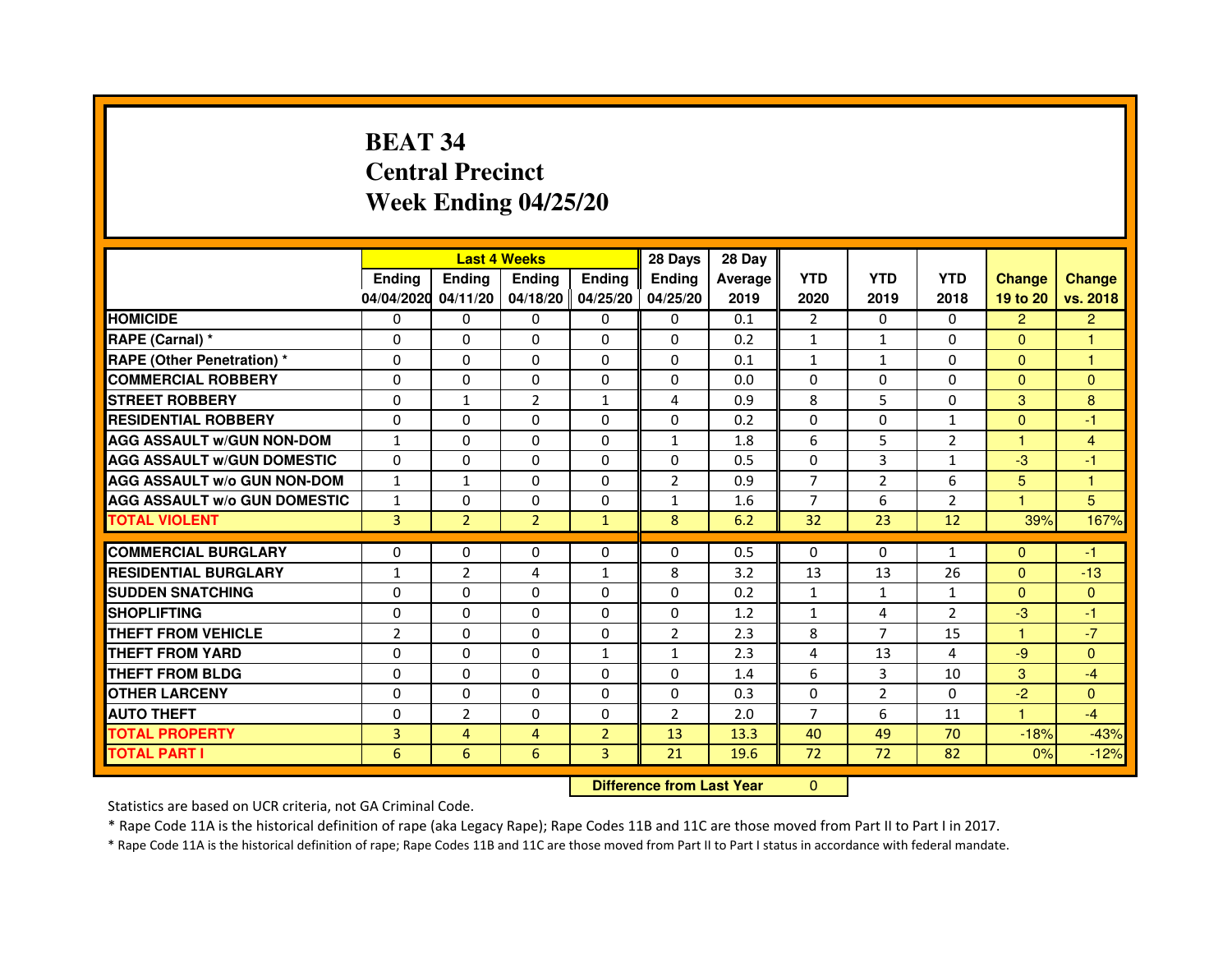# **BEAT 34 Central PrecinctWeek Ending 04/25/20**

|                                     |                | <b>Last 4 Weeks</b> |                   |                | 28 Days                          | 28 Day  |                |                |                |                |                |
|-------------------------------------|----------------|---------------------|-------------------|----------------|----------------------------------|---------|----------------|----------------|----------------|----------------|----------------|
|                                     | Ending         | Ending              | Ending            | <b>Ending</b>  | Ending                           | Average | <b>YTD</b>     | <b>YTD</b>     | <b>YTD</b>     | <b>Change</b>  | <b>Change</b>  |
|                                     | 04/04/2020     | 04/11/20            | 04/18/20 04/25/20 |                | 04/25/20                         | 2019    | 2020           | 2019           | 2018           | 19 to 20       | vs. 2018       |
| <b>HOMICIDE</b>                     | 0              | $\Omega$            | $\mathbf{0}$      | 0              | 0                                | 0.1     | 2              | $\Omega$       | $\Omega$       | $\overline{2}$ | $\overline{2}$ |
| RAPE (Carnal) *                     | 0              | 0                   | 0                 | 0              | 0                                | 0.2     | 1              | 1              | $\Omega$       | $\Omega$       | 1              |
| RAPE (Other Penetration) *          | $\Omega$       | $\mathbf 0$         | $\Omega$          | 0              | 0                                | 0.1     | $\mathbf{1}$   | $\mathbf{1}$   | $\Omega$       | $\Omega$       | 1              |
| <b>COMMERCIAL ROBBERY</b>           | $\Omega$       | 0                   | $\Omega$          | 0              | $\Omega$                         | 0.0     | $\mathbf{0}$   | $\mathbf{0}$   | $\Omega$       | $\Omega$       | $\mathbf{0}$   |
| <b>STREET ROBBERY</b>               | $\Omega$       | $\mathbf{1}$        | $\overline{2}$    | $\mathbf{1}$   | $\overline{a}$                   | 0.9     | 8              | 5              | $\Omega$       | 3              | 8              |
| <b>RESIDENTIAL ROBBERY</b>          | $\Omega$       | $\mathbf 0$         | $\Omega$          | 0              | 0                                | 0.2     | $\Omega$       | $\mathbf{0}$   | $\mathbf{1}$   | $\Omega$       | $-1$           |
| <b>AGG ASSAULT w/GUN NON-DOM</b>    | $\mathbf{1}$   | $\Omega$            | $\Omega$          | $\Omega$       | $\mathbf{1}$                     | 1.8     | 6              | 5              | $\overline{2}$ | 1              | $\overline{4}$ |
| <b>AGG ASSAULT W/GUN DOMESTIC</b>   | $\Omega$       | $\Omega$            | $\mathbf 0$       | $\Omega$       | 0                                | 0.5     | $\Omega$       | 3              | $\mathbf{1}$   | $-3$           | $-1$           |
| <b>AGG ASSAULT W/o GUN NON-DOM</b>  | $\mathbf{1}$   | $\mathbf{1}$        | $\Omega$          | $\Omega$       | $\overline{2}$                   | 0.9     | $\overline{7}$ | $\overline{2}$ | 6              | 5              | $\mathbf{1}$   |
| <b>AGG ASSAULT W/o GUN DOMESTIC</b> | $\mathbf{1}$   | 0                   | $\Omega$          | $\Omega$       | 1                                | 1.6     | $\overline{7}$ | 6              | $\overline{2}$ | 1              | 5              |
| <b>TOTAL VIOLENT</b>                | 3              | $\overline{2}$      | $\overline{2}$    | $\mathbf{1}$   | 8                                | 6.2     | 32             | 23             | 12             | 39%            | 167%           |
| <b>COMMERCIAL BURGLARY</b>          | 0              | 0                   | 0                 | 0              | 0                                | 0.5     | $\mathbf{0}$   | 0              | $\mathbf{1}$   | $\mathbf{0}$   | $-1$           |
| <b>RESIDENTIAL BURGLARY</b>         | 1              | $\overline{2}$      | 4                 | $\mathbf{1}$   | 8                                | 3.2     | 13             | 13             | 26             | $\Omega$       | $-13$          |
| <b>SUDDEN SNATCHING</b>             | $\Omega$       | $\Omega$            | $\Omega$          | $\Omega$       | $\Omega$                         | 0.2     | $\mathbf{1}$   | $\mathbf{1}$   | $\mathbf{1}$   | $\Omega$       | $\mathbf{0}$   |
| <b>SHOPLIFTING</b>                  | 0              | $\Omega$            | $\Omega$          | 0              | 0                                | 1.2     | $\mathbf{1}$   | 4              | 2              | $-3$           | $-1$           |
| THEFT FROM VEHICLE                  | $\overline{2}$ | $\Omega$            | $\Omega$          | 0              | $\overline{2}$                   | 2.3     | 8              | $\overline{7}$ | 15             | 1              | $-7$           |
| <b>THEFT FROM YARD</b>              | $\mathbf 0$    | $\Omega$            | $\mathbf 0$       | $\mathbf{1}$   | $\mathbf{1}$                     | 2.3     | 4              | 13             | 4              | $-9$           | $\overline{0}$ |
| <b>THEFT FROM BLDG</b>              | $\Omega$       | $\Omega$            | $\Omega$          | $\Omega$       | 0                                | 1.4     | 6              | 3              | 10             | 3              | $-4$           |
| <b>OTHER LARCENY</b>                | $\Omega$       | $\Omega$            | $\Omega$          | $\Omega$       | $\Omega$                         | 0.3     | $\Omega$       | $\overline{2}$ | $\Omega$       | $-2$           | $\Omega$       |
| <b>AUTO THEFT</b>                   | $\Omega$       | $\overline{2}$      | $\mathbf 0$       | $\Omega$       | $\overline{2}$                   | 2.0     | $\overline{7}$ | 6              | 11             | $\mathbf{1}$   | $-4$           |
| <b>TOTAL PROPERTY</b>               | 3              | $\overline{4}$      | $\overline{4}$    | $\overline{2}$ | 13                               | 13.3    | 40             | 49             | 70             | $-18%$         | $-43%$         |
| <b>TOTAL PART I</b>                 | 6              | 6                   | 6                 | 3              | 21                               | 19.6    | 72             | 72             | 82             | 0%             | $-12%$         |
|                                     |                |                     |                   |                | <b>Difference from Last Year</b> |         | $\Omega$       |                |                |                |                |

 **Difference from Last Year**

Statistics are based on UCR criteria, not GA Criminal Code.

\* Rape Code 11A is the historical definition of rape (aka Legacy Rape); Rape Codes 11B and 11C are those moved from Part II to Part I in 2017.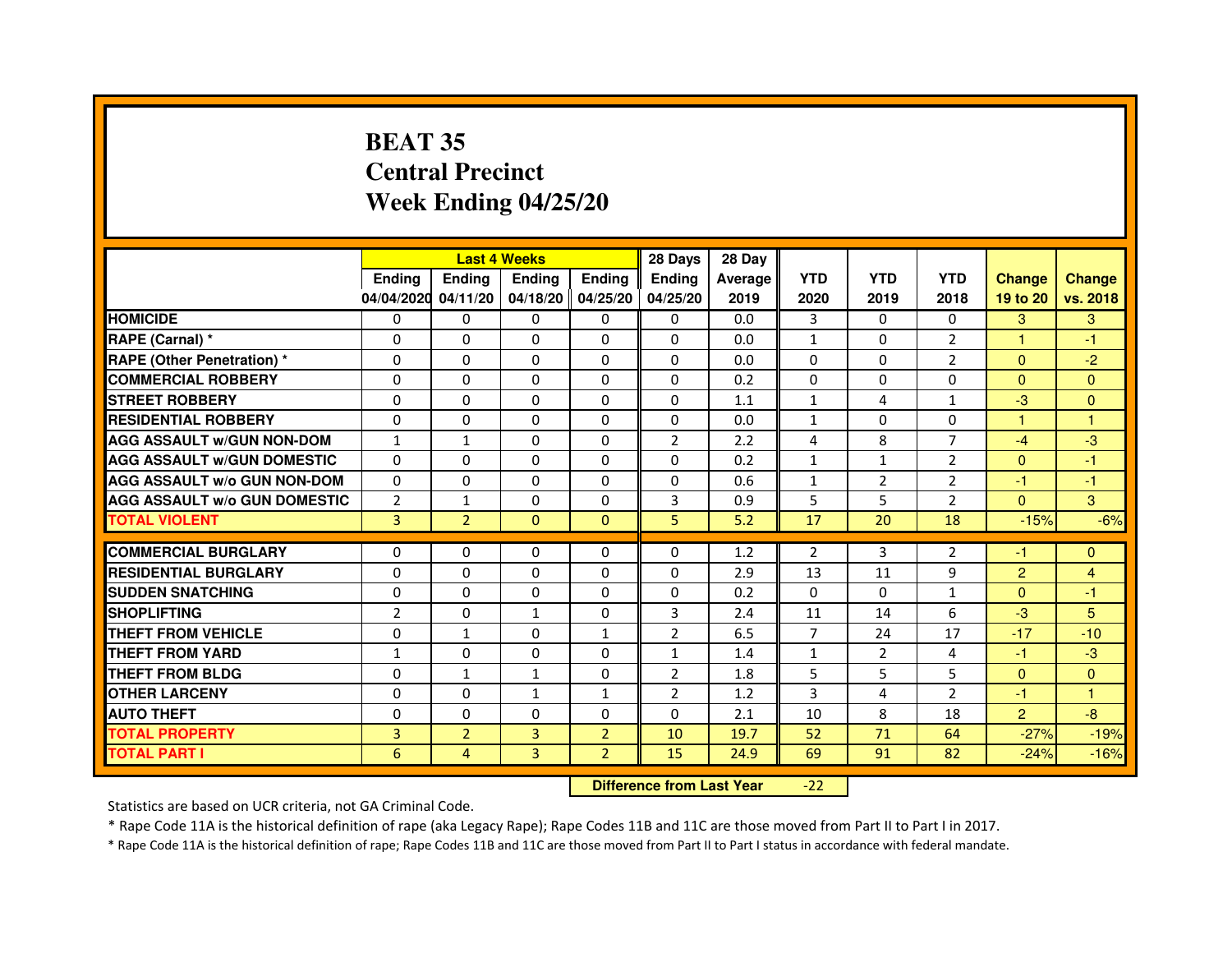# **BEAT 35 Central PrecinctWeek Ending 04/25/20**

|                                     |                | <b>Last 4 Weeks</b> |                   |                | 28 Days        | 28 Day  |                |                |                |                |               |
|-------------------------------------|----------------|---------------------|-------------------|----------------|----------------|---------|----------------|----------------|----------------|----------------|---------------|
|                                     | <b>Ending</b>  | <b>Ending</b>       | <b>Endina</b>     | Ending         | <b>Endina</b>  | Average | <b>YTD</b>     | <b>YTD</b>     | <b>YTD</b>     | <b>Change</b>  | <b>Change</b> |
|                                     | 04/04/2020     | 04/11/20            | 04/18/20 04/25/20 |                | 04/25/20       | 2019    | 2020           | 2019           | 2018           | 19 to 20       | vs. 2018      |
| <b>HOMICIDE</b>                     | 0              | 0                   | 0                 | 0              | 0              | 0.0     | 3              | 0              | $\Omega$       | 3              | 3             |
| RAPE (Carnal) *                     | $\Omega$       | $\Omega$            | $\Omega$          | $\Omega$       | $\Omega$       | 0.0     | $\mathbf{1}$   | $\Omega$       | $\overline{2}$ | $\mathbf{1}$   | $-1$          |
| <b>RAPE (Other Penetration) *</b>   | $\Omega$       | $\Omega$            | $\Omega$          | $\Omega$       | $\Omega$       | 0.0     | $\Omega$       | $\Omega$       | $\overline{2}$ | $\Omega$       | $-2$          |
| <b>COMMERCIAL ROBBERY</b>           | 0              | $\Omega$            | 0                 | 0              | 0              | 0.2     | 0              | 0              | $\Omega$       | $\mathbf{0}$   | $\Omega$      |
| <b>STREET ROBBERY</b>               | $\Omega$       | $\Omega$            | $\Omega$          | 0              | 0              | 1.1     | $\mathbf{1}$   | 4              | $\mathbf{1}$   | $-3$           | $\Omega$      |
| <b>RESIDENTIAL ROBBERY</b>          | $\Omega$       | $\Omega$            | $\Omega$          | $\Omega$       | 0              | 0.0     | $\mathbf{1}$   | $\Omega$       | $\Omega$       | 1              | 1             |
| <b>AGG ASSAULT w/GUN NON-DOM</b>    | $\mathbf{1}$   | $\mathbf{1}$        | $\Omega$          | $\Omega$       | $\overline{2}$ | 2.2     | 4              | 8              | $\overline{7}$ | $-4$           | -3            |
| <b>AGG ASSAULT W/GUN DOMESTIC</b>   | $\Omega$       | $\Omega$            | $\Omega$          | $\Omega$       | $\Omega$       | 0.2     | $\mathbf{1}$   | $\mathbf{1}$   | $\mathfrak{p}$ | $\Omega$       | $-1$          |
| <b>AGG ASSAULT W/o GUN NON-DOM</b>  | $\Omega$       | 0                   | 0                 | 0              | $\Omega$       | 0.6     | $\mathbf{1}$   | 2              | 2              | $-1$           | $-1$          |
| <b>AGG ASSAULT W/o GUN DOMESTIC</b> | $\overline{2}$ | 1                   | 0                 | 0              | 3              | 0.9     | 5              | 5              | $\overline{2}$ | $\mathbf{0}$   | 3             |
| <b>TOTAL VIOLENT</b>                | $\overline{3}$ | $\overline{2}$      | $\Omega$          | $\Omega$       | 5              | 5.2     | 17             | 20             | 18             | $-15%$         | $-6%$         |
|                                     |                |                     |                   |                |                |         |                |                |                |                |               |
| <b>COMMERCIAL BURGLARY</b>          | 0              | 0                   | 0                 | 0              | 0              | 1.2     | $\overline{2}$ | 3              | 2              | $-1$           | $\mathbf{0}$  |
| <b>RESIDENTIAL BURGLARY</b>         | $\Omega$       | 0                   | $\Omega$          | 0              | 0              | 2.9     | 13             | 11             | 9              | $\overline{2}$ | 4             |
| <b>SUDDEN SNATCHING</b>             | $\Omega$       | $\Omega$            | $\Omega$          | $\Omega$       | $\Omega$       | 0.2     | $\Omega$       | $\Omega$       | $\mathbf{1}$   | $\Omega$       | $-1$          |
| <b>SHOPLIFTING</b>                  | $\overline{2}$ | $\Omega$            | $\mathbf{1}$      | $\Omega$       | 3              | 2.4     | 11             | 14             | 6              | $-3$           | 5             |
| <b>THEFT FROM VEHICLE</b>           | 0              | $\mathbf{1}$        | 0                 | $\mathbf{1}$   | $\overline{2}$ | 6.5     | $\overline{7}$ | 24             | 17             | $-17$          | $-10$         |
| <b>THEFT FROM YARD</b>              | $\mathbf{1}$   | $\Omega$            | $\Omega$          | $\Omega$       | 1              | 1.4     | $\mathbf{1}$   | $\overline{2}$ | 4              | $-1$           | $-3$          |
| <b>THEFT FROM BLDG</b>              | $\Omega$       | 1                   | 1                 | 0              | $\overline{2}$ | 1.8     | 5              | 5              | 5              | $\Omega$       | $\Omega$      |
| <b>OTHER LARCENY</b>                | $\Omega$       | $\Omega$            | 1                 | $\mathbf{1}$   | $\overline{2}$ | 1.2     | 3              | $\overline{a}$ | $\mathfrak{p}$ | $-1$           | 1             |
| <b>AUTO THEFT</b>                   | 0              | $\mathbf 0$         | 0                 | 0              | 0              | 2.1     | 10             | 8              | 18             | $\overline{2}$ | -8            |
| <b>TOTAL PROPERTY</b>               | 3              | $\overline{2}$      | 3                 | $\overline{2}$ | 10             | 19.7    | 52             | 71             | 64             | $-27%$         | $-19%$        |
| <b>TOTAL PART I</b>                 | 6              | 4                   | 3                 | $\overline{2}$ | 15             | 24.9    | 69             | 91             | 82             | $-24%$         | $-16%$        |

 **Difference from Last Year**-22

Statistics are based on UCR criteria, not GA Criminal Code.

\* Rape Code 11A is the historical definition of rape (aka Legacy Rape); Rape Codes 11B and 11C are those moved from Part II to Part I in 2017.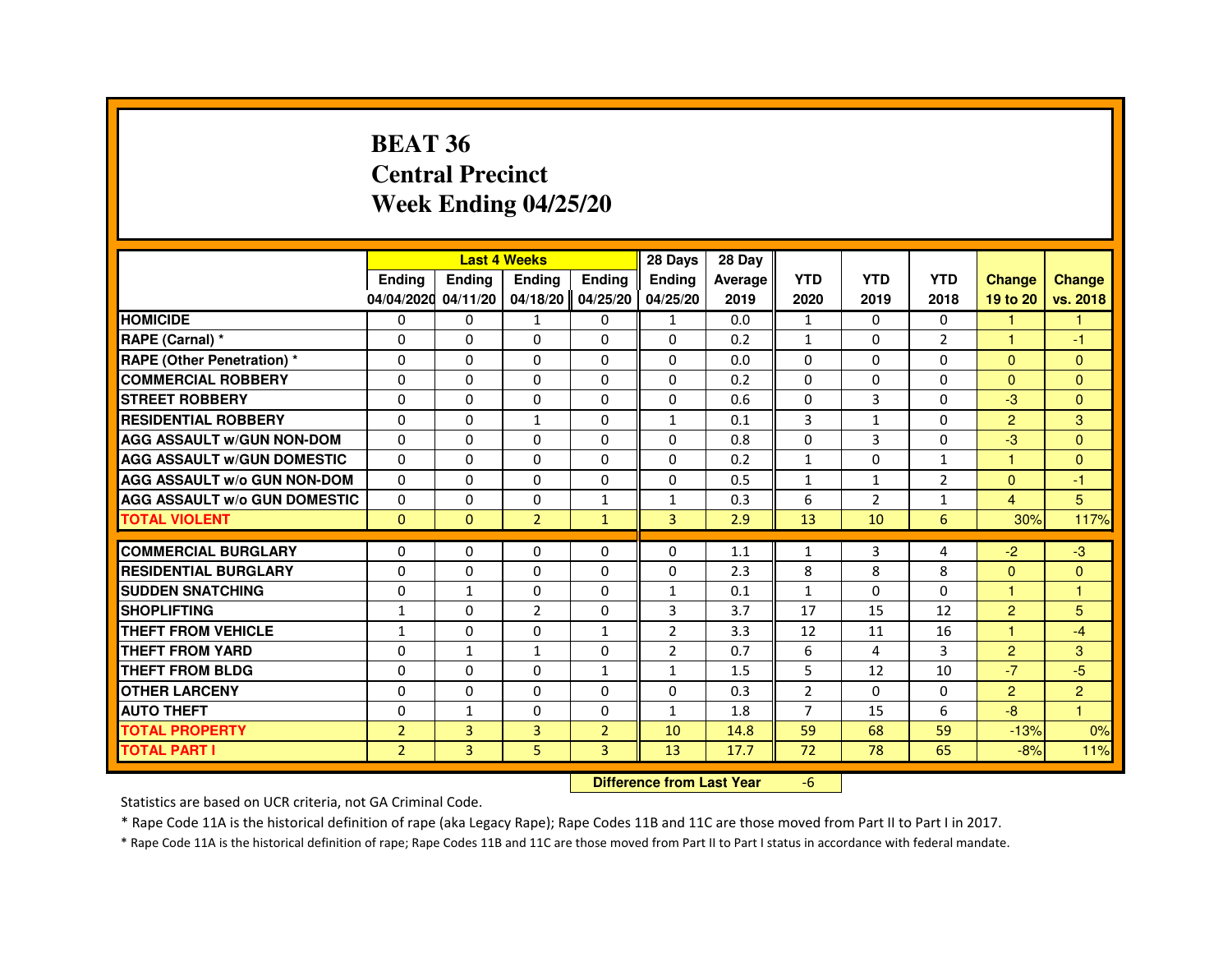#### **BEAT 36 Central PrecinctWeek Ending 04/25/20**

|                                     |                |                                  | <b>Last 4 Weeks</b> |                | 28 Days        | 28 Day  |                |                |                |                      |                |
|-------------------------------------|----------------|----------------------------------|---------------------|----------------|----------------|---------|----------------|----------------|----------------|----------------------|----------------|
|                                     | Ending         | Ending                           | Ending              | <b>Ending</b>  | Ending         | Average | <b>YTD</b>     | <b>YTD</b>     | <b>YTD</b>     | <b>Change</b>        | <b>Change</b>  |
|                                     | 04/04/2020     | 04/11/20                         | 04/18/20 04/25/20   |                | 04/25/20       | 2019    | 2020           | 2019           | 2018           | 19 to 20             | vs. 2018       |
| <b>HOMICIDE</b>                     | $\Omega$       | $\Omega$                         | $\mathbf{1}$        | $\mathbf{0}$   | $\mathbf{1}$   | 0.0     | $\mathbf{1}$   | $\Omega$       | $\mathbf{0}$   | $\blacktriangleleft$ | $\mathbf{1}$   |
| RAPE (Carnal) *                     | 0              | $\mathbf{0}$                     | 0                   | $\Omega$       | $\Omega$       | 0.2     | $\mathbf{1}$   | $\mathbf{0}$   | $\overline{2}$ | -1                   | -1             |
| <b>RAPE (Other Penetration) *</b>   | $\Omega$       | $\Omega$                         | $\Omega$            | $\Omega$       | $\Omega$       | 0.0     | $\Omega$       | $\Omega$       | $\Omega$       | $\Omega$             | $\Omega$       |
| <b>COMMERCIAL ROBBERY</b>           | $\Omega$       | $\Omega$                         | $\Omega$            | $\Omega$       | $\Omega$       | 0.2     | $\Omega$       | $\Omega$       | $\Omega$       | $\Omega$             | $\Omega$       |
| <b>STREET ROBBERY</b>               | $\Omega$       | $\Omega$                         | $\Omega$            | $\Omega$       | $\Omega$       | 0.6     | $\Omega$       | 3              | $\Omega$       | $-3$                 | $\Omega$       |
| <b>RESIDENTIAL ROBBERY</b>          | $\Omega$       | 0                                | $\mathbf{1}$        | 0              | $\mathbf{1}$   | 0.1     | 3              | $\mathbf{1}$   | $\Omega$       | 2                    | 3              |
| <b>AGG ASSAULT w/GUN NON-DOM</b>    | $\Omega$       | $\Omega$                         | $\Omega$            | $\Omega$       | 0              | 0.8     | $\Omega$       | 3              | $\Omega$       | $-3$                 | $\Omega$       |
| <b>AGG ASSAULT w/GUN DOMESTIC</b>   | $\Omega$       | $\Omega$                         | $\Omega$            | $\Omega$       | $\Omega$       | 0.2     | $\mathbf{1}$   | $\Omega$       | $\mathbf{1}$   | 1                    | $\Omega$       |
| <b>AGG ASSAULT w/o GUN NON-DOM</b>  | $\Omega$       | $\Omega$                         | $\Omega$            | $\Omega$       | $\Omega$       | 0.5     | $\mathbf{1}$   | $\mathbf{1}$   | $\overline{2}$ | $\Omega$             | -1             |
| <b>AGG ASSAULT w/o GUN DOMESTIC</b> | $\Omega$       | 0                                | 0                   | $\mathbf{1}$   | $\mathbf{1}$   | 0.3     | 6              | $\overline{2}$ | $\mathbf{1}$   | $\overline{4}$       | 5              |
| <b>TOTAL VIOLENT</b>                | $\mathbf{0}$   | $\mathbf 0$                      | $\overline{2}$      | $\mathbf{1}$   | 3              | 2.9     | 13             | 10             | 6              | 30%                  | 117%           |
| <b>COMMERCIAL BURGLARY</b>          | $\Omega$       | 0                                | 0                   | 0              | 0              | 1.1     | 1              | 3              | 4              | $-2$                 | $-3$           |
| <b>RESIDENTIAL BURGLARY</b>         | 0              | $\mathbf 0$                      | $\Omega$            | $\Omega$       | $\Omega$       | 2.3     | 8              | 8              | 8              | $\Omega$             | $\Omega$       |
| <b>SUDDEN SNATCHING</b>             | 0              | $\mathbf{1}$                     | $\Omega$            | 0              | $\mathbf{1}$   | 0.1     | $\mathbf{1}$   | $\Omega$       | $\Omega$       | $\blacktriangleleft$ | $\mathbf{1}$   |
| <b>SHOPLIFTING</b>                  | $\mathbf{1}$   | 0                                | $\overline{2}$      | $\Omega$       | 3              | 3.7     | 17             | 15             | 12             | 2                    | 5              |
| <b>THEFT FROM VEHICLE</b>           | $\mathbf{1}$   | $\mathbf 0$                      | $\Omega$            | $\mathbf{1}$   | $\overline{2}$ | 3.3     | 12             | 11             | 16             |                      | $-4$           |
| <b>THEFT FROM YARD</b>              | $\Omega$       | $\mathbf{1}$                     | $\mathbf{1}$        | 0              | $\overline{2}$ | 0.7     | 6              | 4              | 3              | $\overline{2}$       | 3              |
| <b>THEFT FROM BLDG</b>              | $\Omega$       | $\Omega$                         | $\Omega$            | $\mathbf{1}$   | $\mathbf{1}$   | 1.5     | 5              | 12             | 10             | $-7$                 | $-5$           |
| <b>OTHER LARCENY</b>                | $\Omega$       | 0                                | 0                   | $\Omega$       | 0              | 0.3     | $\overline{2}$ | $\Omega$       | 0              | 2                    | $\overline{2}$ |
| <b>AUTO THEFT</b>                   | $\Omega$       | $\mathbf{1}$                     | $\Omega$            | $\Omega$       | $\mathbf{1}$   | 1.8     | $\overline{7}$ | 15             | 6              | $-8$                 | $\overline{1}$ |
| <b>TOTAL PROPERTY</b>               | $\overline{2}$ | 3                                | 3                   | $\overline{2}$ | 10             | 14.8    | 59             | 68             | 59             | $-13%$               | 0%             |
| <b>TOTAL PART I</b>                 | $\overline{2}$ | $\overline{3}$                   | 5                   | $\overline{3}$ | 13             | 17.7    | 72             | 78             | 65             | $-8%$                | 11%            |
|                                     |                | <b>Difference from Last Year</b> |                     | $-6$           |                |         |                |                |                |                      |                |

 **Difference from Last Year**

Statistics are based on UCR criteria, not GA Criminal Code.

\* Rape Code 11A is the historical definition of rape (aka Legacy Rape); Rape Codes 11B and 11C are those moved from Part II to Part I in 2017.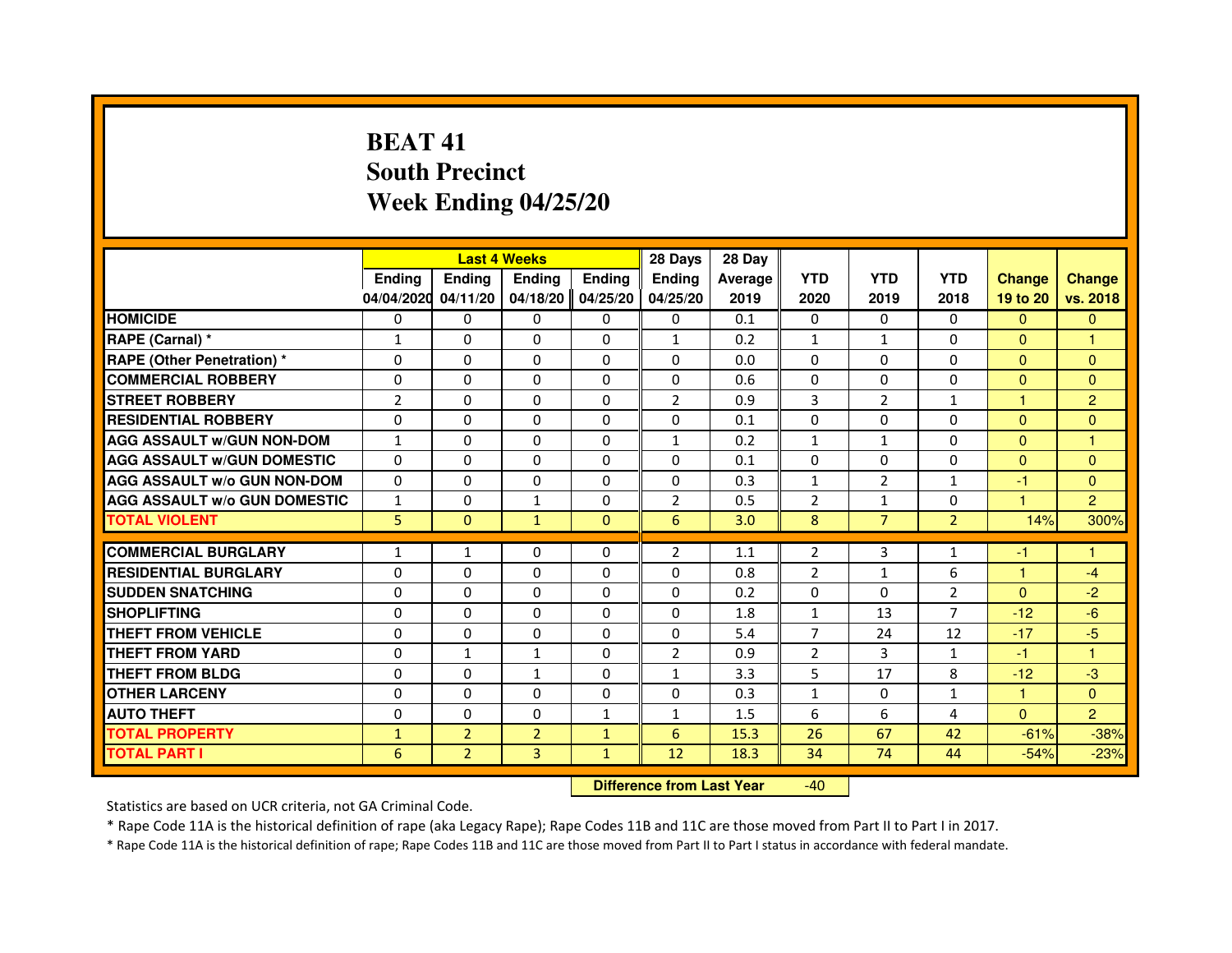# **BEAT 41 South PrecinctWeek Ending 04/25/20**

|                                     |                |                | <b>Last 4 Weeks</b> |               | 28 Days        | 28 Day         |                |                |                |               |                |
|-------------------------------------|----------------|----------------|---------------------|---------------|----------------|----------------|----------------|----------------|----------------|---------------|----------------|
|                                     | <b>Endina</b>  | Ending         | <b>Endina</b>       | <b>Endina</b> | <b>Endina</b>  | <b>Average</b> | <b>YTD</b>     | <b>YTD</b>     | <b>YTD</b>     | <b>Change</b> | <b>Change</b>  |
|                                     | 04/04/2020     | 04/11/20       | 04/18/20            | 04/25/20      | 04/25/20       | 2019           | 2020           | 2019           | 2018           | 19 to 20      | vs. 2018       |
| <b>HOMICIDE</b>                     | 0              | $\Omega$       | $\Omega$            | $\Omega$      | 0              | 0.1            | 0              | $\Omega$       | $\Omega$       | $\Omega$      | $\mathbf{0}$   |
| RAPE (Carnal) *                     | 1              | $\Omega$       | $\Omega$            | $\Omega$      | $\mathbf{1}$   | 0.2            | $\mathbf{1}$   | $\mathbf{1}$   | $\Omega$       | $\Omega$      | 1              |
| <b>RAPE (Other Penetration) *</b>   | $\Omega$       | $\Omega$       | $\Omega$            | $\Omega$      | $\Omega$       | 0.0            | $\Omega$       | $\Omega$       | $\Omega$       | $\Omega$      | $\mathbf{0}$   |
| <b>COMMERCIAL ROBBERY</b>           | 0              | 0              | 0                   | 0             | 0              | 0.6            | $\Omega$       | 0              | $\Omega$       | $\Omega$      | $\Omega$       |
| <b>STREET ROBBERY</b>               | $\overline{2}$ | $\mathbf{0}$   | 0                   | 0             | 2              | 0.9            | 3              | 2              | $\mathbf{1}$   | 1             | $\overline{2}$ |
| <b>RESIDENTIAL ROBBERY</b>          | 0              | $\Omega$       | $\Omega$            | $\Omega$      | $\Omega$       | 0.1            | $\Omega$       | $\Omega$       | $\Omega$       | $\Omega$      | $\Omega$       |
| <b>AGG ASSAULT w/GUN NON-DOM</b>    | 1              | $\Omega$       | $\Omega$            | $\Omega$      | 1              | 0.2            | $\mathbf{1}$   | $\mathbf{1}$   | $\Omega$       | $\mathbf{0}$  | 1              |
| <b>AGG ASSAULT W/GUN DOMESTIC</b>   | $\Omega$       | $\Omega$       | $\Omega$            | $\Omega$      | $\Omega$       | 0.1            | $\Omega$       | $\Omega$       | $\Omega$       | $\Omega$      | $\Omega$       |
| <b>AGG ASSAULT W/o GUN NON-DOM</b>  | 0              | 0              | $\Omega$            | 0             | $\Omega$       | 0.3            | $\mathbf{1}$   | $\overline{2}$ | $\mathbf{1}$   | $-1$          | $\Omega$       |
| <b>AGG ASSAULT W/o GUN DOMESTIC</b> | 1              | $\mathbf{0}$   | 1                   | 0             | 2              | 0.5            | 2              | $\mathbf{1}$   | 0              | 1             | $\overline{2}$ |
| <b>TOTAL VIOLENT</b>                | 5              | $\mathbf{0}$   | $\mathbf{1}$        | $\Omega$      | 6              | 3.0            | 8              | $\overline{7}$ | $\overline{2}$ | 14%           | 300%           |
|                                     |                |                |                     |               |                |                |                |                |                |               |                |
| <b>COMMERCIAL BURGLARY</b>          | $\mathbf{1}$   | 1              | $\Omega$            | 0             | $\overline{2}$ | 1.1            | $\overline{2}$ | 3              | $\mathbf{1}$   | $-1$          | 1              |
| <b>RESIDENTIAL BURGLARY</b>         | $\Omega$       | $\mathbf{0}$   | 0                   | 0             | 0              | 0.8            | $\overline{2}$ | $\mathbf{1}$   | 6              | 1             | $-4$           |
| <b>SUDDEN SNATCHING</b>             | 0              | $\Omega$       | $\Omega$            | $\Omega$      | $\Omega$       | 0.2            | $\Omega$       | $\Omega$       | $\overline{2}$ | $\Omega$      | $-2$           |
| <b>SHOPLIFTING</b>                  | $\Omega$       | $\Omega$       | $\Omega$            | $\Omega$      | $\Omega$       | 1.8            | $\mathbf{1}$   | 13             | $\overline{7}$ | $-12$         | $-6$           |
| <b>THEFT FROM VEHICLE</b>           | $\Omega$       | $\Omega$       | $\Omega$            | 0             | 0              | 5.4            | $\overline{7}$ | 24             | 12             | $-17$         | $-5$           |
| <b>THEFT FROM YARD</b>              | $\Omega$       | $\mathbf{1}$   | $\mathbf{1}$        | $\Omega$      | $\overline{2}$ | 0.9            | 2              | 3              | $\mathbf{1}$   | $-1$          | 1              |
| <b>THEFT FROM BLDG</b>              | 0              | $\Omega$       | 1                   | $\Omega$      | 1              | 3.3            | 5              | 17             | 8              | $-12$         | $-3$           |
| <b>OTHER LARCENY</b>                | 0              | $\Omega$       | $\Omega$            | $\Omega$      | $\Omega$       | 0.3            | $\mathbf{1}$   | $\Omega$       | $\mathbf{1}$   | 1             | $\Omega$       |
| <b>AUTO THEFT</b>                   | 0              | 0              | $\Omega$            | 1             | 1              | 1.5            | 6              | 6              | 4              | $\Omega$      | $\overline{2}$ |
| <b>TOTAL PROPERTY</b>               | $\mathbf{1}$   | $\overline{2}$ | $\overline{2}$      | $\mathbf{1}$  | 6              | 15.3           | 26             | 67             | 42             | $-61%$        | $-38%$         |
| <b>TOTAL PART I</b>                 | 6              | $\overline{2}$ | 3                   | $\mathbf{1}$  | 12             | 18.3           | 34             | 74             | 44             | $-54%$        | $-23%$         |

 **Difference from Last Year**-40

Statistics are based on UCR criteria, not GA Criminal Code.

\* Rape Code 11A is the historical definition of rape (aka Legacy Rape); Rape Codes 11B and 11C are those moved from Part II to Part I in 2017.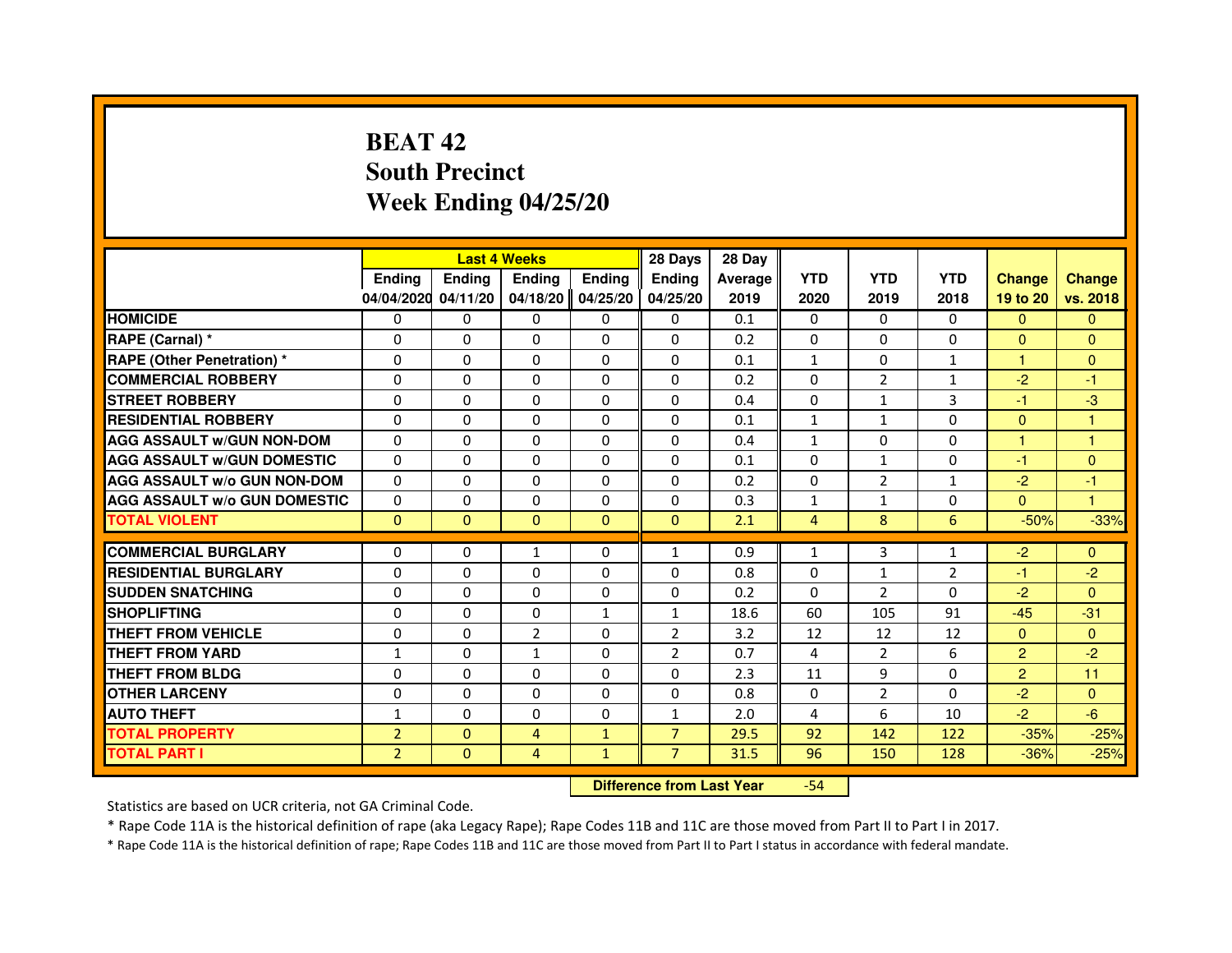# **BEAT 42 South PrecinctWeek Ending 04/25/20**

|                                     |                | <b>Last 4 Weeks</b>              |                |               | 28 Days        | 28 Day  |                |                |              |                |                |
|-------------------------------------|----------------|----------------------------------|----------------|---------------|----------------|---------|----------------|----------------|--------------|----------------|----------------|
|                                     | <b>Ending</b>  | Ending                           | <b>Ending</b>  | <b>Ending</b> | <b>Ending</b>  | Average | <b>YTD</b>     | <b>YTD</b>     | <b>YTD</b>   | <b>Change</b>  | <b>Change</b>  |
|                                     | 04/04/2020     | 04/11/20                         | 04/18/20       | 04/25/20      | 04/25/20       | 2019    | 2020           | 2019           | 2018         | 19 to 20       | vs. 2018       |
| <b>HOMICIDE</b>                     | 0              | $\Omega$                         | $\Omega$       | 0             | 0              | 0.1     | $\Omega$       | 0              | $\Omega$     | $\mathbf{0}$   | $\mathbf{0}$   |
| RAPE (Carnal) *                     | 0              | 0                                | 0              | 0             | 0              | 0.2     | 0              | 0              | 0            | $\Omega$       | $\overline{0}$ |
| RAPE (Other Penetration) *          | $\Omega$       | 0                                | $\Omega$       | $\Omega$      | $\Omega$       | 0.1     | $\mathbf{1}$   | $\Omega$       | 1            | 1              | $\mathbf{0}$   |
| <b>COMMERCIAL ROBBERY</b>           | $\Omega$       | $\Omega$                         | $\Omega$       | $\Omega$      | $\Omega$       | 0.2     | $\Omega$       | $\overline{2}$ | $\mathbf{1}$ | $-2$           | $-1$           |
| <b>STREET ROBBERY</b>               | $\Omega$       | $\Omega$                         | $\Omega$       | $\Omega$      | $\Omega$       | 0.4     | $\Omega$       | $\mathbf{1}$   | 3            | $-1$           | $-3$           |
| <b>RESIDENTIAL ROBBERY</b>          | 0              | 0                                | $\Omega$       | 0             | 0              | 0.1     | $\mathbf{1}$   | $\mathbf{1}$   | $\Omega$     | $\Omega$       | 1              |
| <b>AGG ASSAULT W/GUN NON-DOM</b>    | $\Omega$       | $\Omega$                         | $\Omega$       | $\Omega$      | $\Omega$       | 0.4     | $\mathbf{1}$   | $\Omega$       | $\Omega$     | $\mathbf{1}$   | $\mathbf{1}$   |
| <b>AGG ASSAULT W/GUN DOMESTIC</b>   | $\Omega$       | $\Omega$                         | $\Omega$       | $\Omega$      | $\Omega$       | 0.1     | $\Omega$       | $\mathbf{1}$   | $\Omega$     | $-1$           | $\Omega$       |
| <b>AGG ASSAULT W/o GUN NON-DOM</b>  | $\Omega$       | $\Omega$                         | $\Omega$       | $\Omega$      | $\Omega$       | 0.2     | $\Omega$       | $\overline{2}$ | $\mathbf{1}$ | $-2$           | $-1$           |
| <b>AGG ASSAULT W/o GUN DOMESTIC</b> | $\Omega$       | $\Omega$                         | 0              | $\Omega$      | $\Omega$       | 0.3     | $\mathbf{1}$   | $\mathbf{1}$   | $\Omega$     | $\Omega$       | 1              |
| <b>TOTAL VIOLENT</b>                | $\mathbf{0}$   | $\mathbf{0}$                     | $\mathbf{0}$   | $\mathbf{0}$  | $\mathbf{0}$   | 2.1     | $\overline{4}$ | 8              | 6            | $-50%$         | $-33%$         |
| <b>COMMERCIAL BURGLARY</b>          | 0              | 0                                | 1              | 0             | $\mathbf{1}$   | 0.9     | $\mathbf{1}$   | 3              | $\mathbf{1}$ | $-2$           | $\mathbf{0}$   |
| <b>RESIDENTIAL BURGLARY</b>         | 0              | $\Omega$                         | $\Omega$       | $\Omega$      | $\Omega$       | 0.8     | $\Omega$       | $\mathbf{1}$   | 2            | $-1$           | $-2$           |
| <b>SUDDEN SNATCHING</b>             | $\Omega$       | $\Omega$                         | $\Omega$       | $\Omega$      | $\Omega$       | 0.2     | $\Omega$       | $\mathcal{P}$  | $\Omega$     | $-2$           | $\Omega$       |
| <b>SHOPLIFTING</b>                  | 0              | 0                                | $\Omega$       | 1             | $\mathbf{1}$   | 18.6    | 60             | 105            | 91           | $-45$          | $-31$          |
| THEFT FROM VEHICLE                  | 0              | 0                                | $\overline{2}$ | $\Omega$      | $\overline{2}$ | 3.2     | 12             | 12             | 12           | $\mathbf{0}$   | $\Omega$       |
| <b>THEFT FROM YARD</b>              | 1              | $\Omega$                         | $\mathbf{1}$   | $\Omega$      | $\overline{2}$ | 0.7     | $\overline{4}$ | $\overline{2}$ | 6            | $\overline{2}$ | $-2$           |
| <b>THEFT FROM BLDG</b>              | $\Omega$       | $\Omega$                         | $\Omega$       | $\Omega$      | $\Omega$       | 2.3     | 11             | 9              | $\Omega$     | $\overline{2}$ | 11             |
| <b>OTHER LARCENY</b>                | 0              | $\Omega$                         | 0              | 0             | 0              | 0.8     | 0              | $\overline{2}$ | 0            | $-2$           | $\mathbf{0}$   |
| <b>AUTO THEFT</b>                   | $\mathbf{1}$   | $\Omega$                         | $\Omega$       | $\Omega$      | $\mathbf{1}$   | 2.0     | 4              | 6              | 10           | $-2$           | $-6$           |
| <b>TOTAL PROPERTY</b>               | $\overline{2}$ | $\Omega$                         | 4              | $\mathbf{1}$  | $\overline{7}$ | 29.5    | 92             | 142            | 122          | $-35%$         | $-25%$         |
| <b>TOTAL PART I</b>                 | $\overline{2}$ | $\mathbf{0}$                     | 4              | $\mathbf{1}$  | $\overline{7}$ | 31.5    | 96             | 150            | 128          | $-36%$         | $-25%$         |
|                                     |                | <b>Difference from Last Year</b> |                | $-54$         |                |         |                |                |              |                |                |

 **Difference from Last Year**

Statistics are based on UCR criteria, not GA Criminal Code.

\* Rape Code 11A is the historical definition of rape (aka Legacy Rape); Rape Codes 11B and 11C are those moved from Part II to Part I in 2017.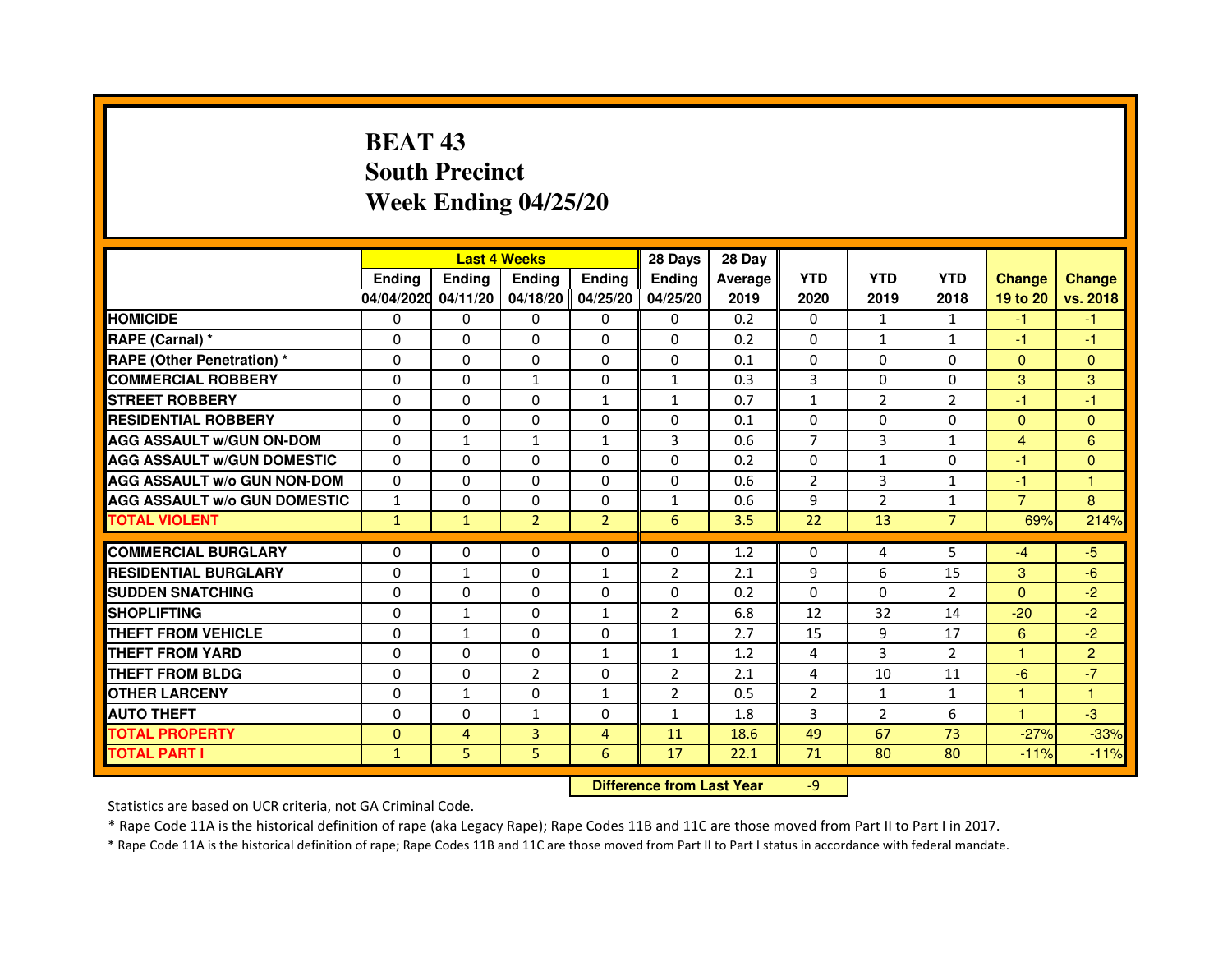# **BEAT 43 South PrecinctWeek Ending 04/25/20**

|                                     |               | <b>Last 4 Weeks</b> |                |                   | 28 Days                          | 28 Day  |                |                |                |                |                |
|-------------------------------------|---------------|---------------------|----------------|-------------------|----------------------------------|---------|----------------|----------------|----------------|----------------|----------------|
|                                     | <b>Ending</b> | <b>Ending</b>       | <b>Ending</b>  | <b>Ending</b>     | <b>Ending</b>                    | Average | <b>YTD</b>     | <b>YTD</b>     | <b>YTD</b>     | <b>Change</b>  | <b>Change</b>  |
|                                     | 04/04/2020    | 04/11/20            |                | 04/18/20 04/25/20 | 04/25/20                         | 2019    | 2020           | 2019           | 2018           | 19 to 20       | vs. 2018       |
| <b>HOMICIDE</b>                     | 0             | $\Omega$            | $\Omega$       | $\Omega$          | 0                                | 0.2     | $\Omega$       | $\mathbf{1}$   | $\mathbf{1}$   | $-1$           | $-1$           |
| RAPE (Carnal) *                     | 0             | $\Omega$            | 0              | $\Omega$          | $\mathbf{0}$                     | 0.2     | $\mathbf{0}$   | $\mathbf{1}$   | $\mathbf{1}$   | $-1$           | $-1$           |
| <b>RAPE (Other Penetration) *</b>   | $\mathbf 0$   | 0                   | $\Omega$       | $\Omega$          | $\Omega$                         | 0.1     | $\Omega$       | $\Omega$       | $\Omega$       | $\mathbf{0}$   | $\mathbf{0}$   |
| <b>COMMERCIAL ROBBERY</b>           | $\mathbf 0$   | $\Omega$            | $\mathbf{1}$   | $\mathbf{0}$      | $\mathbf{1}$                     | 0.3     | 3              | $\mathbf{0}$   | $\Omega$       | 3              | 3              |
| <b>STREET ROBBERY</b>               | $\Omega$      | $\Omega$            | $\Omega$       | $\mathbf{1}$      | $\mathbf{1}$                     | 0.7     | $\mathbf{1}$   | $\overline{2}$ | 2              | $-1$           | $-1$           |
| <b>RESIDENTIAL ROBBERY</b>          | 0             | $\Omega$            | 0              | $\Omega$          | $\Omega$                         | 0.1     | $\Omega$       | $\Omega$       | $\Omega$       | $\Omega$       | $\Omega$       |
| <b>AGG ASSAULT w/GUN ON-DOM</b>     | $\Omega$      | $\mathbf{1}$        | $\mathbf{1}$   | $\mathbf{1}$      | 3                                | 0.6     | $\overline{7}$ | 3              | $\mathbf{1}$   | $\overline{4}$ | 6              |
| <b>AGG ASSAULT W/GUN DOMESTIC</b>   | $\Omega$      | $\Omega$            | $\Omega$       | $\Omega$          | $\Omega$                         | 0.2     | $\Omega$       | $\mathbf{1}$   | $\Omega$       | $-1$           | $\Omega$       |
| <b>AGG ASSAULT W/o GUN NON-DOM</b>  | $\Omega$      | 0                   | 0              | $\mathbf{0}$      | 0                                | 0.6     | $\overline{2}$ | 3              | $\mathbf{1}$   | $-1$           | 1              |
| <b>AGG ASSAULT W/o GUN DOMESTIC</b> | $\mathbf{1}$  | 0                   | 0              | $\mathbf{0}$      | $\mathbf{1}$                     | 0.6     | 9              | $\overline{2}$ | $\mathbf{1}$   | $\overline{7}$ | 8              |
| <b>TOTAL VIOLENT</b>                | $\mathbf{1}$  | $\mathbf{1}$        | $\overline{2}$ | $\overline{2}$    | 6                                | 3.5     | 22             | 13             | $\overline{7}$ | 69%            | 214%           |
| <b>COMMERCIAL BURGLARY</b>          | 0             | 0                   | 0              | 0                 | 0                                | 1.2     | 0              | 4              | 5              | $-4$           | $-5$           |
| <b>RESIDENTIAL BURGLARY</b>         | $\mathbf 0$   | $\mathbf{1}$        | $\Omega$       | $\mathbf{1}$      | $\overline{2}$                   | 2.1     | 9              | 6              | 15             | 3              | $-6$           |
| <b>SUDDEN SNATCHING</b>             | $\Omega$      | 0                   | $\Omega$       | $\Omega$          | $\Omega$                         | 0.2     | $\Omega$       | $\Omega$       | $\mathcal{P}$  | $\Omega$       | $-2$           |
| <b>SHOPLIFTING</b>                  | 0             | $\mathbf{1}$        | 0              | 1                 | 2                                | 6.8     | 12             | 32             | 14             | $-20$          | $-2$           |
| THEFT FROM VEHICLE                  | 0             | $\mathbf{1}$        | 0              | $\mathbf{0}$      | $\mathbf{1}$                     | 2.7     | 15             | 9              | 17             | 6              | $-2$           |
| <b>THEFT FROM YARD</b>              | $\mathbf 0$   | 0                   | $\Omega$       | $\mathbf{1}$      | $\mathbf{1}$                     | 1.2     | 4              | 3              | $\overline{2}$ | $\mathbf{1}$   | $\overline{2}$ |
| <b>THEFT FROM BLDG</b>              | 0             | $\Omega$            | $\overline{2}$ | $\Omega$          | $\overline{2}$                   | 2.1     | 4              | 10             | 11             | $-6$           | $-7$           |
| <b>OTHER LARCENY</b>                | 0             | $\mathbf{1}$        | 0              | $\mathbf{1}$      | $\overline{2}$                   | 0.5     | $\overline{2}$ | $\mathbf{1}$   | $\mathbf{1}$   | 1.             | 1              |
| <b>AUTO THEFT</b>                   | $\Omega$      | $\Omega$            | $\mathbf{1}$   | $\Omega$          | $\mathbf{1}$                     | 1.8     | 3              | $\overline{2}$ | 6              | $\mathbf{1}$   | $-3$           |
| <b>TOTAL PROPERTY</b>               | $\Omega$      | 4                   | 3              | $\overline{4}$    | 11                               | 18.6    | 49             | 67             | 73             | $-27%$         | $-33%$         |
| <b>TOTAL PART I</b>                 | $\mathbf{1}$  | 5                   | 5              | 6                 | 17                               | 22.1    | 71             | 80             | 80             | $-11%$         | $-11%$         |
|                                     |               |                     |                |                   | <b>Difference from Last Year</b> |         | $-9$           |                |                |                |                |

 **Difference from Last Year**

Statistics are based on UCR criteria, not GA Criminal Code.

\* Rape Code 11A is the historical definition of rape (aka Legacy Rape); Rape Codes 11B and 11C are those moved from Part II to Part I in 2017.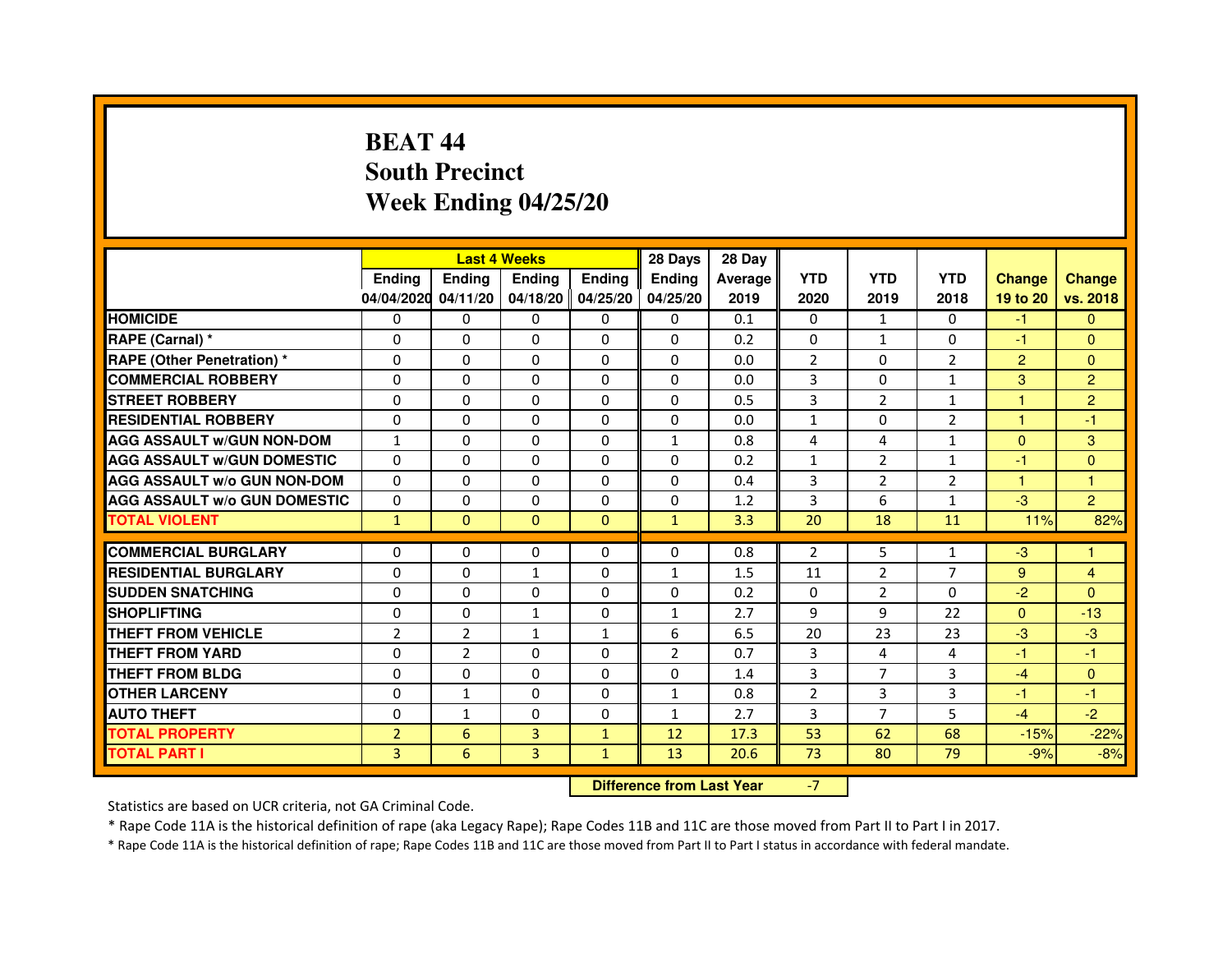# **BEAT 44 South PrecinctWeek Ending 04/25/20**

|                                     |                | <b>Last 4 Weeks</b> |               |                   | 28 Days        | 28 Day  |                |                |                |                |                |
|-------------------------------------|----------------|---------------------|---------------|-------------------|----------------|---------|----------------|----------------|----------------|----------------|----------------|
|                                     | <b>Endina</b>  | <b>Ending</b>       | <b>Ending</b> | <b>Endina</b>     | <b>Endina</b>  | Average | <b>YTD</b>     | <b>YTD</b>     | <b>YTD</b>     | <b>Change</b>  | <b>Change</b>  |
|                                     | 04/04/2020     | 04/11/20            |               | 04/18/20 04/25/20 | 04/25/20       | 2019    | 2020           | 2019           | 2018           | 19 to 20       | vs. 2018       |
| <b>HOMICIDE</b>                     | 0              | 0                   | 0             | 0                 | 0              | 0.1     | $\mathbf{0}$   | $\mathbf{1}$   | $\Omega$       | $-1$           | $\mathbf{0}$   |
| RAPE (Carnal) *                     | $\Omega$       | $\Omega$            | $\Omega$      | $\Omega$          | $\Omega$       | 0.2     | $\Omega$       | $\mathbf{1}$   | $\Omega$       | $-1$           | $\Omega$       |
| <b>RAPE (Other Penetration) *</b>   | $\Omega$       | $\Omega$            | $\Omega$      | $\Omega$          | $\Omega$       | 0.0     | $\overline{2}$ | $\Omega$       | $\overline{2}$ | $\overline{2}$ | $\Omega$       |
| <b>COMMERCIAL ROBBERY</b>           | 0              | 0                   | $\Omega$      | 0                 | $\Omega$       | 0.0     | 3              | 0              | $\mathbf{1}$   | 3              | $\overline{2}$ |
| <b>STREET ROBBERY</b>               | $\Omega$       | 0                   | $\Omega$      | 0                 | 0              | 0.5     | 3              | $\overline{2}$ | $\mathbf{1}$   | 1              | $\overline{c}$ |
| <b>RESIDENTIAL ROBBERY</b>          | $\Omega$       | $\Omega$            | $\Omega$      | $\Omega$          | 0              | 0.0     | $\mathbf{1}$   | 0              | $\overline{2}$ | $\mathbf{1}$   | $-1$           |
| <b>AGG ASSAULT w/GUN NON-DOM</b>    | $\mathbf{1}$   | 0                   | $\Omega$      | 0                 | $\mathbf{1}$   | 0.8     | 4              | 4              | $\mathbf{1}$   | $\Omega$       | 3              |
| <b>AGG ASSAULT W/GUN DOMESTIC</b>   | $\Omega$       | 0                   | 0             | 0                 | 0              | 0.2     | $\mathbf{1}$   | $\overline{2}$ | $\mathbf{1}$   | $-1$           | $\Omega$       |
| <b>AGG ASSAULT W/o GUN NON-DOM</b>  | $\Omega$       | $\Omega$            | $\Omega$      | $\Omega$          | $\Omega$       | 0.4     | 3              | $\overline{2}$ | $\overline{2}$ | 1              | 1              |
| <b>AGG ASSAULT W/o GUN DOMESTIC</b> | $\Omega$       | $\Omega$            | $\Omega$      | $\Omega$          | 0              | 1.2     | 3              | 6              | 1              | $-3$           | $\overline{2}$ |
| <b>TOTAL VIOLENT</b>                | $\mathbf{1}$   | $\Omega$            | $\Omega$      | $\Omega$          | $\mathbf{1}$   | 3.3     | 20             | 18             | 11             | 11%            | 82%            |
|                                     |                |                     |               |                   |                |         |                |                |                |                |                |
| <b>COMMERCIAL BURGLARY</b>          | $\Omega$       | $\Omega$            | $\Omega$      | $\Omega$          | $\Omega$       | 0.8     | $\overline{2}$ | 5              | $\mathbf{1}$   | $-3$           | 1              |
| <b>RESIDENTIAL BURGLARY</b>         | $\Omega$       | $\Omega$            | 1             | 0                 | 1              | 1.5     | 11             | $\overline{2}$ | 7              | 9              | $\overline{4}$ |
| <b>SUDDEN SNATCHING</b>             | $\Omega$       | $\Omega$            | 0             | 0                 | 0              | 0.2     | $\Omega$       | $\overline{2}$ | $\Omega$       | $-2$           | $\Omega$       |
| <b>SHOPLIFTING</b>                  | 0              | $\mathbf 0$         | 1             | 0                 | $\mathbf{1}$   | 2.7     | 9              | 9              | 22             | $\Omega$       | $-13$          |
| <b>THEFT FROM VEHICLE</b>           | $\overline{2}$ | $\overline{2}$      | $\mathbf{1}$  | $\mathbf{1}$      | 6              | 6.5     | 20             | 23             | 23             | $-3$           | $-3$           |
| <b>THEFT FROM YARD</b>              | 0              | $\overline{2}$      | $\Omega$      | $\Omega$          | $\overline{2}$ | 0.7     | 3              | 4              | $\overline{4}$ | $-1$           | $-1$           |
| <b>THEFT FROM BLDG</b>              | $\Omega$       | $\Omega$            | 0             | 0                 | 0              | 1.4     | 3              | $\overline{7}$ | 3              | $-4$           | $\Omega$       |
| <b>OTHER LARCENY</b>                | $\Omega$       | $\mathbf{1}$        | $\Omega$      | 0                 | 1              | 0.8     | $\overline{2}$ | 3              | 3              | $-1$           | $-1$           |
| <b>AUTO THEFT</b>                   | $\mathbf 0$    | 1                   | 0             | 0                 | $\mathbf{1}$   | 2.7     | 3              | $\overline{7}$ | 5              | $-4$           | $-2$           |
| <b>TOTAL PROPERTY</b>               | $\overline{2}$ | 6                   | 3             | $\mathbf{1}$      | 12             | 17.3    | 53             | 62             | 68             | $-15%$         | $-22%$         |
| <b>TOTAL PART I</b>                 | $\overline{3}$ | 6                   | 3             | $\mathbf{1}$      | 13             | 20.6    | 73             | 80             | 79             | $-9%$          | $-8%$          |

 **Difference from Last Year**

-7

Statistics are based on UCR criteria, not GA Criminal Code.

\* Rape Code 11A is the historical definition of rape (aka Legacy Rape); Rape Codes 11B and 11C are those moved from Part II to Part I in 2017.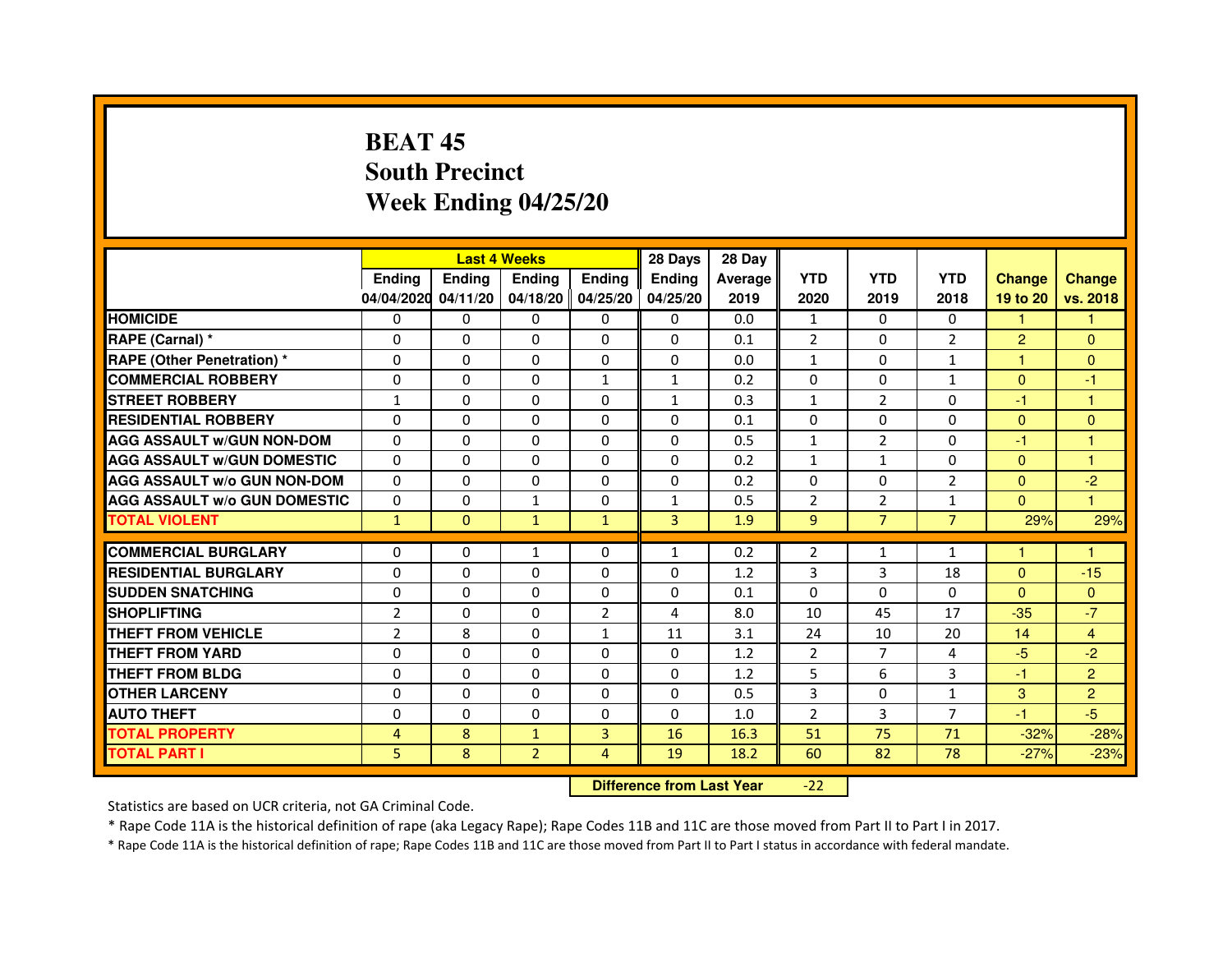# **BEAT 45 South PrecinctWeek Ending 04/25/20**

|                                     |                | <b>Last 4 Weeks</b> |                   |                | 28 Days       | 28 Day  |                |                |                |                |                |
|-------------------------------------|----------------|---------------------|-------------------|----------------|---------------|---------|----------------|----------------|----------------|----------------|----------------|
|                                     | <b>Endina</b>  | <b>Endina</b>       | <b>Endina</b>     | <b>Ending</b>  | <b>Endina</b> | Average | <b>YTD</b>     | <b>YTD</b>     | <b>YTD</b>     | <b>Change</b>  | <b>Change</b>  |
|                                     | 04/04/2020     | 04/11/20            | 04/18/20 04/25/20 |                | 04/25/20      | 2019    | 2020           | 2019           | 2018           | 19 to 20       | vs. 2018       |
| <b>HOMICIDE</b>                     | 0              | 0                   | 0                 | 0              | 0             | 0.0     | $\mathbf{1}$   | 0              | $\mathbf{0}$   | 1              |                |
| RAPE (Carnal) *                     | $\Omega$       | $\Omega$            | $\Omega$          | $\Omega$       | $\Omega$      | 0.1     | $\overline{2}$ | $\Omega$       | $\overline{2}$ | $\overline{2}$ | $\Omega$       |
| <b>RAPE (Other Penetration) *</b>   | $\Omega$       | $\Omega$            | $\Omega$          | $\Omega$       | 0             | 0.0     | $\mathbf{1}$   | $\Omega$       | $\mathbf{1}$   | 1.             | $\Omega$       |
| <b>COMMERCIAL ROBBERY</b>           | 0              | 0                   | 0                 | $\mathbf{1}$   | 1             | 0.2     | 0              | 0              | $\mathbf{1}$   | $\Omega$       | $-1$           |
| <b>STREET ROBBERY</b>               | 1              | 0                   | $\Omega$          | 0              | 1             | 0.3     | $\mathbf{1}$   | $\overline{2}$ | $\Omega$       | $-1$           | 1              |
| <b>RESIDENTIAL ROBBERY</b>          | 0              | 0                   | 0                 | 0              | 0             | 0.1     | $\Omega$       | $\Omega$       | $\Omega$       | $\Omega$       | $\Omega$       |
| <b>AGG ASSAULT w/GUN NON-DOM</b>    | $\Omega$       | $\Omega$            | $\mathbf 0$       | 0              | $\Omega$      | 0.5     | $\mathbf{1}$   | $\overline{2}$ | $\Omega$       | $-1$           | 1              |
| <b>AGG ASSAULT W/GUN DOMESTIC</b>   | 0              | 0                   | 0                 | 0              | 0             | 0.2     | $\mathbf{1}$   | $\mathbf{1}$   | $\Omega$       | $\Omega$       | 1              |
| <b>AGG ASSAULT W/o GUN NON-DOM</b>  | $\Omega$       | $\Omega$            | 0                 | 0              | $\Omega$      | 0.2     | $\Omega$       | $\Omega$       | $\overline{2}$ | $\Omega$       | $-2$           |
| <b>AGG ASSAULT W/o GUN DOMESTIC</b> | $\Omega$       | $\Omega$            | $\mathbf{1}$      | 0              | $\mathbf{1}$  | 0.5     | $\overline{2}$ | $\overline{2}$ | $\mathbf{1}$   | $\Omega$       | 1              |
| <b>TOTAL VIOLENT</b>                | $\mathbf{1}$   | $\Omega$            | $\mathbf{1}$      | $\mathbf{1}$   | 3             | 1.9     | 9              | $\overline{7}$ | $\overline{7}$ | 29%            | 29%            |
|                                     |                |                     |                   |                |               |         |                |                |                |                |                |
| <b>COMMERCIAL BURGLARY</b>          | 0              | 0                   | $\mathbf{1}$      | 0              | 1             | 0.2     | $\overline{2}$ | $\mathbf{1}$   | $\mathbf{1}$   | 1              | 1              |
| <b>RESIDENTIAL BURGLARY</b>         | 0              | 0                   | 0                 | 0              | 0             | 1.2     | 3              | 3              | 18             | $\Omega$       | $-15$          |
| <b>SUDDEN SNATCHING</b>             | 0              | $\Omega$            | 0                 | 0              | 0             | 0.1     | $\Omega$       | $\Omega$       | $\Omega$       | $\Omega$       | $\Omega$       |
| <b>SHOPLIFTING</b>                  | $\overline{2}$ | $\Omega$            | $\Omega$          | $\overline{2}$ | 4             | 8.0     | 10             | 45             | 17             | $-35$          | $-7$           |
| <b>THEFT FROM VEHICLE</b>           | $\overline{2}$ | 8                   | $\Omega$          | $\mathbf{1}$   | 11            | 3.1     | 24             | 10             | 20             | 14             | $\overline{4}$ |
| <b>THEFT FROM YARD</b>              | 0              | 0                   | $\Omega$          | $\Omega$       | $\Omega$      | 1.2     | $\overline{2}$ | $\overline{7}$ | $\overline{4}$ | $-5$           | $-2$           |
| <b>THEFT FROM BLDG</b>              | $\Omega$       | 0                   | 0                 | 0              | 0             | 1.2     | 5              | 6              | 3              | $-1$           | $\overline{2}$ |
| <b>OTHER LARCENY</b>                | 0              | $\Omega$            | $\Omega$          | 0              | 0             | 0.5     | 3              | $\Omega$       | $\mathbf{1}$   | 3              | $\overline{2}$ |
| <b>AUTO THEFT</b>                   | $\mathbf 0$    | $\mathbf 0$         | $\Omega$          | 0              | $\Omega$      | 1.0     | $\overline{2}$ | 3              | $\overline{7}$ | $-1$           | $-5$           |
| <b>TOTAL PROPERTY</b>               | 4              | 8                   | $\mathbf{1}$      | 3              | 16            | 16.3    | 51             | 75             | 71             | $-32%$         | $-28%$         |
| <b>TOTAL PART I</b>                 | 5              | 8                   | $\overline{2}$    | $\overline{4}$ | 19            | 18.2    | 60             | 82             | 78             | $-27%$         | $-23%$         |

 **Difference from Last Year**-22

Statistics are based on UCR criteria, not GA Criminal Code.

\* Rape Code 11A is the historical definition of rape (aka Legacy Rape); Rape Codes 11B and 11C are those moved from Part II to Part I in 2017.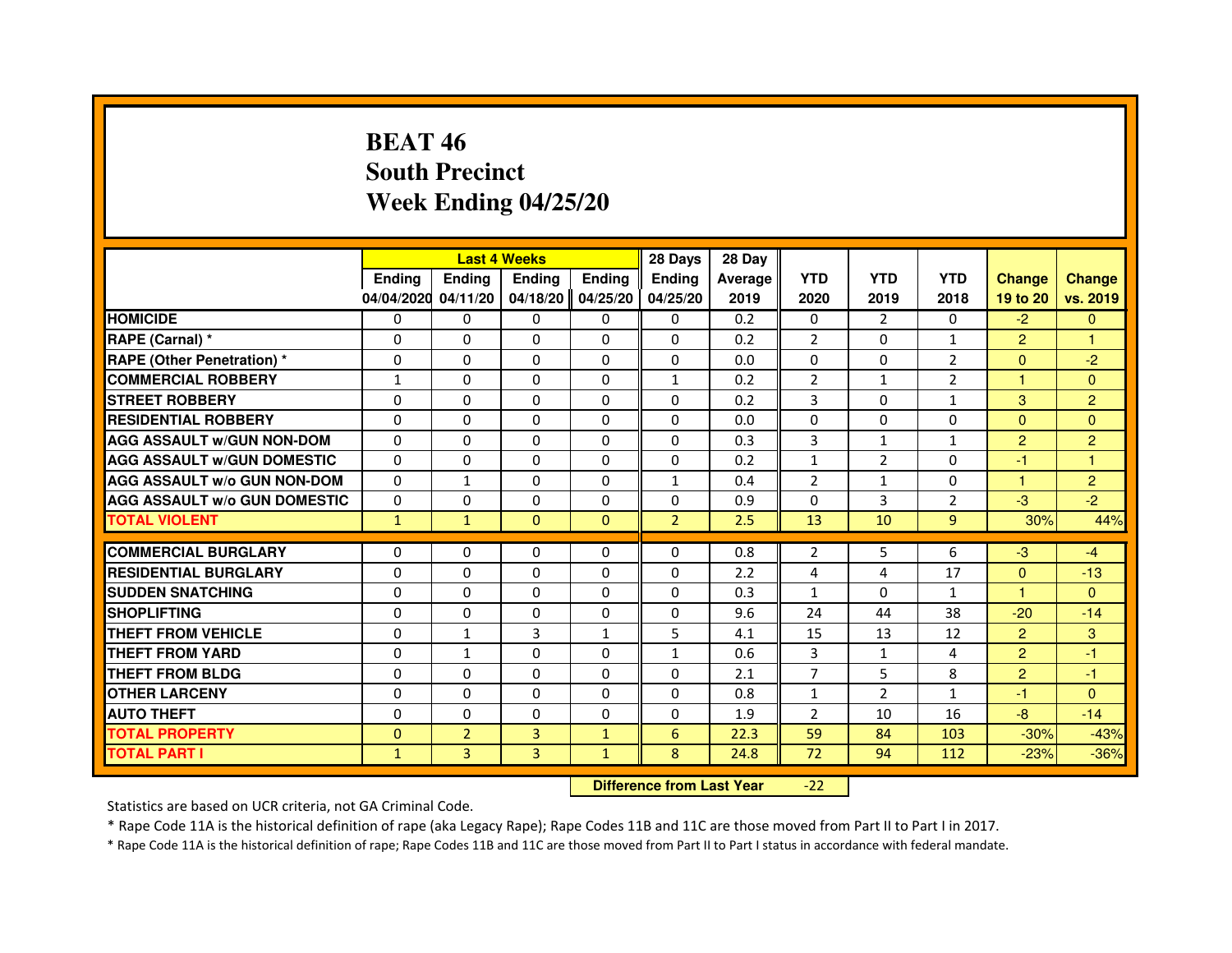# **BEAT 46 South PrecinctWeek Ending 04/25/20**

|                                     |               | <b>Last 4 Weeks</b> |                |               | 28 Days                          | 28 Day  |                |                |                |                |                |
|-------------------------------------|---------------|---------------------|----------------|---------------|----------------------------------|---------|----------------|----------------|----------------|----------------|----------------|
|                                     | <b>Ending</b> | Ending              | <b>Ending</b>  | <b>Ending</b> | <b>Ending</b>                    | Average | <b>YTD</b>     | <b>YTD</b>     | <b>YTD</b>     | <b>Change</b>  | <b>Change</b>  |
|                                     | 04/04/2020    | 04/11/20            | 04/18/20       | 04/25/20      | 04/25/20                         | 2019    | 2020           | 2019           | 2018           | 19 to 20       | vs. 2019       |
| <b>HOMICIDE</b>                     | 0             | $\Omega$            | $\Omega$       | 0             | 0                                | 0.2     | 0              | $\mathcal{P}$  | $\Omega$       | $-2$           | $\mathbf{0}$   |
| RAPE (Carnal) *                     | 0             | 0                   | 0              | 0             | 0                                | 0.2     | 2              | 0              | 1              | $\overline{2}$ | 1              |
| RAPE (Other Penetration) *          | $\Omega$      | 0                   | $\Omega$       | $\Omega$      | $\Omega$                         | 0.0     | $\Omega$       | $\Omega$       | $\overline{2}$ | $\Omega$       | $-2$           |
| <b>COMMERCIAL ROBBERY</b>           | $\mathbf{1}$  | $\Omega$            | $\Omega$       | $\Omega$      | $\mathbf{1}$                     | 0.2     | $\overline{2}$ | $\mathbf{1}$   | $\overline{2}$ | $\mathbf{1}$   | $\mathbf{0}$   |
| <b>STREET ROBBERY</b>               | $\Omega$      | $\Omega$            | $\Omega$       | $\Omega$      | $\Omega$                         | 0.2     | 3              | $\Omega$       | $\mathbf{1}$   | 3              | $\overline{2}$ |
| <b>RESIDENTIAL ROBBERY</b>          | 0             | 0                   | $\Omega$       | 0             | 0                                | 0.0     | 0              | 0              | $\Omega$       | $\Omega$       | $\mathbf{0}$   |
| <b>AGG ASSAULT W/GUN NON-DOM</b>    | $\Omega$      | $\Omega$            | $\Omega$       | $\Omega$      | $\Omega$                         | 0.3     | $\overline{3}$ | $\mathbf{1}$   | $\mathbf{1}$   | $\overline{2}$ | $\overline{2}$ |
| <b>AGG ASSAULT W/GUN DOMESTIC</b>   | $\Omega$      | $\Omega$            | $\Omega$       | $\Omega$      | $\Omega$                         | 0.2     | $\mathbf{1}$   | $\overline{2}$ | $\Omega$       | $-1$           | $\mathbf{1}$   |
| <b>AGG ASSAULT W/o GUN NON-DOM</b>  | $\Omega$      | $\mathbf{1}$        | $\Omega$       | $\Omega$      | $\mathbf{1}$                     | 0.4     | $\overline{2}$ | $\mathbf{1}$   | $\Omega$       | $\mathbf{1}$   | $\overline{2}$ |
| <b>AGG ASSAULT W/o GUN DOMESTIC</b> | $\Omega$      | $\Omega$            | 0              | $\Omega$      | $\Omega$                         | 0.9     | $\Omega$       | 3              | $\overline{2}$ | $-3$           | $-2$           |
| <b>TOTAL VIOLENT</b>                | $\mathbf{1}$  | $\mathbf{1}$        | $\mathbf{0}$   | $\mathbf{0}$  | $\overline{2}$                   | 2.5     | 13             | 10             | 9              | 30%            | 44%            |
| <b>COMMERCIAL BURGLARY</b>          | 0             | 0                   | 0              | 0             | 0                                | 0.8     | 2              | 5              | 6              | $-3$           | $-4$           |
| <b>RESIDENTIAL BURGLARY</b>         | 0             | $\Omega$            | $\Omega$       | $\Omega$      | $\Omega$                         | 2.2     | 4              | 4              | 17             | $\Omega$       | $-13$          |
| <b>SUDDEN SNATCHING</b>             | $\Omega$      | $\Omega$            | $\Omega$       | $\Omega$      | $\Omega$                         | 0.3     | $\mathbf{1}$   | $\Omega$       | $\mathbf{1}$   | $\mathbf{1}$   | $\Omega$       |
| <b>SHOPLIFTING</b>                  | 0             | $\Omega$            | 0              | 0             | 0                                | 9.6     | 24             | 44             | 38             | $-20$          | $-14$          |
| THEFT FROM VEHICLE                  | 0             | 1                   | 3              | $\mathbf{1}$  | 5                                | 4.1     | 15             | 13             | 12             | $\overline{2}$ | 3              |
| <b>THEFT FROM YARD</b>              | $\Omega$      | $\mathbf{1}$        | $\Omega$       | $\Omega$      | $\mathbf{1}$                     | 0.6     | 3              | $\mathbf{1}$   | 4              | $\overline{2}$ | $-1$           |
| <b>THEFT FROM BLDG</b>              | $\Omega$      | $\Omega$            | $\Omega$       | $\Omega$      | $\Omega$                         | 2.1     | $\overline{7}$ | 5              | 8              | 2              | $-1$           |
| <b>OTHER LARCENY</b>                | 0             | $\Omega$            | 0              | 0             | 0                                | 0.8     | $\mathbf{1}$   | $\overline{2}$ | 1              | $-1$           | $\Omega$       |
| <b>AUTO THEFT</b>                   | $\Omega$      | $\Omega$            | $\Omega$       | $\Omega$      | $\Omega$                         | 1.9     | $\overline{2}$ | 10             | 16             | $-8$           | $-14$          |
| <b>TOTAL PROPERTY</b>               | $\Omega$      | $\overline{2}$      | $\overline{3}$ | $\mathbf{1}$  | $6\phantom{1}$                   | 22.3    | 59             | 84             | 103            | $-30%$         | $-43%$         |
| <b>TOTAL PART I</b>                 | $\mathbf{1}$  | 3                   | 3              | $\mathbf{1}$  | 8                                | 24.8    | 72             | 94             | 112            | $-23%$         | $-36%$         |
|                                     |               |                     |                |               | <b>Difference from Last Year</b> |         | $-22$          |                |                |                |                |

 **Difference from Last Year**

Statistics are based on UCR criteria, not GA Criminal Code.

\* Rape Code 11A is the historical definition of rape (aka Legacy Rape); Rape Codes 11B and 11C are those moved from Part II to Part I in 2017.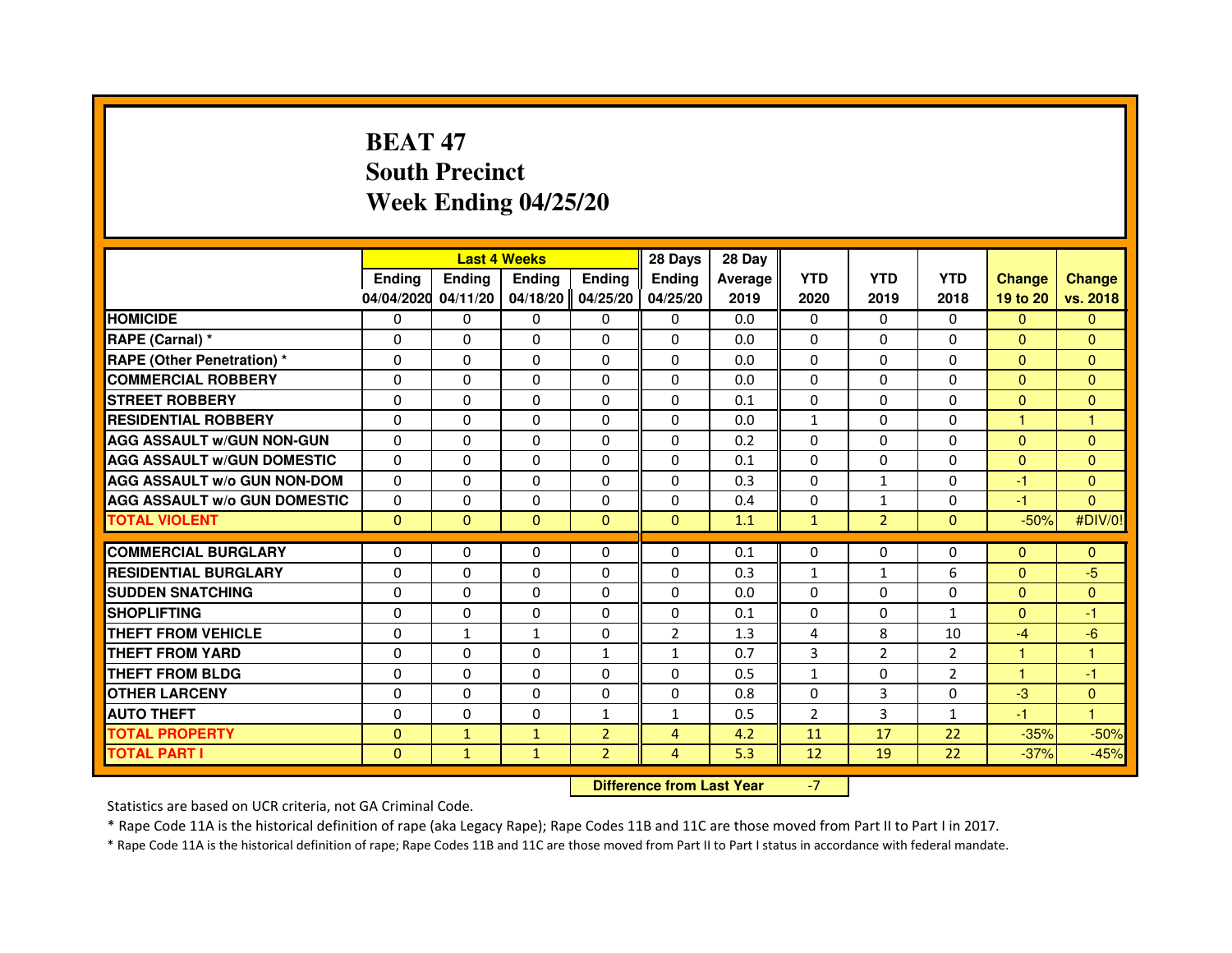# **BEAT 47 South PrecinctWeek Ending 04/25/20**

|                                     |               | <b>Last 4 Weeks</b>              |               |                | 28 Days        | 28 Day  |                |                |                |                |               |
|-------------------------------------|---------------|----------------------------------|---------------|----------------|----------------|---------|----------------|----------------|----------------|----------------|---------------|
|                                     | <b>Ending</b> | <b>Ending</b>                    | <b>Ending</b> | <b>Ending</b>  | <b>Ending</b>  | Average | <b>YTD</b>     | <b>YTD</b>     | <b>YTD</b>     | <b>Change</b>  | <b>Change</b> |
|                                     | 04/04/2020    | 04/11/20                         | 04/18/20      | 04/25/20       | 04/25/20       | 2019    | 2020           | 2019           | 2018           | 19 to 20       | vs. 2018      |
| <b>HOMICIDE</b>                     | 0             | $\Omega$                         | $\mathbf{0}$  | 0              | 0              | 0.0     | $\mathbf{0}$   | $\Omega$       | $\Omega$       | $\Omega$       | $\mathbf{0}$  |
| RAPE (Carnal) *                     | 0             | 0                                | 0             | 0              | 0              | 0.0     | 0              | 0              | 0              | $\Omega$       | $\mathbf{0}$  |
| <b>RAPE (Other Penetration) *</b>   | $\Omega$      | $\Omega$                         | $\Omega$      | $\Omega$       | $\Omega$       | 0.0     | $\Omega$       | $\Omega$       | $\Omega$       | $\Omega$       | $\mathbf{0}$  |
| <b>COMMERCIAL ROBBERY</b>           | 0             | $\Omega$                         | $\Omega$      | $\Omega$       | 0              | 0.0     | 0              | $\Omega$       | $\Omega$       | $\overline{0}$ | $\mathbf{0}$  |
| <b>STREET ROBBERY</b>               | $\Omega$      | $\Omega$                         | $\Omega$      | $\Omega$       | $\Omega$       | 0.1     | $\Omega$       | $\Omega$       | $\Omega$       | $\mathbf{0}$   | $\mathbf{0}$  |
| <b>RESIDENTIAL ROBBERY</b>          | 0             | 0                                | $\Omega$      | 0              | $\Omega$       | 0.0     | $\mathbf{1}$   | 0              | $\Omega$       | $\mathbf{1}$   | 1             |
| <b>AGG ASSAULT W/GUN NON-GUN</b>    | $\Omega$      | $\Omega$                         | 0             | $\Omega$       | $\Omega$       | 0.2     | $\Omega$       | $\Omega$       | 0              | $\mathbf{0}$   | $\mathbf{0}$  |
| <b>AGG ASSAULT W/GUN DOMESTIC</b>   | $\Omega$      | $\Omega$                         | $\Omega$      | $\Omega$       | $\Omega$       | 0.1     | $\Omega$       | $\Omega$       | 0              | $\Omega$       | $\Omega$      |
| <b>AGG ASSAULT W/o GUN NON-DOM</b>  | $\Omega$      | $\Omega$                         | $\Omega$      | $\Omega$       | $\Omega$       | 0.3     | $\Omega$       | $\mathbf{1}$   | $\Omega$       | $-1$           | $\mathbf{0}$  |
| <b>AGG ASSAULT W/o GUN DOMESTIC</b> | 0             | 0                                | 0             | $\Omega$       | $\Omega$       | 0.4     | 0              | 1              | 0              | -1             | $\Omega$      |
| <b>TOTAL VIOLENT</b>                | $\mathbf{0}$  | $\mathbf{0}$                     | $\mathbf{0}$  | $\mathbf{0}$   | $\mathbf{0}$   | 1.1     | $\mathbf{1}$   | $\overline{2}$ | $\mathbf{0}$   | $-50%$         | #DIV/0!       |
| <b>COMMERCIAL BURGLARY</b>          | 0             | 0                                | 0             | 0              | 0              | 0.1     | 0              | 0              | 0              | $\mathbf{0}$   | $\mathbf{0}$  |
| <b>RESIDENTIAL BURGLARY</b>         | $\Omega$      | $\Omega$                         | $\Omega$      | $\Omega$       | 0              | 0.3     | $\mathbf{1}$   | $\mathbf{1}$   | 6              | $\mathbf{0}$   | $-5$          |
| <b>SUDDEN SNATCHING</b>             | $\Omega$      | $\Omega$                         | $\Omega$      | $\Omega$       | $\Omega$       | 0.0     | $\Omega$       | $\Omega$       | $\Omega$       | $\Omega$       | $\Omega$      |
| <b>SHOPLIFTING</b>                  | 0             | $\mathbf{0}$                     | 0             | $\mathbf{0}$   | 0              | 0.1     | $\Omega$       | 0              | $\mathbf{1}$   | $\Omega$       | -1            |
| THEFT FROM VEHICLE                  | 0             | $\mathbf{1}$                     | $\mathbf{1}$  | $\Omega$       | $\overline{2}$ | 1.3     | 4              | 8              | 10             | $-4$           | $-6$          |
| <b>THEFT FROM YARD</b>              | $\Omega$      | $\Omega$                         | $\Omega$      | $\mathbf{1}$   | $\mathbf{1}$   | 0.7     | 3              | $\overline{2}$ | $\overline{2}$ | $\mathbf{1}$   | $\mathbf{1}$  |
| <b>THEFT FROM BLDG</b>              | $\Omega$      | $\Omega$                         | $\Omega$      | $\Omega$       | $\Omega$       | 0.5     | $\mathbf{1}$   | $\Omega$       | $\overline{2}$ | $\mathbf{1}$   | $-1$          |
| <b>OTHER LARCENY</b>                | $\Omega$      | $\Omega$                         | 0             | $\Omega$       | $\Omega$       | 0.8     | $\Omega$       | 3              | $\Omega$       | $-3$           | $\mathbf{0}$  |
| <b>AUTO THEFT</b>                   | $\Omega$      | $\Omega$                         | $\Omega$      | $\mathbf{1}$   | $\mathbf{1}$   | 0.5     | $\overline{2}$ | 3              | $\mathbf{1}$   | $-1$           | $\mathbf{1}$  |
| <b>TOTAL PROPERTY</b>               | $\Omega$      | $\mathbf{1}$                     | $\mathbf{1}$  | $\overline{2}$ | $\overline{4}$ | 4.2     | 11             | 17             | 22             | $-35%$         | $-50%$        |
| <b>TOTAL PART I</b>                 | $\mathbf{0}$  | $\mathbf{1}$                     | $\mathbf{1}$  | $\overline{2}$ | $\overline{4}$ | 5.3     | 12             | 19             | 22             | $-37%$         | $-45%$        |
|                                     |               | <b>Difference from Last Year</b> |               | $-7$           |                |         |                |                |                |                |               |

 **Difference from Last Year**

Statistics are based on UCR criteria, not GA Criminal Code.

\* Rape Code 11A is the historical definition of rape (aka Legacy Rape); Rape Codes 11B and 11C are those moved from Part II to Part I in 2017.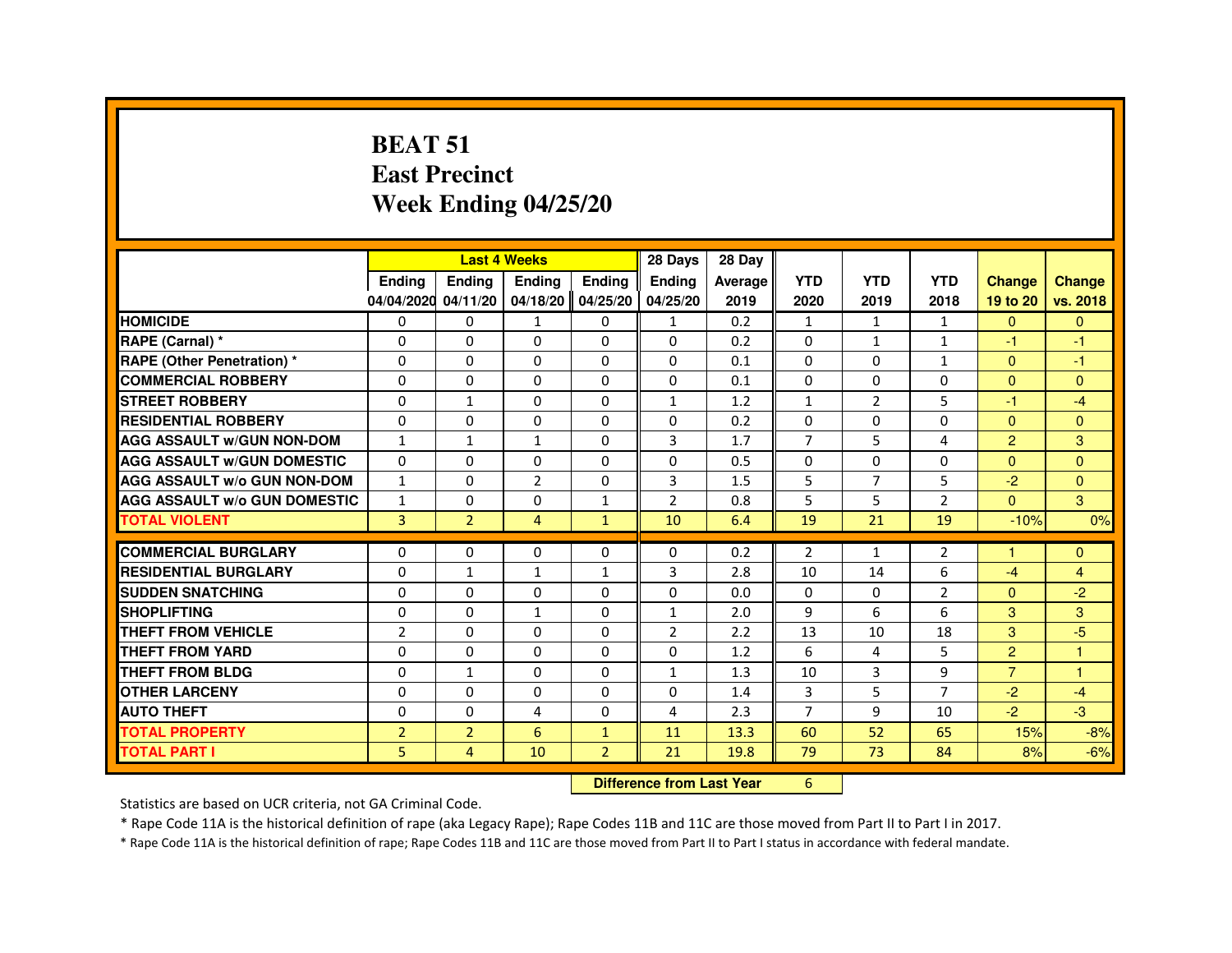#### **BEAT 51 East PrecinctWeek Ending 04/25/20**

|                                     |                |                | <b>Last 4 Weeks</b> |                   | 28 Days                          | 28 Day  |                |                |                |                |                |
|-------------------------------------|----------------|----------------|---------------------|-------------------|----------------------------------|---------|----------------|----------------|----------------|----------------|----------------|
|                                     | <b>Ending</b>  | Ending         | Ending              | <b>Ending</b>     | <b>Ending</b>                    | Average | <b>YTD</b>     | <b>YTD</b>     | <b>YTD</b>     | <b>Change</b>  | <b>Change</b>  |
|                                     | 04/04/2020     | 04/11/20       |                     | 04/18/20 04/25/20 | 04/25/20                         | 2019    | 2020           | 2019           | 2018           | 19 to 20       | vs. 2018       |
| <b>HOMICIDE</b>                     | 0              | $\Omega$       | $\mathbf{1}$        | $\mathbf{0}$      | $\mathbf{1}$                     | 0.2     | $\mathbf{1}$   | $\mathbf{1}$   | $\mathbf{1}$   | $\overline{0}$ | $\mathbf{0}$   |
| RAPE (Carnal) *                     | 0              | 0              | 0                   | 0                 | 0                                | 0.2     | 0              | $\mathbf{1}$   | $\mathbf{1}$   | $-1$           | $-1$           |
| <b>RAPE (Other Penetration) *</b>   | 0              | 0              | 0                   | $\Omega$          | $\Omega$                         | 0.1     | $\Omega$       | $\Omega$       | $\mathbf{1}$   | $\Omega$       | $-1$           |
| <b>COMMERCIAL ROBBERY</b>           | $\Omega$       | $\Omega$       | $\Omega$            | $\Omega$          | $\Omega$                         | 0.1     | $\Omega$       | $\Omega$       | $\Omega$       | $\Omega$       | $\Omega$       |
| <b>STREET ROBBERY</b>               | 0              | $\mathbf{1}$   | $\Omega$            | 0                 | $\mathbf{1}$                     | 1.2     | $\mathbf{1}$   | $\overline{2}$ | 5              | $-1$           | $-4$           |
| <b>RESIDENTIAL ROBBERY</b>          | 0              | 0              | 0                   | 0                 | 0                                | 0.2     | $\Omega$       | $\Omega$       | $\Omega$       | $\Omega$       | $\Omega$       |
| <b>AGG ASSAULT w/GUN NON-DOM</b>    | $\mathbf{1}$   | $\mathbf{1}$   | $\mathbf{1}$        | $\Omega$          | 3                                | 1.7     | $\overline{7}$ | 5              | 4              | $\overline{2}$ | 3              |
| <b>AGG ASSAULT W/GUN DOMESTIC</b>   | $\Omega$       | 0              | $\Omega$            | $\Omega$          | $\Omega$                         | 0.5     | $\Omega$       | $\Omega$       | $\Omega$       | $\Omega$       | $\Omega$       |
| <b>AGG ASSAULT w/o GUN NON-DOM</b>  | $\mathbf{1}$   | 0              | $\overline{2}$      | 0                 | 3                                | 1.5     | 5              | $\overline{7}$ | 5              | $-2$           | $\mathbf{0}$   |
| <b>AGG ASSAULT W/o GUN DOMESTIC</b> | $\mathbf{1}$   | 0              | 0                   | $\mathbf{1}$      | $\overline{2}$                   | 0.8     | 5              | 5              | $\overline{2}$ | $\Omega$       | 3              |
| <b>TOTAL VIOLENT</b>                | 3              | $\overline{2}$ | $\overline{4}$      | $\mathbf{1}$      | 10                               | 6.4     | 19             | 21             | 19             | $-10%$         | 0%             |
| <b>COMMERCIAL BURGLARY</b>          | 0              | 0              | 0                   | 0                 | 0                                | 0.2     | $\overline{2}$ | $\mathbf{1}$   | $\overline{2}$ | 1              | $\Omega$       |
| <b>RESIDENTIAL BURGLARY</b>         | $\Omega$       | $\mathbf{1}$   | $\mathbf{1}$        | $\mathbf{1}$      | 3                                | 2.8     | 10             | 14             | 6              | $-4$           | $\overline{4}$ |
| <b>SUDDEN SNATCHING</b>             | 0              | $\Omega$       | $\Omega$            | $\Omega$          | $\Omega$                         | 0.0     | $\Omega$       | $\Omega$       | $\overline{2}$ | $\Omega$       | $-2$           |
| <b>SHOPLIFTING</b>                  | 0              | 0              | 1                   | 0                 | $\mathbf{1}$                     | 2.0     | 9              | 6              | 6              | 3              | 3              |
| THEFT FROM VEHICLE                  | $\overline{2}$ | 0              | 0                   | 0                 | $\overline{2}$                   | 2.2     | 13             | 10             | 18             | 3              | $-5$           |
| <b>THEFT FROM YARD</b>              | $\mathbf 0$    | $\Omega$       | $\Omega$            | $\Omega$          | $\Omega$                         | 1.2     | 6              | 4              | 5              | $\overline{2}$ | $\overline{1}$ |
| THEFT FROM BLDG                     | 0              | $\mathbf{1}$   | 0                   | $\Omega$          | $\mathbf{1}$                     | 1.3     | 10             | 3              | 9              | $\overline{7}$ | $\overline{1}$ |
| <b>OTHER LARCENY</b>                | $\Omega$       | $\Omega$       | $\Omega$            | $\Omega$          | $\Omega$                         | 1.4     | 3              | 5              | $\overline{7}$ | $-2$           | $-4$           |
| <b>AUTO THEFT</b>                   | 0              | 0              | 4                   | 0                 | 4                                | 2.3     | $\overline{7}$ | 9              | 10             | $-2$           | $-3$           |
| <b>TOTAL PROPERTY</b>               | $\overline{2}$ | $\overline{2}$ | 6                   | $\mathbf{1}$      | 11                               | 13.3    | 60             | 52             | 65             | 15%            | $-8%$          |
| <b>TOTAL PART I</b>                 | 5              | 4              | 10                  | $\overline{2}$    | 21                               | 19.8    | 79             | 73             | 84             | 8%             | $-6%$          |
|                                     |                |                |                     |                   | <b>Difference from Last Year</b> |         | 6              |                |                |                |                |

 **Difference from Last Year**

Statistics are based on UCR criteria, not GA Criminal Code.

\* Rape Code 11A is the historical definition of rape (aka Legacy Rape); Rape Codes 11B and 11C are those moved from Part II to Part I in 2017.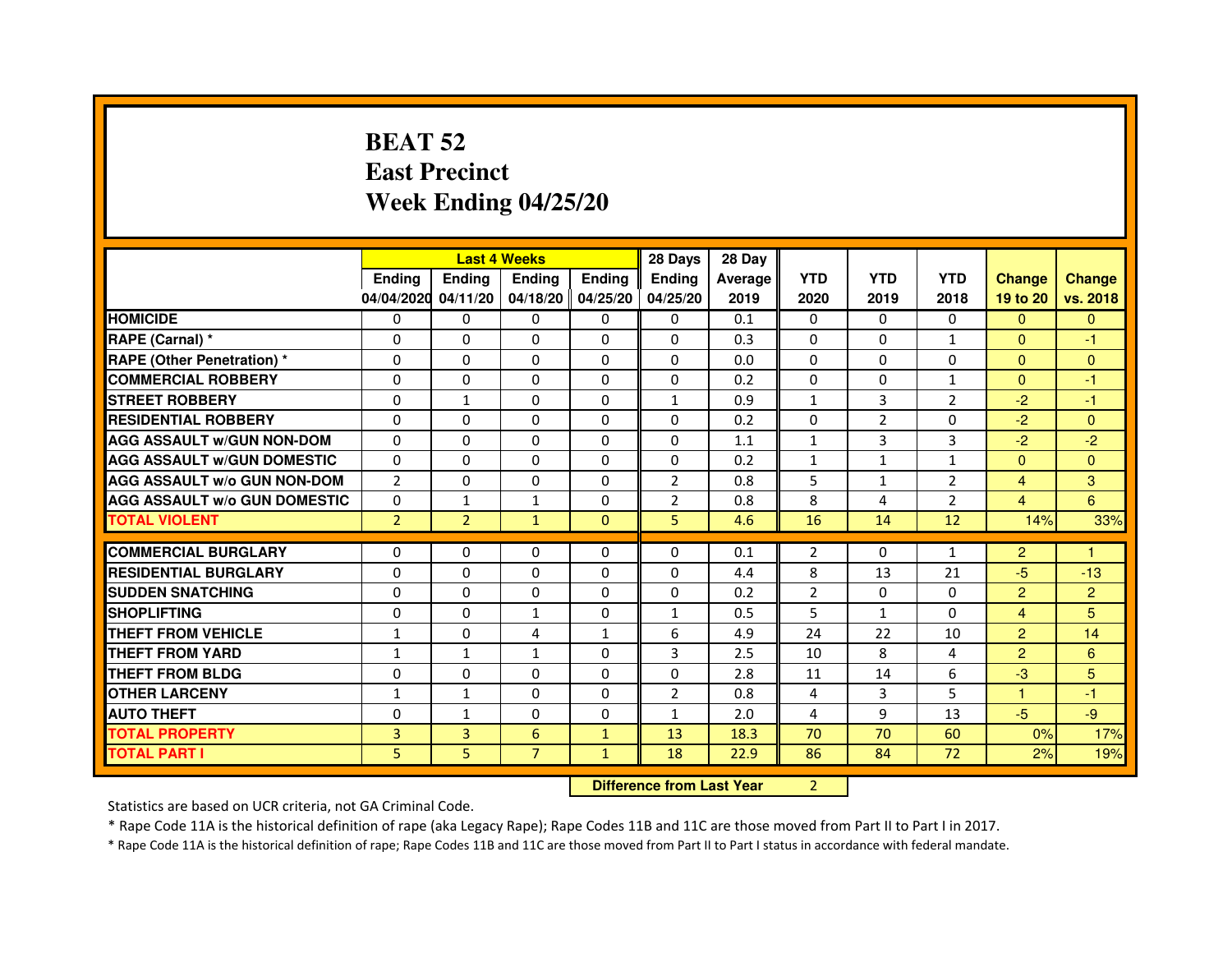# **BEAT 52 East PrecinctWeek Ending 04/25/20**

|                                     |                | <b>Last 4 Weeks</b> |                |                   | 28 Days                          | 28 Day  |                |                |                |                |                |
|-------------------------------------|----------------|---------------------|----------------|-------------------|----------------------------------|---------|----------------|----------------|----------------|----------------|----------------|
|                                     | <b>Ending</b>  | <b>Ending</b>       | <b>Ending</b>  | <b>Ending</b>     | <b>Ending</b>                    | Average | <b>YTD</b>     | <b>YTD</b>     | <b>YTD</b>     | <b>Change</b>  | <b>Change</b>  |
|                                     | 04/04/2020     | 04/11/20            |                | 04/18/20 04/25/20 | 04/25/20                         | 2019    | 2020           | 2019           | 2018           | 19 to 20       | vs. 2018       |
| <b>HOMICIDE</b>                     | 0              | $\Omega$            | $\Omega$       | $\Omega$          | 0                                | 0.1     | $\Omega$       | $\Omega$       | $\Omega$       | $\Omega$       | $\Omega$       |
| RAPE (Carnal) *                     | 0              | $\Omega$            | 0              | $\Omega$          | $\mathbf{0}$                     | 0.3     | $\mathbf{0}$   | $\Omega$       | $\mathbf{1}$   | $\mathbf{0}$   | $-1$           |
| <b>RAPE (Other Penetration) *</b>   | $\mathbf 0$    | 0                   | $\Omega$       | $\mathbf{0}$      | $\Omega$                         | 0.0     | $\Omega$       | $\Omega$       | $\Omega$       | $\Omega$       | $\mathbf{0}$   |
| <b>COMMERCIAL ROBBERY</b>           | $\mathbf 0$    | 0                   | $\Omega$       | $\mathbf{0}$      | $\mathbf{0}$                     | 0.2     | $\Omega$       | $\mathbf{0}$   | $\mathbf{1}$   | $\Omega$       | $-1$           |
| <b>STREET ROBBERY</b>               | $\Omega$       | $\mathbf{1}$        | 0              | $\mathbf{0}$      | $\mathbf{1}$                     | 0.9     | $\mathbf{1}$   | 3              | 2              | $-2$           | $-1$           |
| <b>RESIDENTIAL ROBBERY</b>          | 0              | $\Omega$            | 0              | $\mathbf{0}$      | $\Omega$                         | 0.2     | $\Omega$       | $\overline{2}$ | $\Omega$       | $-2$           | $\Omega$       |
| <b>AGG ASSAULT W/GUN NON-DOM</b>    | $\Omega$       | 0                   | $\Omega$       | $\mathbf{0}$      | $\Omega$                         | 1.1     | $\mathbf{1}$   | 3              | 3              | $-2$           | $-2$           |
| <b>AGG ASSAULT W/GUN DOMESTIC</b>   | $\Omega$       | $\Omega$            | $\Omega$       | $\Omega$          | $\Omega$                         | 0.2     | $\mathbf{1}$   | $\mathbf{1}$   | $\mathbf{1}$   | $\Omega$       | $\Omega$       |
| <b>AGG ASSAULT W/o GUN NON-DOM</b>  | $\overline{2}$ | 0                   | 0              | $\mathbf{0}$      | $\overline{2}$                   | 0.8     | 5              | $\mathbf{1}$   | $\overline{2}$ | $\overline{4}$ | 3              |
| <b>AGG ASSAULT W/o GUN DOMESTIC</b> | $\Omega$       | 1                   | 1              | $\mathbf{0}$      | $\overline{2}$                   | 0.8     | 8              | 4              | $\overline{2}$ | $\overline{4}$ | 6              |
| <b>TOTAL VIOLENT</b>                | $\overline{2}$ | $\overline{2}$      | $\mathbf{1}$   | $\mathbf{0}$      | 5                                | 4.6     | 16             | 14             | 12             | 14%            | 33%            |
| <b>COMMERCIAL BURGLARY</b>          | 0              | 0                   | 0              | $\mathbf{0}$      | 0                                | 0.1     | $\overline{2}$ | 0              | $\mathbf{1}$   | $\overline{2}$ | 1              |
| <b>RESIDENTIAL BURGLARY</b>         | $\Omega$       | $\Omega$            | $\Omega$       | $\Omega$          | $\Omega$                         | 4.4     | 8              | 13             | 21             | $-5$           | $-13$          |
| <b>SUDDEN SNATCHING</b>             | $\Omega$       | $\Omega$            | $\Omega$       | $\Omega$          | $\Omega$                         | 0.2     | $\overline{2}$ | $\Omega$       | $\Omega$       | $\overline{2}$ | $\overline{2}$ |
| <b>SHOPLIFTING</b>                  | 0              | 0                   | 1              | $\mathbf{0}$      | $\mathbf{1}$                     | 0.5     | 5              | $\mathbf{1}$   | $\Omega$       | $\overline{4}$ | 5              |
| THEFT FROM VEHICLE                  | $\mathbf{1}$   | 0                   | 4              | $\mathbf{1}$      | 6                                | 4.9     | 24             | 22             | 10             | $\overline{2}$ | 14             |
| THEFT FROM YARD                     | $\mathbf{1}$   | $\mathbf{1}$        | $\mathbf{1}$   | 0                 | 3                                | 2.5     | 10             | 8              | $\overline{4}$ | $\overline{2}$ | $6\phantom{1}$ |
| <b>THEFT FROM BLDG</b>              | 0              | $\Omega$            | 0              | $\Omega$          | $\Omega$                         | 2.8     | 11             | 14             | 6              | $-3$           | 5              |
| <b>OTHER LARCENY</b>                | $\mathbf{1}$   | $\mathbf{1}$        | 0              | $\Omega$          | 2                                | 0.8     | 4              | 3              | 5              | 1.             | $-1$           |
| <b>AUTO THEFT</b>                   | $\Omega$       | $\mathbf{1}$        | $\Omega$       | $\mathbf{0}$      | $\mathbf{1}$                     | 2.0     | 4              | 9              | 13             | $-5$           | $-9$           |
| <b>TOTAL PROPERTY</b>               | 3              | 3                   | 6              | $\mathbf{1}$      | 13                               | 18.3    | 70             | 70             | 60             | 0%             | 17%            |
| <b>TOTAL PART I</b>                 | 5              | 5                   | $\overline{7}$ | $\mathbf{1}$      | 18                               | 22.9    | 86             | 84             | 72             | 2%             | 19%            |
|                                     |                |                     |                |                   | <b>Difference from Last Year</b> |         | $\overline{2}$ |                |                |                |                |

 **Difference from Last Year**

Statistics are based on UCR criteria, not GA Criminal Code.

\* Rape Code 11A is the historical definition of rape (aka Legacy Rape); Rape Codes 11B and 11C are those moved from Part II to Part I in 2017.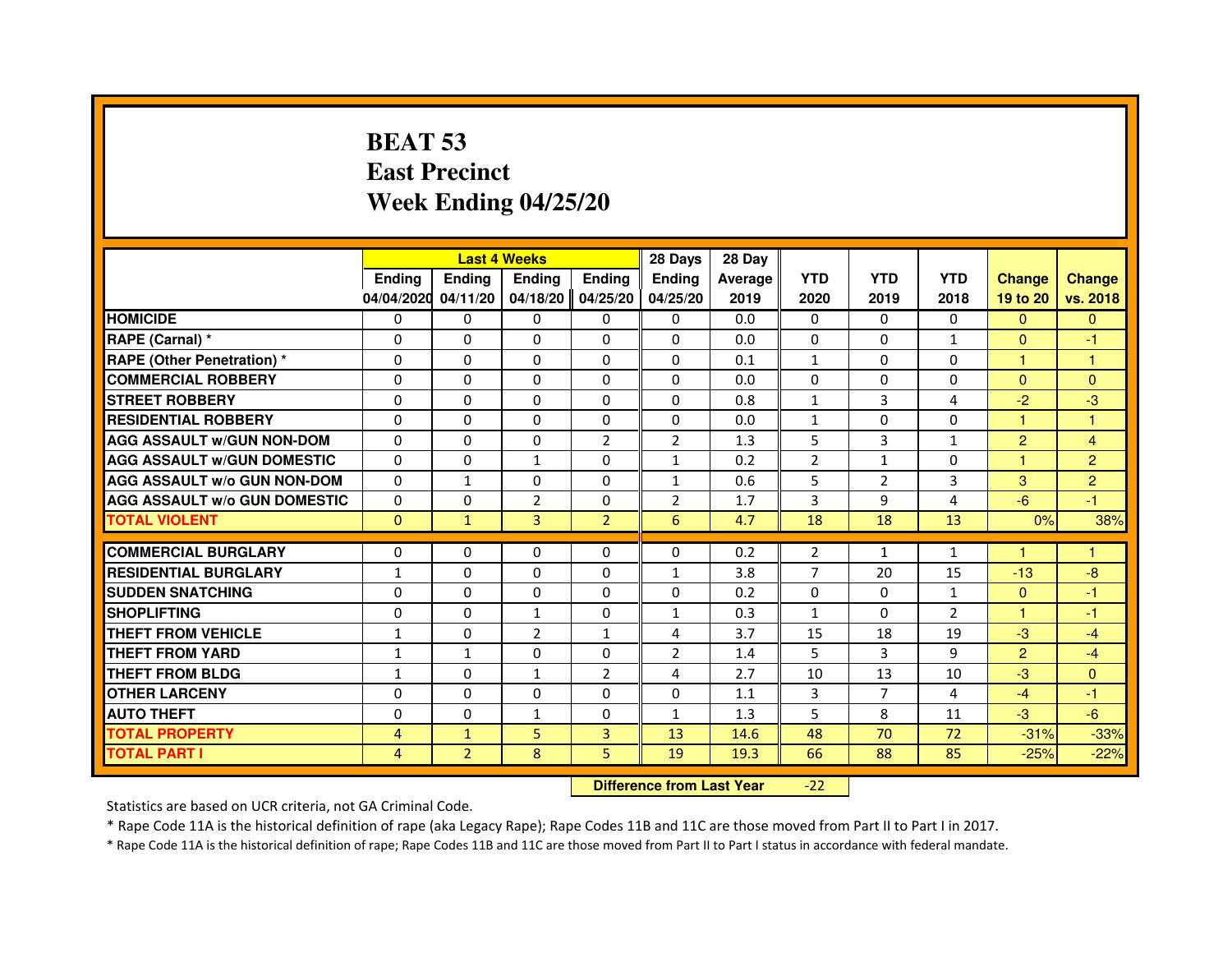# **BEAT 53 East PrecinctWeek Ending 04/25/20**

|                                     |               |                | <b>Last 4 Weeks</b> |                | 28 Days                          | 28 Day  |                |                |                |                |                         |
|-------------------------------------|---------------|----------------|---------------------|----------------|----------------------------------|---------|----------------|----------------|----------------|----------------|-------------------------|
|                                     | <b>Ending</b> | <b>Ending</b>  | <b>Ending</b>       | <b>Ending</b>  | <b>Endina</b>                    | Average | <b>YTD</b>     | <b>YTD</b>     | <b>YTD</b>     | <b>Change</b>  | <b>Change</b>           |
|                                     | 04/04/2020    | 04/11/20       | 04/18/20            | 04/25/20       | 04/25/20                         | 2019    | 2020           | 2019           | 2018           | 19 to 20       | vs. 2018                |
| <b>HOMICIDE</b>                     | 0             | $\mathbf{0}$   | $\Omega$            | 0              | 0                                | 0.0     | $\Omega$       | $\Omega$       | $\Omega$       | $\Omega$       | $\mathbf{0}$            |
| RAPE (Carnal) *                     | 0             | $\Omega$       | $\Omega$            | $\Omega$       | 0                                | 0.0     | $\Omega$       | $\Omega$       | $\mathbf{1}$   | $\Omega$       | $-1$                    |
| <b>RAPE (Other Penetration) *</b>   | $\Omega$      | $\Omega$       | $\Omega$            | $\Omega$       | $\Omega$                         | 0.1     | $\mathbf{1}$   | $\Omega$       | $\Omega$       | $\mathbf{1}$   | 1                       |
| <b>COMMERCIAL ROBBERY</b>           | 0             | $\Omega$       | $\Omega$            | $\Omega$       | $\Omega$                         | 0.0     | $\Omega$       | $\mathbf{0}$   | $\Omega$       | $\mathbf{0}$   | $\overline{0}$          |
| <b>STREET ROBBERY</b>               | 0             | $\Omega$       | $\Omega$            | $\Omega$       | $\Omega$                         | 0.8     | $\mathbf{1}$   | 3              | 4              | $-2$           | $-3$                    |
| <b>RESIDENTIAL ROBBERY</b>          | 0             | $\Omega$       | 0                   | $\Omega$       | $\Omega$                         | 0.0     | 1              | 0              | 0              | 1              | 1                       |
| <b>AGG ASSAULT W/GUN NON-DOM</b>    | $\Omega$      | $\Omega$       | $\Omega$            | $\overline{2}$ | $\overline{2}$                   | 1.3     | 5              | 3              | $\mathbf{1}$   | $\overline{2}$ | $\overline{\mathbf{4}}$ |
| <b>AGG ASSAULT W/GUN DOMESTIC</b>   | $\Omega$      | $\mathbf 0$    | $\mathbf{1}$        | $\Omega$       | $\mathbf{1}$                     | 0.2     | $\overline{2}$ | $\mathbf{1}$   | $\Omega$       | 1              | $\overline{2}$          |
| <b>AGG ASSAULT w/o GUN NON-DOM</b>  | 0             | 1              | $\mathbf{0}$        | 0              | 1                                | 0.6     | 5              | $\overline{2}$ | 3              | 3              | $\overline{c}$          |
| <b>AGG ASSAULT W/o GUN DOMESTIC</b> | $\Omega$      | 0              | $\overline{2}$      | $\Omega$       | $\overline{2}$                   | 1.7     | 3              | 9              | $\overline{a}$ | $-6$           | $-1$                    |
| <b>TOTAL VIOLENT</b>                | $\mathbf 0$   | $\mathbf{1}$   | 3                   | $\overline{2}$ | 6                                | 4.7     | 18             | 18             | 13             | 0%             | 38%                     |
| <b>COMMERCIAL BURGLARY</b>          | 0             | $\Omega$       | 0                   | $\Omega$       | $\Omega$                         | 0.2     | $\overline{2}$ | $\mathbf{1}$   | $\mathbf{1}$   |                | 1                       |
| <b>RESIDENTIAL BURGLARY</b>         | 1             | $\Omega$       | $\Omega$            | $\Omega$       | 1                                | 3.8     | 7              | 20             | 15             | $-13$          | $-8$                    |
| <b>SUDDEN SNATCHING</b>             | $\Omega$      | $\Omega$       | $\Omega$            | $\Omega$       | $\Omega$                         | 0.2     | $\Omega$       | $\Omega$       | $\mathbf{1}$   | $\Omega$       | $-1$                    |
| <b>SHOPLIFTING</b>                  | 0             | 0              | 1                   | 0              | 1                                | 0.3     | $\mathbf{1}$   | 0              | 2              | 1              | $-1$                    |
| THEFT FROM VEHICLE                  | 1             | $\Omega$       | $\overline{2}$      | $\mathbf{1}$   | 4                                | 3.7     | 15             | 18             | 19             | $-3$           | $-4$                    |
| <b>THEFT FROM YARD</b>              | $\mathbf{1}$  | $\mathbf{1}$   | $\Omega$            | 0              | $\overline{2}$                   | 1.4     | 5              | 3              | 9              | $\overline{2}$ | $-4$                    |
| <b>THEFT FROM BLDG</b>              | $\mathbf{1}$  | $\Omega$       | $\mathbf{1}$        | $\overline{2}$ | 4                                | 2.7     | 10             | 13             | 10             | $-3$           | $\overline{0}$          |
| <b>OTHER LARCENY</b>                | 0             | $\Omega$       | $\Omega$            | $\Omega$       | $\Omega$                         | 1.1     | 3              | $\overline{7}$ | 4              | $-4$           | $-1$                    |
| <b>AUTO THEFT</b>                   | $\Omega$      | $\Omega$       | $\mathbf{1}$        | $\Omega$       | $\mathbf{1}$                     | 1.3     | 5              | 8              | 11             | $-3$           | $-6$                    |
| <b>TOTAL PROPERTY</b>               | 4             | $\mathbf{1}$   | 5                   | 3              | 13                               | 14.6    | 48             | 70             | 72             | $-31%$         | $-33%$                  |
| <b>TOTAL PART I</b>                 | 4             | $\overline{2}$ | 8                   | 5              | 19                               | 19.3    | 66             | 88             | 85             | $-25%$         | $-22%$                  |
|                                     |               |                |                     |                | <b>Difference from Last Year</b> |         | $-22$          |                |                |                |                         |

 **Difference from Last Year**

Statistics are based on UCR criteria, not GA Criminal Code.

\* Rape Code 11A is the historical definition of rape (aka Legacy Rape); Rape Codes 11B and 11C are those moved from Part II to Part I in 2017.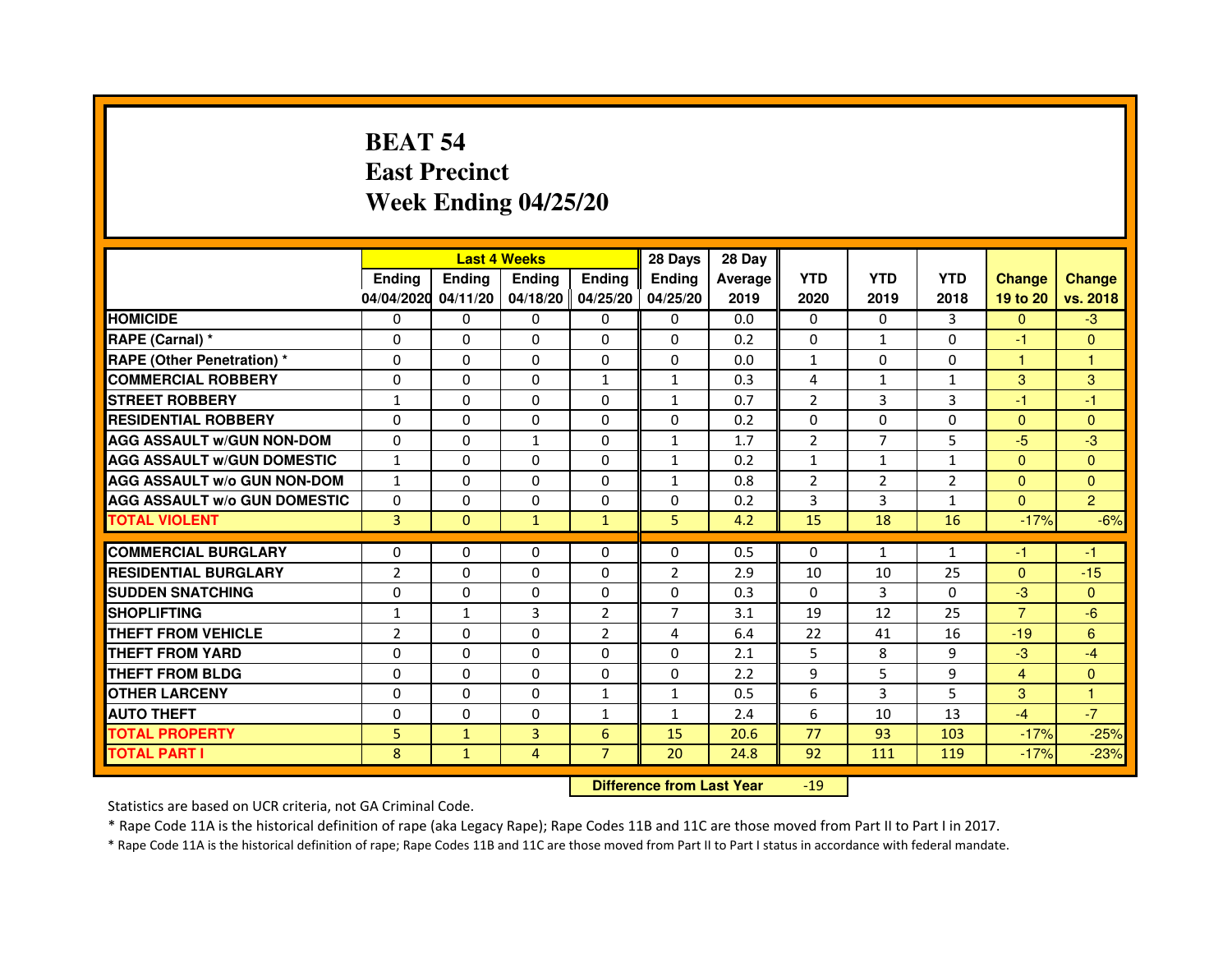# **BEAT 54 East PrecinctWeek Ending 04/25/20**

|                                     |                | <b>Last 4 Weeks</b> |               |                   | 28 Days        | 28 Day  |                |                |                |                |                |
|-------------------------------------|----------------|---------------------|---------------|-------------------|----------------|---------|----------------|----------------|----------------|----------------|----------------|
|                                     | <b>Ending</b>  | <b>Endina</b>       | <b>Endina</b> | Ending            | <b>Endina</b>  | Average | <b>YTD</b>     | <b>YTD</b>     | <b>YTD</b>     | <b>Change</b>  | <b>Change</b>  |
|                                     | 04/04/2020     | 04/11/20            |               | 04/18/20 04/25/20 | 04/25/20       | 2019    | 2020           | 2019           | 2018           | 19 to 20       | vs. 2018       |
| <b>HOMICIDE</b>                     | 0              | 0                   | 0             | 0                 | 0              | 0.0     | $\mathbf{0}$   | 0              | 3              | $\mathbf{0}$   | $-3$           |
| RAPE (Carnal) *                     | 0              | $\Omega$            | $\Omega$      | $\Omega$          | $\Omega$       | 0.2     | $\Omega$       | $\mathbf{1}$   | $\Omega$       | $-1$           | $\Omega$       |
| <b>RAPE (Other Penetration) *</b>   | 0              | $\Omega$            | 0             | $\mathbf{0}$      | $\Omega$       | 0.0     | $\mathbf{1}$   | $\Omega$       | $\Omega$       | $\mathbf{1}$   | $\mathbf{1}$   |
| <b>COMMERCIAL ROBBERY</b>           | 0              | 0                   | 0             | $\mathbf{1}$      | $\mathbf{1}$   | 0.3     | 4              | $\mathbf{1}$   | 1              | 3              | 3              |
| <b>STREET ROBBERY</b>               | 1              | 0                   | 0             | 0                 | $\mathbf{1}$   | 0.7     | $\overline{2}$ | 3              | 3              | $-1$           | $-1$           |
| <b>RESIDENTIAL ROBBERY</b>          | 0              | $\Omega$            | $\Omega$      | $\Omega$          | $\Omega$       | 0.2     | $\Omega$       | $\Omega$       | $\Omega$       | $\Omega$       | $\Omega$       |
| <b>AGG ASSAULT W/GUN NON-DOM</b>    | $\Omega$       | $\mathbf 0$         | $\mathbf{1}$  | $\Omega$          | $\mathbf{1}$   | 1.7     | $\overline{2}$ | $\overline{7}$ | 5              | $-5$           | -3             |
| <b>AGG ASSAULT W/GUN DOMESTIC</b>   | $\mathbf{1}$   | 0                   | 0             | 0                 | $\mathbf{1}$   | 0.2     | $\mathbf{1}$   | $\mathbf{1}$   | $\mathbf{1}$   | $\Omega$       | $\Omega$       |
| <b>AGG ASSAULT W/o GUN NON-DOM</b>  | 1              | 0                   | 0             | $\Omega$          | $\mathbf{1}$   | 0.8     | $\overline{2}$ | $\overline{2}$ | $\overline{2}$ | $\Omega$       | $\Omega$       |
| <b>AGG ASSAULT W/o GUN DOMESTIC</b> | $\Omega$       | $\Omega$            | 0             | $\Omega$          | 0              | 0.2     | 3              | 3              | $\mathbf{1}$   | $\mathbf{0}$   | $\overline{2}$ |
| <b>TOTAL VIOLENT</b>                | 3              | $\Omega$            | $\mathbf{1}$  | $\mathbf{1}$      | 5              | 4.2     | 15             | 18             | 16             | $-17%$         | $-6%$          |
|                                     |                |                     |               |                   |                |         |                |                |                |                |                |
| <b>COMMERCIAL BURGLARY</b>          | 0              | 0                   | 0             | 0                 | $\Omega$       | 0.5     | $\Omega$       | $\mathbf{1}$   | $\mathbf{1}$   | -1             | -1             |
| <b>RESIDENTIAL BURGLARY</b>         | $\overline{2}$ | $\Omega$            | 0             | $\Omega$          | 2              | 2.9     | 10             | 10             | 25             | $\Omega$       | $-15$          |
| <b>SUDDEN SNATCHING</b>             | 0              | 0                   | 0             | 0                 | 0              | 0.3     | $\Omega$       | 3              | $\Omega$       | $-3$           | $\Omega$       |
| <b>SHOPLIFTING</b>                  | $\mathbf{1}$   | 1                   | 3             | $\overline{2}$    | $\overline{7}$ | 3.1     | 19             | 12             | 25             | $\overline{7}$ | $-6$           |
| <b>THEFT FROM VEHICLE</b>           | $\overline{2}$ | $\Omega$            | 0             | $\overline{2}$    | $\overline{a}$ | 6.4     | 22             | 41             | 16             | $-19$          | 6              |
| <b>THEFT FROM YARD</b>              | $\Omega$       | $\Omega$            | $\Omega$      | $\Omega$          | $\Omega$       | 2.1     | 5              | 8              | 9              | $-3$           | $-4$           |
| <b>THEFT FROM BLDG</b>              | 0              | 0                   | 0             | 0                 | 0              | 2.2     | 9              | 5              | 9              | $\overline{4}$ | $\Omega$       |
| <b>OTHER LARCENY</b>                | 0              | 0                   | $\Omega$      | $\mathbf{1}$      | $\mathbf{1}$   | 0.5     | 6              | 3              | 5              | 3              | 1              |
| <b>AUTO THEFT</b>                   | $\mathbf 0$    | 0                   | $\Omega$      | $\mathbf{1}$      | $\mathbf{1}$   | 2.4     | 6              | 10             | 13             | $-4$           | $-7$           |
| <b>TOTAL PROPERTY</b>               | 5              | $\mathbf{1}$        | 3             | 6                 | 15             | 20.6    | 77             | 93             | 103            | $-17%$         | $-25%$         |
| <b>TOTAL PART I</b>                 | 8              | $\mathbf{1}$        | 4             | $\overline{7}$    | 20             | 24.8    | 92             | 111            | 119            | $-17%$         | $-23%$         |

 **Difference from Last Year**-19

Statistics are based on UCR criteria, not GA Criminal Code.

\* Rape Code 11A is the historical definition of rape (aka Legacy Rape); Rape Codes 11B and 11C are those moved from Part II to Part I in 2017.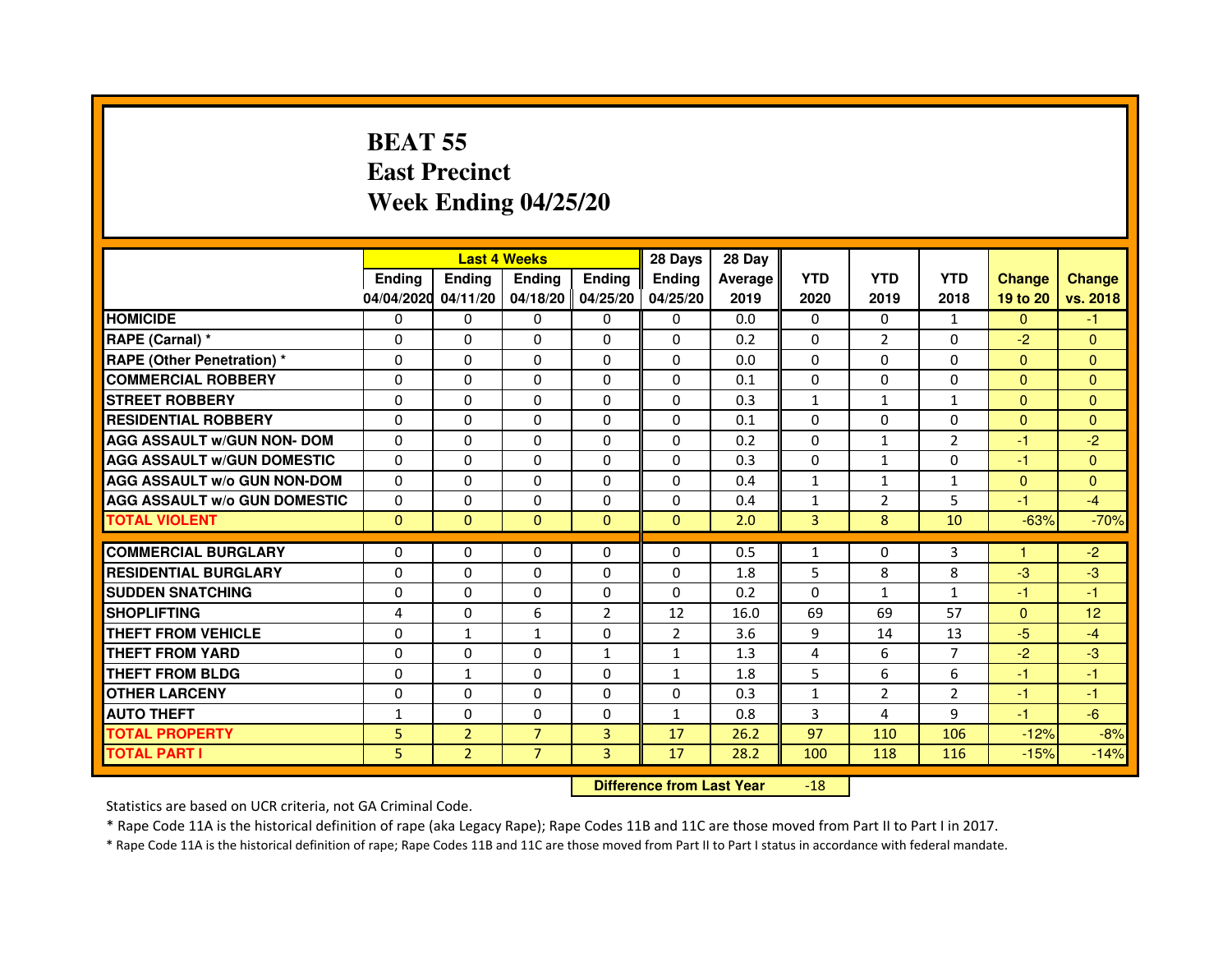# **BEAT 55 East PrecinctWeek Ending 04/25/20**

|                                     |               |                | <b>Last 4 Weeks</b> |                | 28 Days                          | 28 Day  |              |                |                |               |                |
|-------------------------------------|---------------|----------------|---------------------|----------------|----------------------------------|---------|--------------|----------------|----------------|---------------|----------------|
|                                     | <b>Ending</b> | <b>Ending</b>  | <b>Ending</b>       | <b>Ending</b>  | Ending                           | Average | <b>YTD</b>   | <b>YTD</b>     | <b>YTD</b>     | <b>Change</b> | <b>Change</b>  |
|                                     | 04/04/2020    | 04/11/20       | 04/18/20            | 04/25/20       | 04/25/20                         | 2019    | 2020         | 2019           | 2018           | 19 to 20      | vs. 2018       |
| <b>HOMICIDE</b>                     | $\Omega$      | $\Omega$       | 0                   | $\mathbf{0}$   | 0                                | 0.0     | $\Omega$     | 0              | $\mathbf{1}$   | $\Omega$      | $-1$           |
| RAPE (Carnal) *                     | $\mathbf{0}$  | $\Omega$       | $\Omega$            | $\Omega$       | $\Omega$                         | 0.2     | $\Omega$     | $\overline{2}$ | 0              | $-2$          | $\Omega$       |
| <b>RAPE (Other Penetration) *</b>   | $\Omega$      | $\Omega$       | $\Omega$            | $\Omega$       | $\Omega$                         | 0.0     | $\Omega$     | $\Omega$       | $\Omega$       | $\Omega$      | $\overline{0}$ |
| <b>COMMERCIAL ROBBERY</b>           | $\Omega$      | $\Omega$       | $\Omega$            | $\Omega$       | $\Omega$                         | 0.1     | $\Omega$     | $\Omega$       | $\Omega$       | $\mathbf{0}$  | $\mathbf{0}$   |
| <b>STREET ROBBERY</b>               | $\Omega$      | $\Omega$       | $\Omega$            | $\Omega$       | $\Omega$                         | 0.3     | $\mathbf{1}$ | $\mathbf{1}$   | $\mathbf{1}$   | $\Omega$      | $\overline{0}$ |
| <b>RESIDENTIAL ROBBERY</b>          | $\Omega$      | $\Omega$       | $\Omega$            | $\Omega$       | $\Omega$                         | 0.1     | $\Omega$     | $\Omega$       | $\Omega$       | $\mathbf{0}$  | $\Omega$       |
| <b>AGG ASSAULT w/GUN NON- DOM</b>   | $\Omega$      | $\Omega$       | $\Omega$            | $\Omega$       | $\Omega$                         | 0.2     | $\Omega$     | $\mathbf{1}$   | $\overline{2}$ | $-1$          | $-2$           |
| <b>AGG ASSAULT w/GUN DOMESTIC</b>   | $\Omega$      | $\Omega$       | $\Omega$            | $\Omega$       | $\Omega$                         | 0.3     | $\Omega$     | $\mathbf{1}$   | $\Omega$       | $-1$          | $\Omega$       |
| <b>AGG ASSAULT W/o GUN NON-DOM</b>  | $\Omega$      | $\Omega$       | $\Omega$            | 0              | $\Omega$                         | 0.4     | $\mathbf{1}$ | $\mathbf{1}$   | $\mathbf{1}$   | $\mathbf{0}$  | $\mathbf{0}$   |
| <b>AGG ASSAULT W/o GUN DOMESTIC</b> | $\Omega$      | $\Omega$       | $\Omega$            | $\Omega$       | $\Omega$                         | 0.4     | $\mathbf{1}$ | 2              | 5              | $-1$          | $-4$           |
| <b>TOTAL VIOLENT</b>                | $\mathbf{0}$  | $\mathbf{0}$   | $\mathbf{0}$        | $\overline{0}$ | $\mathbf 0$                      | 2.0     | 3            | 8              | 10             | $-63%$        | $-70%$         |
| <b>COMMERCIAL BURGLARY</b>          | $\Omega$      | $\Omega$       | $\Omega$            | 0              | 0                                | 0.5     | $\mathbf{1}$ | 0              | 3              | 1             | $-2$           |
| <b>RESIDENTIAL BURGLARY</b>         | $\Omega$      | $\Omega$       | $\Omega$            | $\Omega$       | $\Omega$                         | 1.8     | 5            | 8              | 8              | $-3$          | $-3$           |
| <b>SUDDEN SNATCHING</b>             | $\Omega$      | $\Omega$       | $\Omega$            | $\Omega$       | $\Omega$                         | 0.2     | $\Omega$     | $\mathbf{1}$   | $\mathbf{1}$   | $-1$          | $-1$           |
| <b>SHOPLIFTING</b>                  | 4             | 0              | 6                   | $\overline{2}$ | 12                               | 16.0    | 69           | 69             | 57             | $\mathbf{0}$  | 12             |
| <b>THEFT FROM VEHICLE</b>           | $\Omega$      | $\mathbf{1}$   | $\mathbf{1}$        | $\Omega$       | $\overline{2}$                   | 3.6     | 9            | 14             | 13             | $-5$          | $-4$           |
| <b>THEFT FROM YARD</b>              | 0             | 0              | $\Omega$            | $\mathbf{1}$   | $\mathbf{1}$                     | 1.3     | 4            | 6              | 7              | $-2$          | $-3$           |
| <b>THEFT FROM BLDG</b>              | $\Omega$      | $\mathbf{1}$   | $\Omega$            | $\Omega$       | $\mathbf{1}$                     | 1.8     | 5            | 6              | 6              | $-1$          | $-1$           |
| <b>OTHER LARCENY</b>                | $\mathbf{0}$  | $\Omega$       | $\Omega$            | $\Omega$       | $\Omega$                         | 0.3     | $\mathbf{1}$ | $\overline{2}$ | $\overline{2}$ | $-1$          | $-1$           |
| <b>AUTO THEFT</b>                   | $\mathbf{1}$  | $\Omega$       | $\Omega$            | $\Omega$       | $\mathbf{1}$                     | 0.8     | 3            | 4              | 9              | $-1$          | $-6$           |
| <b>TOTAL PROPERTY</b>               | 5             | $\overline{2}$ | $\overline{7}$      | 3              | 17                               | 26.2    | 97           | 110            | 106            | $-12%$        | $-8%$          |
| <b>TOTAL PART I</b>                 | 5             | $\overline{2}$ | $\overline{7}$      | 3              | 17                               | 28.2    | 100          | 118            | 116            | $-15%$        | $-14%$         |
|                                     |               |                |                     |                | <b>Difference from Last Year</b> |         | $-18$        |                |                |               |                |

Statistics are based on UCR criteria, not GA Criminal Code.

\* Rape Code 11A is the historical definition of rape (aka Legacy Rape); Rape Codes 11B and 11C are those moved from Part II to Part I in 2017.